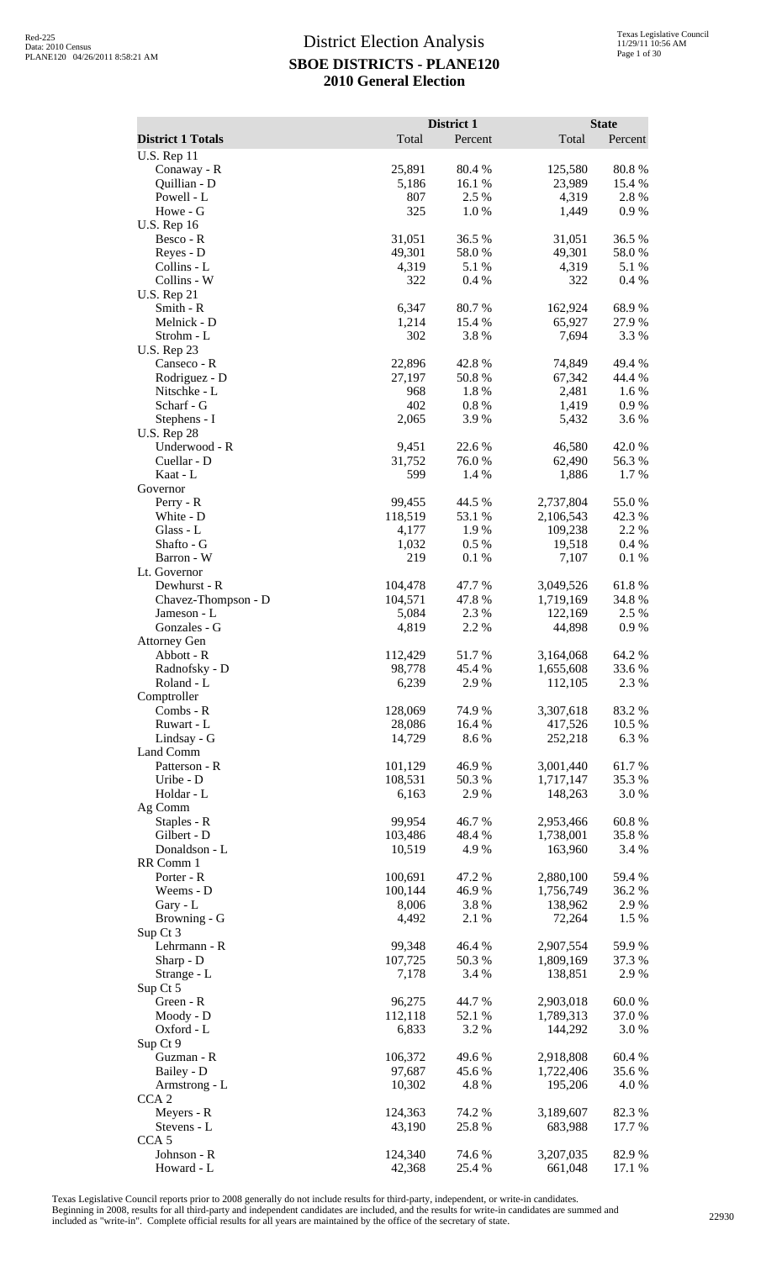|                                    |                   | District 1       |                      | <b>State</b>     |
|------------------------------------|-------------------|------------------|----------------------|------------------|
| <b>District 1 Totals</b>           | Total             | Percent          | Total                | Percent          |
| <b>U.S. Rep 11</b><br>Conaway - R  | 25,891            | 80.4%            | 125,580              | 80.8%            |
| Quillian - D                       | 5,186             | 16.1%            | 23,989               | 15.4 %           |
| Powell - L                         | 807               | 2.5 %            | 4,319                | 2.8%             |
| Howe - G<br><b>U.S. Rep 16</b>     | 325               | 1.0%             | 1,449                | 0.9 %            |
| Besco - R                          | 31,051            | 36.5%            | 31,051               | 36.5 %           |
| Reyes - D                          | 49,301            | 58.0%            | 49,301               | 58.0%            |
| Collins - L                        | 4,319             | 5.1 %            | 4,319                | 5.1 %            |
| Collins - W<br><b>U.S. Rep 21</b>  | 322               | 0.4%             | 322                  | 0.4 %            |
| Smith - R                          | 6,347             | 80.7%            | 162,924              | 68.9%            |
| Melnick - D                        | 1,214             | 15.4 %           | 65,927               | 27.9 %           |
| Strohm - L<br><b>U.S. Rep 23</b>   | 302               | 3.8%             | 7,694                | 3.3 %            |
| Canseco - R                        | 22,896            | 42.8%            | 74,849               | 49.4%            |
| Rodriguez - D                      | 27,197            | 50.8%            | 67,342               | 44.4 %           |
| Nitschke - L                       | 968               | 1.8%             | 2,481                | 1.6 %            |
| Scharf - G<br>Stephens - I         | 402<br>2,065      | $0.8~\%$<br>3.9% | 1,419<br>5,432       | 0.9%<br>3.6%     |
| <b>U.S. Rep 28</b>                 |                   |                  |                      |                  |
| Underwood - R                      | 9,451             | 22.6 %           | 46,580               | 42.0 %           |
| Cuellar - D<br>Kaat - L            | 31,752<br>599     | 76.0%<br>1.4 %   | 62,490               | 56.3%<br>1.7 %   |
| Governor                           |                   |                  | 1,886                |                  |
| Perry - R                          | 99,455            | 44.5 %           | 2,737,804            | 55.0%            |
| White - D                          | 118,519           | 53.1 %           | 2,106,543            | 42.3 %           |
| Glass - L<br>Shafto - G            | 4,177<br>1,032    | 1.9%<br>0.5 %    | 109,238<br>19,518    | 2.2 %<br>0.4%    |
| Barron - W                         | 219               | 0.1 %            | 7,107                | 0.1 %            |
| Lt. Governor                       |                   |                  |                      |                  |
| Dewhurst - R                       | 104,478           | 47.7 %           | 3,049,526            | 61.8%            |
| Chavez-Thompson - D<br>Jameson - L | 104,571<br>5,084  | 47.8%<br>2.3 %   | 1,719,169<br>122,169 | 34.8%<br>2.5 %   |
| Gonzales - G                       | 4,819             | 2.2%             | 44,898               | 0.9%             |
| <b>Attorney Gen</b>                |                   |                  |                      |                  |
| Abbott - R                         | 112,429<br>98,778 | 51.7%<br>45.4 %  | 3,164,068            | 64.2%            |
| Radnofsky - D<br>Roland - L        | 6,239             | 2.9%             | 1,655,608<br>112,105 | 33.6 %<br>2.3 %  |
| Comptroller                        |                   |                  |                      |                  |
| Combs - R                          | 128,069           | 74.9%            | 3,307,618            | 83.2%            |
| Ruwart - L<br>Lindsay - G          | 28,086<br>14,729  | 16.4 %<br>8.6%   | 417,526<br>252,218   | 10.5 %<br>6.3%   |
| Land Comm                          |                   |                  |                      |                  |
| Patterson - R                      | 101,129           | 46.9%            | 3,001,440            | 61.7%            |
| Uribe - D<br>Holdar - L            | 108,531<br>6,163  | 50.3%<br>2.9%    | 1,717,147<br>148,263 | 35.3 %<br>3.0 %  |
| Ag Comm                            |                   |                  |                      |                  |
| Staples - R                        | 99,954            | 46.7 %           | 2,953,466            | 60.8%            |
| Gilbert - D                        | 103,486           | 48.4 %           | 1,738,001            | 35.8 %           |
| Donaldson - L<br>RR Comm 1         | 10,519            | 4.9%             | 163,960              | 3.4 %            |
| Porter - R                         | 100,691           | 47.2 %           | 2,880,100            | 59.4 %           |
| Weems - D                          | 100,144           | 46.9%            | 1,756,749            | 36.2%            |
| Gary - L                           | 8,006<br>4,492    | 3.8%<br>2.1 %    | 138,962<br>72,264    | 2.9 %<br>1.5 %   |
| Browning - G<br>Sup Ct 3           |                   |                  |                      |                  |
| Lehrmann - R                       | 99,348            | 46.4 %           | 2,907,554            | 59.9%            |
| Sharp - D                          | 107,725           | 50.3%            | 1,809,169            | 37.3 %           |
| Strange - L<br>Sup Ct 5            | 7,178             | 3.4 %            | 138,851              | 2.9 %            |
| Green - R                          | 96,275            | 44.7%            | 2,903,018            | 60.0%            |
| Moody - D                          | 112,118           | 52.1 %           | 1,789,313            | 37.0 %           |
| Oxford - L                         | 6,833             | 3.2 %            | 144,292              | 3.0 %            |
| Sup Ct 9<br>Guzman - R             | 106,372           | 49.6%            | 2,918,808            | 60.4%            |
| Bailey - D                         | 97,687            | 45.6%            | 1,722,406            | 35.6 %           |
| Armstrong - L                      | 10,302            | 4.8%             | 195,206              | 4.0%             |
| CCA <sub>2</sub>                   |                   |                  |                      |                  |
| Meyers - R<br>Stevens - L          | 124,363<br>43,190 | 74.2 %<br>25.8%  | 3,189,607<br>683,988 | 82.3 %<br>17.7 % |
| CCA <sub>5</sub>                   |                   |                  |                      |                  |
| Johnson - R                        | 124,340           | 74.6 %           | 3,207,035            | 82.9%            |
| Howard - L                         | 42,368            | 25.4 %           | 661,048              | 17.1 %           |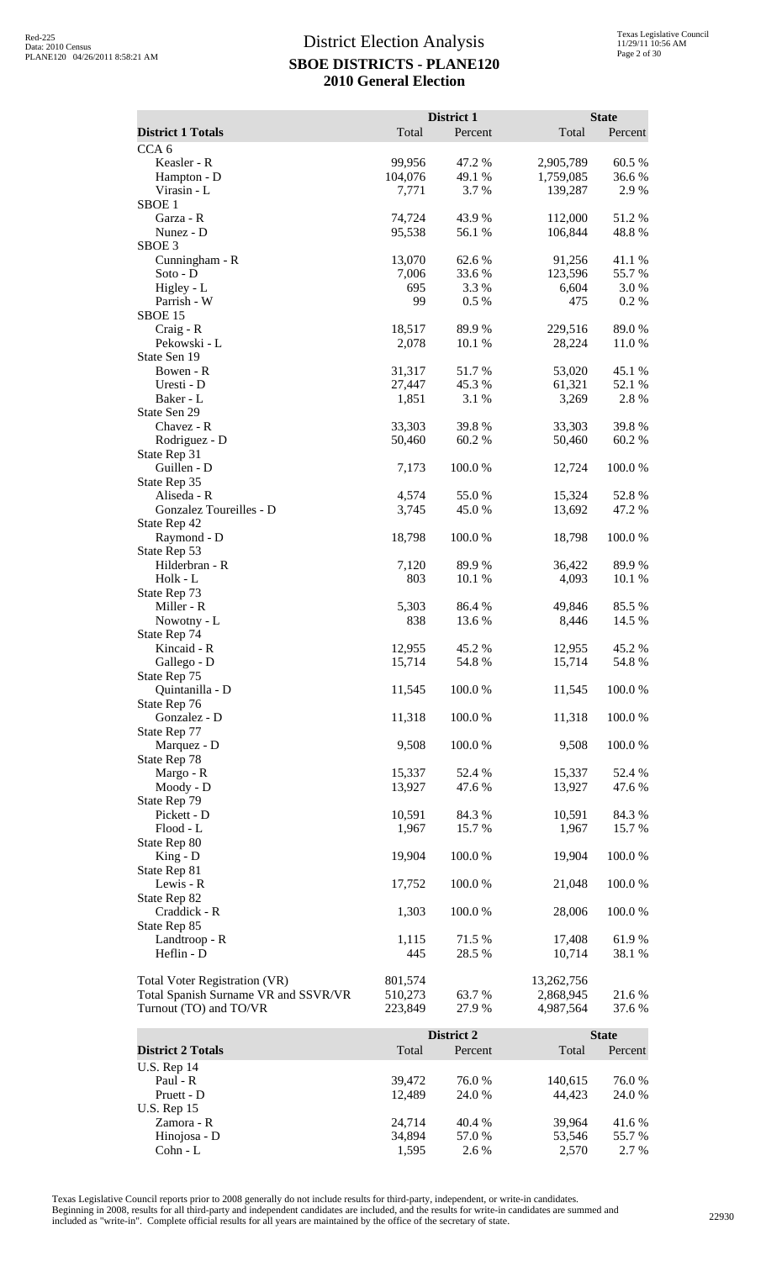|                                                                       |                    | District 1       |                         | <b>State</b>    |
|-----------------------------------------------------------------------|--------------------|------------------|-------------------------|-----------------|
| <b>District 1 Totals</b>                                              | Total              | Percent          | Total                   | Percent         |
| CCA <sub>6</sub>                                                      |                    |                  |                         |                 |
| Keasler - R                                                           | 99,956<br>104,076  | 47.2 %<br>49.1 % | 2,905,789<br>1,759,085  | 60.5 %<br>36.6% |
| Hampton - D<br>Virasin - L                                            | 7,771              | 3.7%             | 139,287                 | 2.9%            |
| SBOE <sub>1</sub>                                                     |                    |                  |                         |                 |
| Garza - R                                                             | 74,724             | 43.9%            | 112,000                 | 51.2%           |
| Nunez - D                                                             | 95,538             | 56.1 %           | 106,844                 | 48.8%           |
| SBOE <sub>3</sub><br>Cunningham - R                                   | 13,070             | 62.6%            | 91,256                  | 41.1%           |
| $Soto - D$                                                            | 7,006              | 33.6 %           | 123,596                 | 55.7%           |
| Higley - L                                                            | 695                | 3.3 %            | 6,604                   | 3.0%            |
| Parrish - W                                                           | 99                 | 0.5 %            | 475                     | 0.2%            |
| SBOE 15                                                               |                    |                  |                         |                 |
| $Craig - R$<br>Pekowski - L                                           | 18,517<br>2,078    | 89.9%<br>10.1 %  | 229,516<br>28,224       | 89.0%<br>11.0 % |
| State Sen 19                                                          |                    |                  |                         |                 |
| Bowen - R                                                             | 31,317             | 51.7%            | 53,020                  | 45.1 %          |
| Uresti - D                                                            | 27,447             | 45.3%            | 61,321                  | 52.1 %          |
| Baker - L<br>State Sen 29                                             | 1,851              | 3.1 %            | 3,269                   | 2.8%            |
| Chavez - R                                                            | 33,303             | 39.8%            | 33,303                  | 39.8%           |
| Rodriguez - D                                                         | 50,460             | 60.2%            | 50,460                  | 60.2%           |
| State Rep 31                                                          |                    |                  |                         |                 |
| Guillen - D                                                           | 7,173              | 100.0%           | 12,724                  | 100.0%          |
| State Rep 35<br>Aliseda - R                                           | 4,574              | 55.0%            | 15,324                  | 52.8%           |
| Gonzalez Toureilles - D                                               | 3,745              | 45.0%            | 13,692                  | 47.2 %          |
| State Rep 42                                                          |                    |                  |                         |                 |
| Raymond - D                                                           | 18,798             | 100.0%           | 18,798                  | 100.0%          |
| State Rep 53<br>Hilderbran - R                                        | 7,120              | 89.9%            | 36,422                  | 89.9%           |
| Holk - L                                                              | 803                | 10.1 %           | 4,093                   | 10.1 %          |
| State Rep 73                                                          |                    |                  |                         |                 |
| Miller - R                                                            | 5,303              | 86.4%            | 49,846                  | 85.5 %          |
| Nowotny - L<br>State Rep 74                                           | 838                | 13.6%            | 8,446                   | 14.5 %          |
| Kincaid - R                                                           | 12,955             | 45.2 %           | 12,955                  | 45.2%           |
| Gallego - D                                                           | 15,714             | 54.8%            | 15,714                  | 54.8 %          |
| State Rep 75                                                          |                    |                  |                         |                 |
| Quintanilla - D                                                       | 11,545             | 100.0%           | 11,545                  | 100.0%          |
| State Rep 76<br>Gonzalez - D                                          | 11,318             | 100.0%           | 11,318                  | 100.0%          |
| State Rep 77                                                          |                    |                  |                         |                 |
| Marquez - D                                                           | 9,508              | 100.0%           | 9,508                   | 100.0%          |
| State Rep 78                                                          |                    |                  |                         | 52.4 %          |
| Margo - R<br>Moody - D                                                | 15,337<br>13,927   | 52.4 %<br>47.6 % | 15,337<br>13,927        | 47.6 %          |
| State Rep 79                                                          |                    |                  |                         |                 |
| Pickett - D                                                           | 10,591             | 84.3%            | 10,591                  | 84.3%           |
| Flood - L                                                             | 1,967              | 15.7 %           | 1,967                   | 15.7 %          |
| State Rep 80<br>$King - D$                                            | 19,904             | 100.0%           | 19,904                  | 100.0%          |
| State Rep 81                                                          |                    |                  |                         |                 |
| Lewis - R                                                             | 17,752             | 100.0 %          | 21,048                  | $100.0~\%$      |
| State Rep 82                                                          |                    |                  |                         |                 |
| Craddick - R<br>State Rep 85                                          | 1,303              | 100.0%           | 28,006                  | 100.0%          |
| Landtroop - R                                                         | 1,115              | 71.5 %           | 17,408                  | 61.9%           |
| Heflin - D                                                            | 445                | 28.5 %           | 10,714                  | 38.1 %          |
|                                                                       |                    |                  |                         |                 |
| Total Voter Registration (VR)<br>Total Spanish Surname VR and SSVR/VR | 801,574<br>510,273 | 63.7 %           | 13,262,756<br>2,868,945 | 21.6%           |
| Turnout (TO) and TO/VR                                                | 223,849            | 27.9 %           | 4,987,564               | 37.6%           |
|                                                                       |                    |                  |                         |                 |
|                                                                       |                    | District 2       |                         | <b>State</b>    |
| <b>District 2 Totals</b>                                              | Total              | Percent          | Total                   | Percent         |
| <b>U.S. Rep 14</b><br>Paul - R                                        | 39,472             | 76.0%            | 140,615                 | 76.0%           |
| Pruett - D                                                            | 12,489             | 24.0 %           | 44,423                  | 24.0%           |
| <b>U.S. Rep 15</b>                                                    |                    |                  |                         |                 |

Texas Legislative Council reports prior to 2008 generally do not include results for third-party, independent, or write-in candidates. Beginning in 2008, results for all third-party and independent candidates are included, and the results for write-in candidates are summed and<br>included as "write-in". Complete official results for all years are maintained

Hinojosa - D 34,894 57.0 % 57.0 % 57.0 % 54,894 57.0 % 57.0 % 57.0 % 57.0 % 57.0 % 57.0 % 57.0 % 57.0 % 57.0 % 57.0 % 57.0 % 57.0 % 57.0 % 57.0 % 57.0 % 57.0 % 57.0 % 57.0 % 57.0 % 57.0 % 57.0 % 57.0 % 57.0 % 57.0 % 57.0 %

23 23 23 24,714 40.4 % 39,964 41.6 % 39,964 55.7 % 34,894 57.0 % 34,894 57.0 % 2.570 2.7 % 34,894 55.7 % 2.570 2.7 % 34,894 55.7 % 35,546 55.7 % 35,546 55.7 % 35,546 55.7 % 35,546 55.7 % 35,546 55.7 % 35,546 55.7 % 35,546

Cohn - L  $1,595$   $2.6\%$   $2,570$   $2.7\%$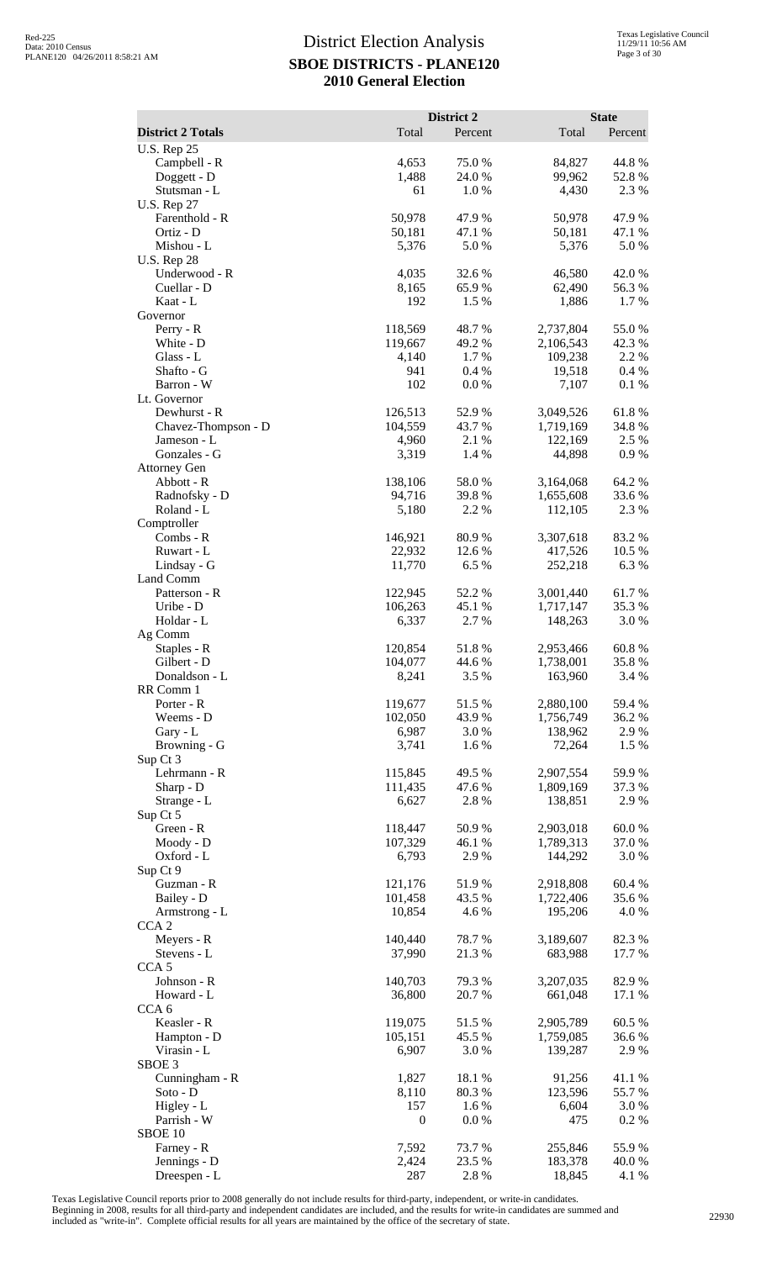|                                      |                    | District 2       |                        | <b>State</b>    |
|--------------------------------------|--------------------|------------------|------------------------|-----------------|
| <b>District 2 Totals</b>             | Total              | Percent          | Total                  | Percent         |
| <b>U.S. Rep 25</b><br>Campbell - R   | 4,653              | 75.0%            | 84,827                 | 44.8%           |
| Doggett - D                          | 1,488              | 24.0 %           | 99,962                 | 52.8%           |
| Stutsman - L                         | 61                 | 1.0%             | 4,430                  | 2.3 %           |
| <b>U.S. Rep 27</b><br>Farenthold - R | 50,978             | 47.9%            | 50,978                 | 47.9%           |
| Ortiz - D                            | 50,181             | 47.1 %           | 50,181                 | 47.1 %          |
| Mishou - L                           | 5,376              | 5.0%             | 5,376                  | 5.0%            |
| <b>U.S. Rep 28</b>                   |                    |                  |                        |                 |
| Underwood - R<br>Cuellar - D         | 4,035<br>8,165     | 32.6 %<br>65.9%  | 46,580<br>62,490       | 42.0%<br>56.3%  |
| Kaat - L                             | 192                | 1.5 %            | 1,886                  | 1.7%            |
| Governor                             |                    |                  |                        |                 |
| Perry - R<br>White - D               | 118,569<br>119,667 | 48.7%<br>49.2 %  | 2,737,804<br>2,106,543 | 55.0%<br>42.3 % |
| Glass - L                            | 4,140              | 1.7 %            | 109,238                | 2.2 %           |
| Shafto - G                           | 941                | 0.4%             | 19,518                 | 0.4 %           |
| Barron - W                           | 102                | 0.0 %            | 7,107                  | 0.1 %           |
| Lt. Governor<br>Dewhurst - R         | 126,513            | 52.9%            | 3,049,526              | 61.8%           |
| Chavez-Thompson - D                  | 104,559            | 43.7%            | 1,719,169              | 34.8%           |
| Jameson - L                          | 4,960              | 2.1 %            | 122,169                | 2.5 %           |
| Gonzales - G<br><b>Attorney Gen</b>  | 3,319              | 1.4 %            | 44,898                 | 0.9%            |
| Abbott - R                           | 138,106            | 58.0%            | 3,164,068              | 64.2 %          |
| Radnofsky - D                        | 94,716             | 39.8%            | 1,655,608              | 33.6 %          |
| Roland - L                           | 5,180              | 2.2 %            | 112,105                | 2.3 %           |
| Comptroller<br>Combs - R             | 146,921            | 80.9%            | 3,307,618              | 83.2%           |
| Ruwart - L                           | 22,932             | 12.6 %           | 417,526                | 10.5 %          |
| Lindsay - G                          | 11,770             | 6.5 %            | 252,218                | 6.3%            |
| Land Comm                            |                    |                  |                        |                 |
| Patterson - R<br>Uribe - D           | 122,945<br>106,263 | 52.2 %<br>45.1 % | 3,001,440<br>1,717,147 | 61.7%<br>35.3%  |
| Holdar - L                           | 6,337              | 2.7%             | 148,263                | 3.0%            |
| Ag Comm                              |                    |                  |                        |                 |
| Staples - R                          | 120,854            | 51.8%            | 2,953,466              | 60.8%           |
| Gilbert - D<br>Donaldson - L         | 104,077<br>8,241   | 44.6 %<br>3.5 %  | 1,738,001<br>163,960   | 35.8%<br>3.4 %  |
| RR Comm 1                            |                    |                  |                        |                 |
| Porter - R                           | 119,677            | 51.5%            | 2,880,100              | 59.4 %          |
| Weems - D<br>Gary - L                | 102,050<br>6,987   | 43.9%<br>3.0%    | 1,756,749<br>138,962   | 36.2%<br>2.9%   |
| Browning - G                         | 3,741              | 1.6%             | 72,264                 | 1.5 %           |
| Sup Ct 3                             |                    |                  |                        |                 |
| Lehrmann - R                         | 115,845            | 49.5 %           | 2,907,554              | 59.9%           |
| Sharp - D<br>Strange - L             | 111,435<br>6,627   | 47.6 %<br>2.8%   | 1,809,169<br>138,851   | 37.3 %<br>2.9%  |
| Sup Ct 5                             |                    |                  |                        |                 |
| Green - R                            | 118,447            | 50.9%            | 2,903,018              | 60.0%           |
| Moody - D<br>Oxford - L              | 107,329<br>6,793   | 46.1 %<br>2.9%   | 1,789,313<br>144,292   | 37.0%           |
| Sup Ct 9                             |                    |                  |                        | 3.0%            |
| Guzman - R                           | 121,176            | 51.9%            | 2,918,808              | 60.4 %          |
| Bailey - D                           | 101,458            | 43.5 %           | 1,722,406              | 35.6%           |
| Armstrong - L<br>CCA <sub>2</sub>    | 10,854             | 4.6%             | 195,206                | 4.0 %           |
| Meyers - R                           | 140,440            | 78.7%            | 3,189,607              | 82.3%           |
| Stevens - L                          | 37,990             | 21.3%            | 683,988                | 17.7 %          |
| CCA <sub>5</sub>                     |                    |                  |                        |                 |
| Johnson - R<br>Howard - L            | 140,703<br>36,800  | 79.3 %<br>20.7%  | 3,207,035<br>661,048   | 82.9%<br>17.1 % |
| CCA <sub>6</sub>                     |                    |                  |                        |                 |
| Keasler - R                          | 119,075            | 51.5%            | 2,905,789              | 60.5 %          |
| Hampton - D                          | 105,151            | 45.5 %           | 1,759,085              | 36.6%           |
| Virasin - L<br>SBOE <sub>3</sub>     | 6,907              | 3.0%             | 139,287                | 2.9%            |
| Cunningham - R                       | 1,827              | 18.1%            | 91,256                 | 41.1%           |
| $Soto - D$                           | 8,110              | 80.3%            | 123,596                | 55.7%           |
| Higley - L                           | 157                | 1.6%             | 6,604                  | 3.0%            |
| Parrish - W<br>SBOE 10               | $\boldsymbol{0}$   | 0.0 %            | 475                    | 0.2 %           |
| Farney - R                           | 7,592              | 73.7 %           | 255,846                | 55.9%           |
| Jennings - D                         | 2,424              | 23.5 %           | 183,378                | 40.0%           |
| Dreespen - L                         | 287                | 2.8 %            | 18,845                 | 4.1 %           |

Texas Legislative Council reports prior to 2008 generally do not include results for third-party, independent, or write-in candidates.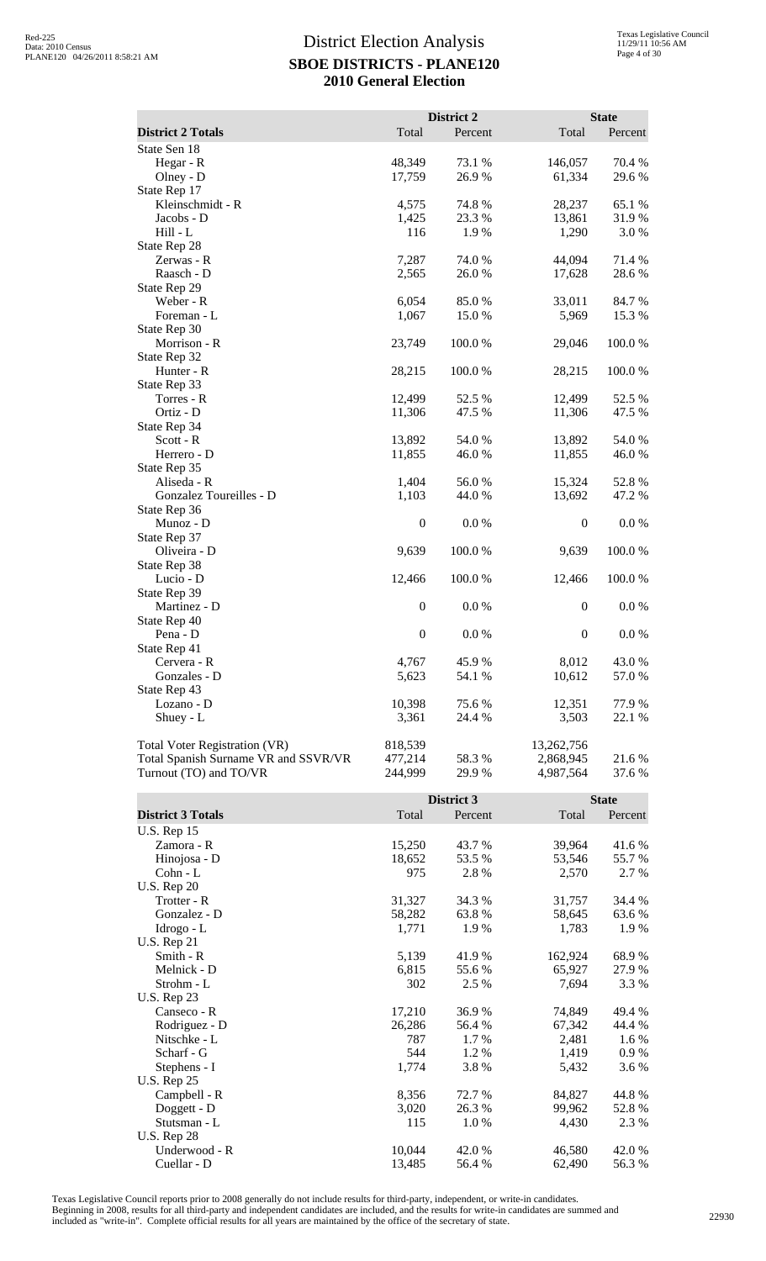|                                                                       |                    | District 2       |                        | <b>State</b>    |
|-----------------------------------------------------------------------|--------------------|------------------|------------------------|-----------------|
| <b>District 2 Totals</b>                                              | Total              | Percent          | Total                  | Percent         |
| State Sen 18                                                          |                    |                  |                        |                 |
| Hegar - R<br>Olney - D                                                | 48,349<br>17,759   | 73.1 %<br>26.9%  | 146,057<br>61,334      | 70.4 %<br>29.6% |
| State Rep 17                                                          |                    |                  |                        |                 |
| Kleinschmidt - R                                                      | 4,575              | 74.8%            | 28,237                 | 65.1 %          |
| Jacobs - D                                                            | 1,425              | 23.3 %           | 13,861                 | 31.9%           |
| $Hill - L$                                                            | 116                | 1.9%             | 1,290                  | 3.0%            |
| State Rep 28                                                          |                    |                  |                        |                 |
| Zerwas - R                                                            | 7,287              | 74.0%            | 44,094                 | 71.4 %          |
| Raasch - D                                                            | 2,565              | 26.0%            | 17,628                 | 28.6%           |
| State Rep 29                                                          |                    |                  |                        |                 |
| Weber - R<br>Foreman - L                                              | 6,054<br>1,067     | 85.0%<br>15.0 %  | 33,011<br>5,969        | 84.7%<br>15.3 % |
| State Rep 30                                                          |                    |                  |                        |                 |
| Morrison - R                                                          | 23,749             | 100.0%           | 29,046                 | 100.0 %         |
| State Rep 32                                                          |                    |                  |                        |                 |
| Hunter - R                                                            | 28,215             | 100.0%           | 28,215                 | 100.0%          |
| State Rep 33                                                          |                    |                  |                        |                 |
| Torres - R                                                            | 12,499             | 52.5 %           | 12,499                 | 52.5 %          |
| Ortiz - D                                                             | 11,306             | 47.5 %           | 11,306                 | 47.5 %          |
| State Rep 34                                                          |                    |                  |                        |                 |
| $Scott - R$                                                           | 13,892             | 54.0%            | 13,892                 | 54.0%           |
| Herrero - D<br>State Rep 35                                           | 11,855             | 46.0%            | 11,855                 | 46.0%           |
| Aliseda - R                                                           | 1,404              | 56.0%            | 15,324                 | 52.8%           |
| Gonzalez Toureilles - D                                               | 1,103              | 44.0 %           | 13,692                 | 47.2 %          |
| State Rep 36                                                          |                    |                  |                        |                 |
| Munoz - D                                                             | $\boldsymbol{0}$   | $0.0\ \%$        | $\boldsymbol{0}$       | 0.0 %           |
| State Rep 37                                                          |                    |                  |                        |                 |
| Oliveira - D                                                          | 9,639              | 100.0%           | 9,639                  | 100.0%          |
| State Rep 38                                                          |                    |                  |                        |                 |
| Lucio - D                                                             | 12,466             | 100.0%           | 12,466                 | 100.0%          |
| State Rep 39                                                          |                    |                  |                        |                 |
| Martinez - D                                                          | $\boldsymbol{0}$   | 0.0 %            | $\boldsymbol{0}$       | 0.0 %           |
| State Rep 40<br>Pena - D                                              | $\boldsymbol{0}$   | 0.0 %            | $\boldsymbol{0}$       | 0.0 %           |
| State Rep 41                                                          |                    |                  |                        |                 |
| Cervera - R                                                           | 4,767              | 45.9%            | 8,012                  | 43.0%           |
| Gonzales - D                                                          | 5,623              | 54.1 %           | 10,612                 | 57.0 %          |
| State Rep 43                                                          |                    |                  |                        |                 |
| Lozano - D                                                            | 10,398             | 75.6 %           | 12,351                 | 77.9 %          |
| Shuey - L                                                             | 3,361              | 24.4 %           | 3,503                  | 22.1 %          |
|                                                                       |                    |                  |                        |                 |
| Total Voter Registration (VR)<br>Total Spanish Surname VR and SSVR/VR | 818,539            |                  | 13,262,756             | 21.6%           |
| Turnout (TO) and TO/VR                                                | 477,214<br>244,999 | 58.3 %<br>29.9 % | 2,868,945<br>4,987,564 | 37.6 %          |
|                                                                       |                    |                  |                        |                 |
|                                                                       |                    | District 3       |                        | <b>State</b>    |
| <b>District 3 Totals</b>                                              | Total              | Percent          | Total                  | Percent         |
| <b>U.S. Rep 15</b>                                                    |                    |                  |                        |                 |
| Zamora - R                                                            | 15,250             | 43.7%            | 39,964                 | 41.6%           |
| Hinojosa - D                                                          | 18,652             | 53.5 %           | 53,546                 | 55.7%           |
| Cohn - L                                                              | 975                | 2.8 %            | 2,570                  | 2.7 %           |
| <b>U.S. Rep 20</b>                                                    |                    |                  |                        |                 |
| Trotter - R                                                           | 31,327             | 34.3 %           | 31,757                 | 34.4 %          |
| Gonzalez - D                                                          | 58,282             | 63.8%            | 58,645                 | 63.6 %          |
| Idrogo - L                                                            | 1,771              | 1.9%             | 1,783                  | 1.9 %           |
| <b>U.S. Rep 21</b><br>Smith - R                                       | 5,139              | 41.9%            | 162,924                | 68.9%           |
| Melnick - D                                                           | 6,815              | 55.6%            | 65,927                 | 27.9 %          |
| Strohm - L                                                            | 302                | 2.5 %            | 7,694                  | 3.3 %           |
| <b>U.S. Rep 23</b>                                                    |                    |                  |                        |                 |
| Canseco - R                                                           | 17,210             | 36.9 %           | 74,849                 | 49.4 %          |
| Rodriguez - D                                                         | 26,286             | 56.4 %           | 67,342                 | 44.4 %          |
| Nitschke - L                                                          | 787                | 1.7 %            | 2,481                  | 1.6 %           |
| Scharf - G                                                            | 544                | 1.2%             | 1,419                  | 0.9 %           |

Texas Legislative Council reports prior to 2008 generally do not include results for third-party, independent, or write-in candidates. Beginning in 2008, results for all third-party and independent candidates are included, and the results for write-in candidates are summed and<br>included as "write-in". Complete official results for all years are maintained

U.S. Rep 25

Stutsman - L U.S. Rep 28

Cuellar - D

Stephens - I 1,774 3.8 % 5,432 3.6 %

Campbell - R<br>
Compbell - R<br>  $\begin{array}{cccc}\n 8,356 & 72.7 % & 84,827 & 44.8 % \\
 3,020 & 26.3 % & 99,962 & 52.8 % \end{array}$ Doggett - D<br>  $3,020$  26.3 % 99,962 52.8 %<br>
Stutsman - L<br>  $115$  1.0 % 4,430 2.3 %

Underwood - R<br>
Cuellar - D<br>
Cuellar - D<br>
Cuellar - D<br>
Cuellar - D<br>
Cuellar - D<br>
Cuellar - D<br>
Cuellar - D<br>
Cuellar - D<br>
Cuellar - D<br>
Cuellar - D<br>
Cuellar - D<br>
Cuellar - D<br>
Cuellar - D<br>
Cuellar - D<br>
Cuellar - D<br>
Cuellar - D<br>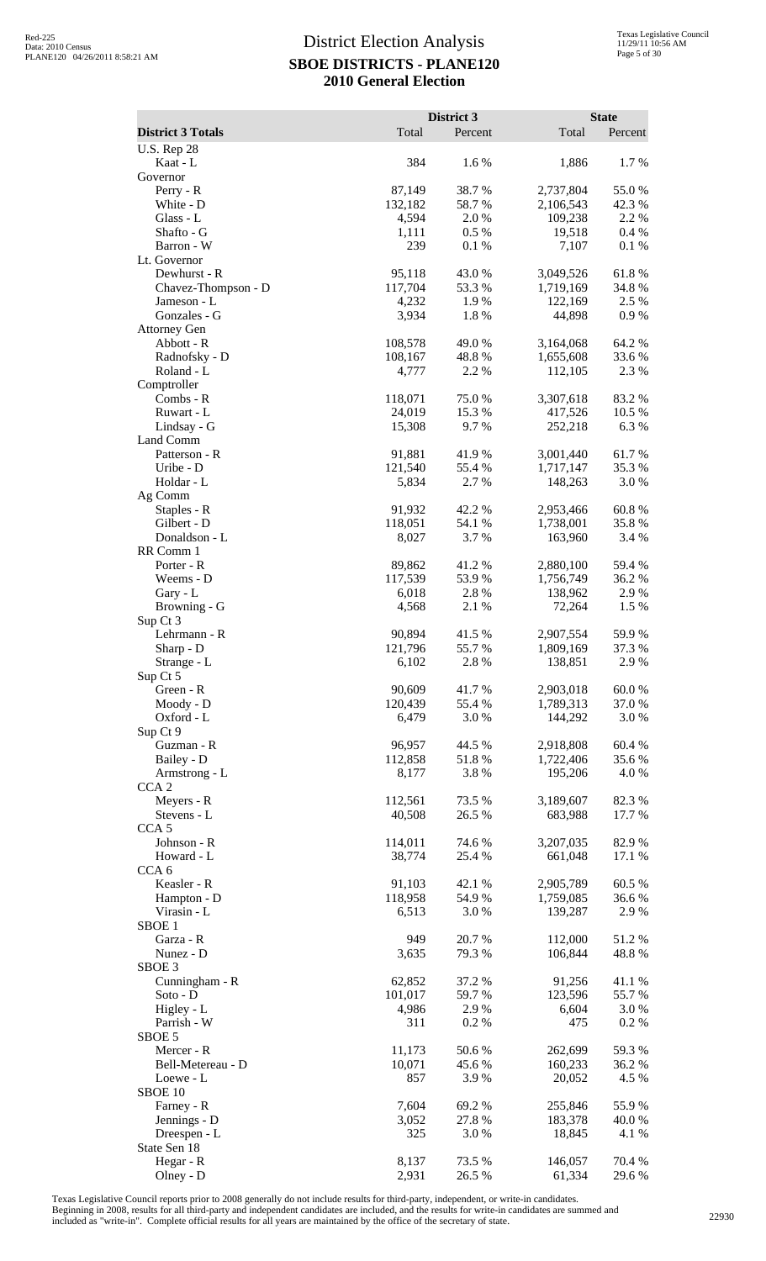|                                     |                   | District 3       |                        | <b>State</b>    |
|-------------------------------------|-------------------|------------------|------------------------|-----------------|
| <b>District 3 Totals</b>            | Total             | Percent          | Total                  | Percent         |
| <b>U.S. Rep 28</b><br>Kaat - L      | 384               | 1.6%             | 1,886                  | 1.7%            |
| Governor                            |                   |                  |                        |                 |
| Perry - R<br>White - D              | 87,149<br>132,182 | 38.7%<br>58.7 %  | 2,737,804<br>2,106,543 | 55.0%<br>42.3 % |
| Glass - L                           | 4,594             | 2.0 %            | 109,238                | 2.2 %           |
| Shafto - G                          | 1,111             | 0.5%             | 19,518                 | 0.4 %           |
| Barron - W                          | 239               | 0.1 %            | 7,107                  | 0.1%            |
| Lt. Governor<br>Dewhurst - R        | 95,118            | 43.0%            | 3,049,526              | 61.8%           |
| Chavez-Thompson - D                 | 117,704           | 53.3 %           | 1,719,169              | 34.8%           |
| Jameson - L                         | 4,232             | 1.9%             | 122,169                | 2.5 %           |
| Gonzales - G<br><b>Attorney Gen</b> | 3,934             | 1.8%             | 44,898                 | 0.9%            |
| Abbott - R                          | 108,578           | 49.0%            | 3,164,068              | 64.2 %          |
| Radnofsky - D                       | 108,167           | 48.8%            | 1,655,608              | 33.6 %          |
| Roland - L<br>Comptroller           | 4,777             | 2.2 %            | 112,105                | 2.3 %           |
| Combs - R                           | 118,071           | 75.0%            | 3,307,618              | 83.2%           |
| Ruwart - L                          | 24,019            | 15.3 %           | 417,526                | 10.5 %          |
| Lindsay - G<br>Land Comm            | 15,308            | 9.7%             | 252,218                | 6.3%            |
| Patterson - R                       | 91,881            | 41.9%            | 3,001,440              | 61.7%           |
| Uribe - D                           | 121,540           | 55.4 %           | 1,717,147              | 35.3 %          |
| Holdar - L<br>Ag Comm               | 5,834             | 2.7 %            | 148,263                | 3.0%            |
| Staples - R                         | 91,932            | 42.2 %           | 2,953,466              | 60.8%           |
| Gilbert - D                         | 118,051           | 54.1 %           | 1,738,001              | 35.8%           |
| Donaldson - L                       | 8,027             | 3.7%             | 163,960                | 3.4 %           |
| RR Comm 1<br>Porter - R             | 89,862            | 41.2%            | 2,880,100              | 59.4 %          |
| Weems - D                           | 117,539           | 53.9 %           | 1,756,749              | 36.2 %          |
| Gary - L                            | 6,018             | 2.8 %            | 138,962                | 2.9%            |
| Browning - G<br>Sup Ct 3            | 4,568             | 2.1 %            | 72,264                 | 1.5 %           |
| Lehrmann - R                        | 90,894            | 41.5 %           | 2,907,554              | 59.9%           |
| Sharp - D                           | 121,796           | 55.7%            | 1,809,169              | 37.3 %          |
| Strange - L<br>Sup Ct 5             | 6,102             | 2.8%             | 138,851                | 2.9 %           |
| Green - R                           | 90,609            | 41.7%            | 2,903,018              | 60.0%           |
| Moody - D                           | 120,439           | 55.4 %           | 1,789,313              | 37.0 %          |
| Oxford - L<br>Sup Ct 9              | 6,479             | 3.0%             | 144,292                | 3.0%            |
| Guzman - R                          | 96,957            | 44.5 %           | 2,918,808              | 60.4%           |
| Bailey - D                          | 112,858           | 51.8%            | 1,722,406              | 35.6%           |
| Armstrong - L                       | 8,177             | 3.8%             | 195,206                | 4.0%            |
| CCA <sub>2</sub><br>Meyers - R      | 112,561           | 73.5 %           | 3,189,607              | 82.3%           |
| Stevens - L                         | 40,508            | 26.5 %           | 683,988                | 17.7 %          |
| CCA <sub>5</sub>                    |                   |                  |                        |                 |
| Johnson - R<br>Howard - L           | 114,011<br>38,774 | 74.6 %<br>25.4 % | 3,207,035<br>661,048   | 82.9%<br>17.1 % |
| CCA <sub>6</sub>                    |                   |                  |                        |                 |
| Keasler - R                         | 91,103            | 42.1 %           | 2,905,789              | 60.5 %          |
| Hampton - D<br>Virasin - L          | 118,958<br>6,513  | 54.9%<br>3.0%    | 1,759,085<br>139,287   | 36.6 %<br>2.9%  |
| SBOE <sub>1</sub>                   |                   |                  |                        |                 |
| Garza - R                           | 949               | 20.7%            | 112,000                | 51.2%           |
| Nunez - D<br>SBOE <sub>3</sub>      | 3,635             | 79.3 %           | 106,844                | 48.8%           |
| Cunningham - R                      | 62,852            | 37.2 %           | 91,256                 | 41.1 %          |
| $Soto - D$                          | 101,017           | 59.7%            | 123,596                | 55.7%           |
| Higley - L<br>Parrish - W           | 4,986<br>311      | 2.9%<br>0.2%     | 6,604<br>475           | 3.0%            |
| SBOE 5                              |                   |                  |                        | 0.2 %           |
| Mercer - R                          | 11,173            | 50.6%            | 262,699                | 59.3%           |
| Bell-Metereau - D                   | 10,071            | 45.6%            | 160,233                | 36.2%           |
| Loewe - L<br>SBOE 10                | 857               | 3.9%             | 20,052                 | 4.5 %           |
| Farney - R                          | 7,604             | 69.2%            | 255,846                | 55.9%           |
| Jennings - D                        | 3,052             | 27.8%            | 183,378                | 40.0%           |
| Dreespen - L<br>State Sen 18        | 325               | 3.0%             | 18,845                 | 4.1 %           |
| Hegar - R                           | 8,137             | 73.5 %           | 146,057                | 70.4 %          |
| Olney - D                           | 2,931             | 26.5 %           | 61,334                 | 29.6%           |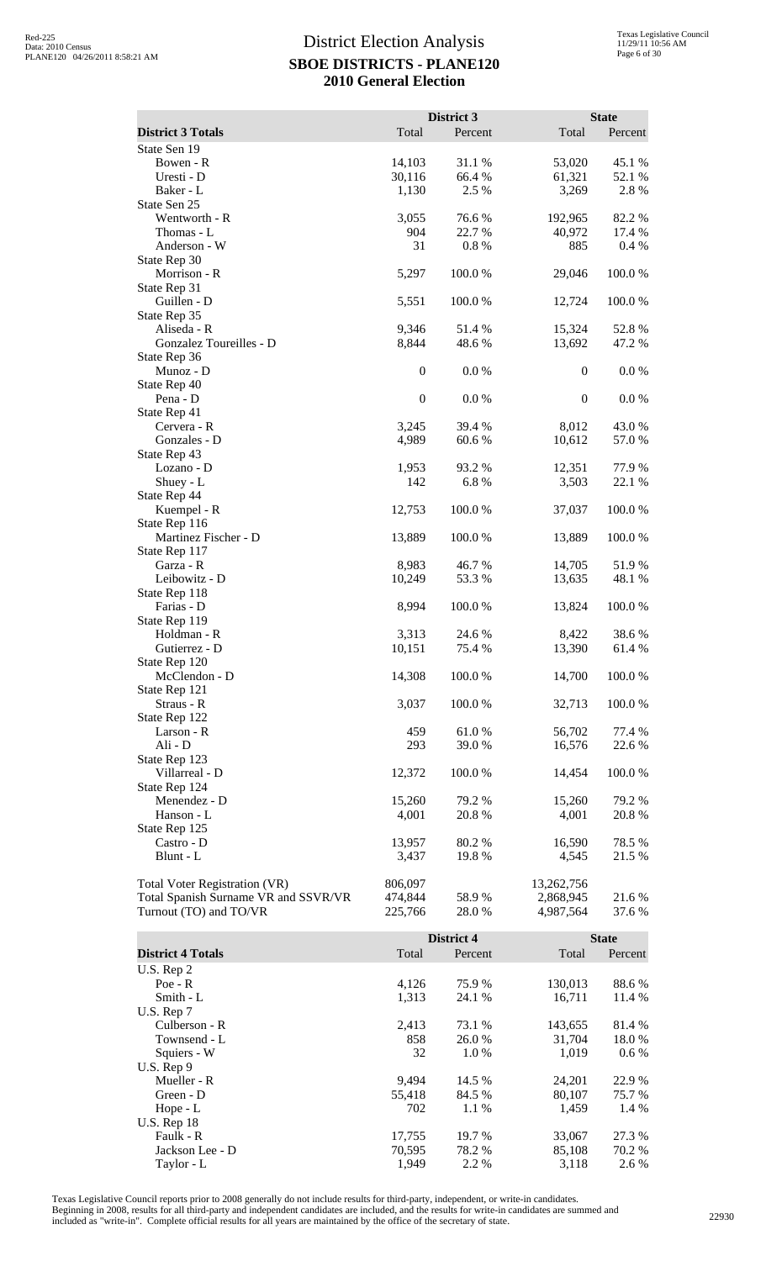|                                      |                  | District 3      |                  | <b>State</b>   |
|--------------------------------------|------------------|-----------------|------------------|----------------|
| <b>District 3 Totals</b>             | Total            | Percent         | Total            | Percent        |
| State Sen 19                         |                  |                 |                  |                |
| Bowen - R                            | 14,103           | 31.1 %          | 53,020           | 45.1 %         |
| Uresti - D                           | 30,116           | 66.4 %          | 61,321           | 52.1 %         |
| Baker - L                            | 1,130            | 2.5 %           | 3,269            | 2.8%           |
| State Sen 25                         |                  |                 |                  |                |
| Wentworth - R                        | 3,055            | 76.6%           | 192,965          | 82.2%          |
| Thomas - L                           | 904              | 22.7 %          | 40,972           | 17.4 %         |
| Anderson - W                         | 31               | 0.8%            | 885              | 0.4 %          |
| State Rep 30                         |                  |                 |                  |                |
| Morrison - R                         | 5,297            | 100.0%          | 29,046           | 100.0%         |
| State Rep 31                         |                  |                 |                  |                |
| Guillen - D                          | 5,551            | 100.0%          | 12,724           | 100.0%         |
| State Rep 35                         |                  |                 |                  |                |
| Aliseda - R                          | 9,346            | 51.4%           | 15,324           | 52.8%          |
| Gonzalez Toureilles - D              | 8,844            | 48.6%           | 13,692           | 47.2 %         |
| State Rep 36                         |                  |                 |                  |                |
| Munoz - D                            | $\boldsymbol{0}$ | 0.0 %           | $\boldsymbol{0}$ | 0.0 %          |
| State Rep 40                         |                  |                 |                  |                |
| Pena - D                             | $\mathbf{0}$     | 0.0 %           | $\mathbf{0}$     | $0.0\ \%$      |
| State Rep 41<br>Cervera - R          |                  |                 |                  |                |
| Gonzales - D                         | 3,245<br>4,989   | 39.4 %<br>60.6% | 8,012<br>10,612  | 43.0%<br>57.0% |
| State Rep 43                         |                  |                 |                  |                |
| Lozano - D                           | 1,953            | 93.2 %          | 12,351           | 77.9 %         |
| Shuey - L                            | 142              | 6.8%            | 3,503            | 22.1 %         |
| State Rep 44                         |                  |                 |                  |                |
| Kuempel - R                          | 12,753           | 100.0%          | 37,037           | 100.0%         |
| State Rep 116                        |                  |                 |                  |                |
| Martinez Fischer - D                 | 13,889           | 100.0%          | 13,889           | 100.0%         |
| State Rep 117                        |                  |                 |                  |                |
| Garza - R                            | 8,983            | 46.7%           | 14,705           | 51.9%          |
| Leibowitz - D                        | 10,249           | 53.3 %          | 13,635           | 48.1 %         |
| State Rep 118                        |                  |                 |                  |                |
| Farias - D                           | 8,994            | 100.0%          | 13,824           | 100.0%         |
| State Rep 119                        |                  |                 |                  |                |
| Holdman - R                          | 3,313            | 24.6 %          | 8,422            | 38.6%          |
| Gutierrez - D                        | 10,151           | 75.4 %          | 13,390           | 61.4%          |
| State Rep 120                        |                  |                 |                  |                |
| McClendon - D                        | 14,308           | 100.0%          | 14,700           | 100.0%         |
| State Rep 121                        |                  |                 |                  |                |
| Straus - R                           | 3,037            | 100.0%          | 32,713           | 100.0%         |
| State Rep 122                        |                  |                 |                  |                |
| Larson - R<br>Ali - D                | 459              | 61.0%           | 56,702           | 77.4 %         |
| State Rep 123                        | 293              | 39.0 %          | 16,576           | 22.6 %         |
| Villarreal - D                       | 12,372           | 100.0%          | 14,454           | 100.0%         |
| State Rep 124                        |                  |                 |                  |                |
| Menendez - D                         | 15,260           | 79.2 %          | 15,260           | 79.2 %         |
| Hanson - L                           | 4,001            | 20.8 %          | 4,001            | 20.8 %         |
| State Rep 125                        |                  |                 |                  |                |
| Castro - D                           | 13,957           | 80.2%           | 16,590           | 78.5 %         |
| Blunt - L                            | 3,437            | 19.8%           | 4,545            | 21.5 %         |
|                                      |                  |                 |                  |                |
| <b>Total Voter Registration (VR)</b> | 806,097          |                 | 13,262,756       |                |
| Total Spanish Surname VR and SSVR/VR | 474,844          | 58.9%           | 2,868,945        | 21.6%          |
| Turnout (TO) and TO/VR               | 225,766          | 28.0 %          | 4,987,564        | 37.6 %         |
|                                      |                  |                 |                  |                |
|                                      |                  | District 4      |                  | <b>State</b>   |
| <b>District 4 Totals</b>             | Total            | Percent         | Total            | Percent        |
| $U.S.$ Rep $2$                       |                  |                 |                  |                |
| Poe - R                              | 4,126            | 75.9%           | 130,013          | 88.6%          |
| Smith - L                            | 1,313            | 24.1 %          | 16,711           | 11.4 %         |

Texas Legislative Council reports prior to 2008 generally do not include results for third-party, independent, or write-in candidates.

U.S. Rep 7

U.S. Rep 18<br>Faulk - R

Squiers - W U.S. Rep 9

Beginning in 2008, results for all third-party and independent candidates are included, and the results for write-in candidates are summed and<br>included as "write-in". Complete official results for all years are maintained

Culberson - R<br>
Townsend - L<br>
Townsend - L<br>  $858$ <br>  $26.0\%$ <br>  $31,704$ <br>  $18.0\%$ Townsend - L<br>
Squiers - W<br>
Squiers - W<br>  $32 \t30\% \t31,704 \t18.0\%$ <br>  $31,704 \t18.0\%$ <br>  $1,019 \t0.6\%$ 

Mueller - R<br>
Green - D<br>
S5,418 24.5 % 24,201 22.9 % 30,107 75.7 % Green - D<br>
Hope - L<br>  $\begin{array}{ccc} 55,418 & 84.5\% & 80,107 & 75.7\% \\ 702 & 1.1\% & 1,459 & 1.4\% \end{array}$ Hope - L 1.1 % 1,459 1.4 %

Faulk - R 17,755 19.7 % 33,067 27.3 % Faulk - R<br>
Jackson Lee - D<br>
Taylor - L<br>
Taylor - L<br>
Taylor - L<br>
Taylor - L<br>
Taylor - L<br>
Taylor - L<br>
Taylor - L<br>
Taylor - L<br>
Taylor - L<br>
Taylor - L<br>
Taylor - L<br>
Taylor - L<br>
Taylor - L<br>
Taylor - L<br>
Taylor - L<br>
Taylor - L<br>
Ta Taylor - L 1,949 2.2 % 3,118 2.6 %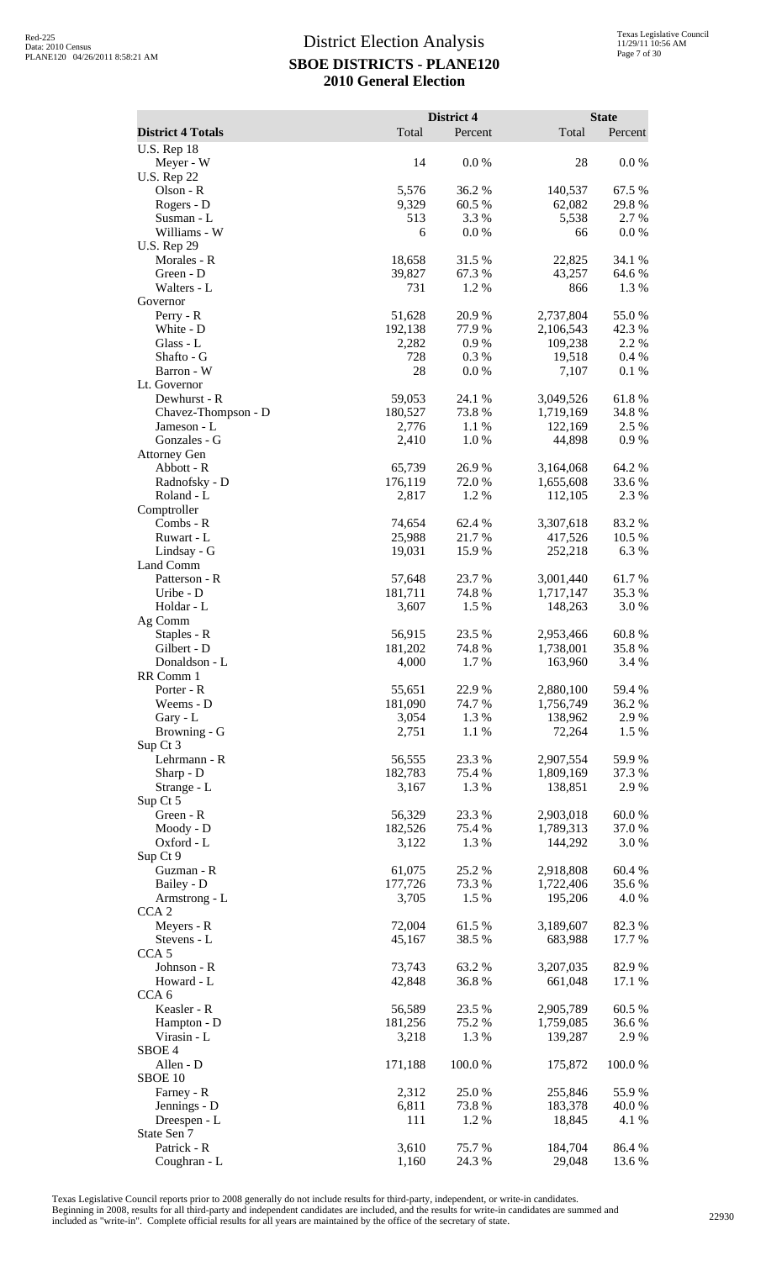|                                    |                   | District 4      |                        | <b>State</b>    |
|------------------------------------|-------------------|-----------------|------------------------|-----------------|
| <b>District 4 Totals</b>           | Total             | Percent         | Total                  | Percent         |
| U.S. Rep 18                        |                   |                 |                        |                 |
| Meyer - W                          | 14                | 0.0 %           | 28                     | 0.0 %           |
| <b>U.S. Rep 22</b><br>Olson - R    | 5,576             | 36.2%           | 140,537                | 67.5 %          |
| Rogers - D                         | 9,329             | 60.5 %          | 62,082                 | 29.8%           |
| Susman - L                         | 513               | 3.3 %           | 5,538                  | 2.7 %           |
| Williams - W                       | 6                 | 0.0 %           | 66                     | 0.0 %           |
| <b>U.S. Rep 29</b><br>Morales - R  | 18,658            | 31.5 %          | 22,825                 | 34.1 %          |
| Green - D                          | 39,827            | 67.3 %          | 43,257                 | 64.6%           |
| Walters - L                        | 731               | 1.2%            | 866                    | 1.3%            |
| Governor                           |                   |                 |                        |                 |
| $Perry - R$                        | 51,628            | 20.9%           | 2,737,804              | 55.0%           |
| White - D<br>Glass - L             | 192,138<br>2,282  | 77.9 %<br>0.9%  | 2,106,543<br>109,238   | 42.3 %<br>2.2 % |
| Shafto - G                         | 728               | 0.3%            | 19,518                 | 0.4 %           |
| Barron - W                         | 28                | 0.0 %           | 7,107                  | 0.1%            |
| Lt. Governor                       |                   |                 |                        |                 |
| Dewhurst - R                       | 59,053            | 24.1 %          | 3,049,526              | 61.8%           |
| Chavez-Thompson - D<br>Jameson - L | 180,527<br>2,776  | 73.8%<br>1.1 %  | 1,719,169<br>122,169   | 34.8%<br>2.5 %  |
| Gonzales - G                       | 2,410             | 1.0%            | 44,898                 | 0.9%            |
| <b>Attorney Gen</b>                |                   |                 |                        |                 |
| Abbott - R                         | 65,739            | 26.9%           | 3,164,068              | 64.2 %          |
| Radnofsky - D<br>Roland - L        | 176,119<br>2,817  | 72.0%<br>1.2%   | 1,655,608<br>112,105   | 33.6%<br>2.3 %  |
| Comptroller                        |                   |                 |                        |                 |
| Combs - R                          | 74,654            | 62.4 %          | 3,307,618              | 83.2%           |
| Ruwart - L                         | 25,988            | 21.7 %          | 417,526                | 10.5 %          |
| Lindsay - G                        | 19,031            | 15.9%           | 252,218                | 6.3%            |
| Land Comm                          |                   | 23.7 %          |                        | 61.7%           |
| Patterson - R<br>Uribe - D         | 57,648<br>181,711 | 74.8%           | 3,001,440<br>1,717,147 | 35.3 %          |
| Holdar - L                         | 3,607             | 1.5 %           | 148,263                | 3.0%            |
| Ag Comm                            |                   |                 |                        |                 |
| Staples - R                        | 56,915            | 23.5 %          | 2,953,466              | 60.8%           |
| Gilbert - D<br>Donaldson - L       | 181,202<br>4,000  | 74.8%<br>1.7%   | 1,738,001<br>163,960   | 35.8%<br>3.4 %  |
| RR Comm 1                          |                   |                 |                        |                 |
| Porter - R                         | 55,651            | 22.9 %          | 2,880,100              | 59.4 %          |
| Weems - D                          | 181,090           | 74.7 %          | 1,756,749              | 36.2%           |
| Gary - L                           | 3,054             | 1.3 %           | 138,962                | 2.9%            |
| Browning - G<br>Sup Ct 3           | 2,751             | 1.1 %           | 72,264                 | 1.5 %           |
| Lehrmann - R                       | 56,555            | 23.3 %          | 2,907,554              | 59.9%           |
| Sharp - D                          | 182,783           | 75.4 %          | 1,809,169              | 37.3 %          |
| Strange - L                        | 3,167             | 1.3%            | 138,851                | 2.9%            |
| Sup Ct 5<br>Green - R              | 56,329            | 23.3 %          | 2,903,018              | 60.0%           |
| Moody - D                          | 182,526           | 75.4 %          | 1,789,313              | 37.0%           |
| Oxford - L                         | 3,122             | 1.3%            | 144,292                | 3.0%            |
| Sup Ct 9                           |                   |                 |                        |                 |
| Guzman - R                         | 61,075            | 25.2 %          | 2,918,808              | 60.4%           |
| Bailey - D<br>Armstrong - L        | 177,726<br>3,705  | 73.3 %<br>1.5 % | 1,722,406<br>195,206   | 35.6%<br>4.0 %  |
| CCA <sub>2</sub>                   |                   |                 |                        |                 |
| Meyers - R                         | 72,004            | 61.5%           | 3,189,607              | 82.3%           |
| Stevens - L                        | 45,167            | 38.5 %          | 683,988                | 17.7 %          |
| CCA <sub>5</sub>                   |                   |                 |                        |                 |
| Johnson - R<br>Howard - L          | 73,743<br>42,848  | 63.2 %<br>36.8% | 3,207,035<br>661,048   | 82.9%<br>17.1 % |
| CCA <sub>6</sub>                   |                   |                 |                        |                 |
| Keasler - R                        | 56,589            | 23.5 %          | 2,905,789              | 60.5 %          |
| Hampton - D                        | 181,256           | 75.2 %          | 1,759,085              | 36.6%           |
| Virasin - L                        | 3,218             | 1.3%            | 139,287                | 2.9%            |
| SBOE <sub>4</sub><br>Allen - D     |                   | 100.0%          |                        | 100.0%          |
| SBOE 10                            | 171,188           |                 | 175,872                |                 |
| Farney - R                         | 2,312             | 25.0%           | 255,846                | 55.9%           |
| Jennings - D                       | 6,811             | 73.8 %          | 183,378                | 40.0%           |
| Dreespen - L                       | 111               | 1.2%            | 18,845                 | 4.1 %           |
| State Sen 7<br>Patrick - R         | 3,610             | 75.7%           | 184,704                | 86.4%           |
| Coughran - L                       | 1,160             | 24.3 %          | 29,048                 | 13.6 %          |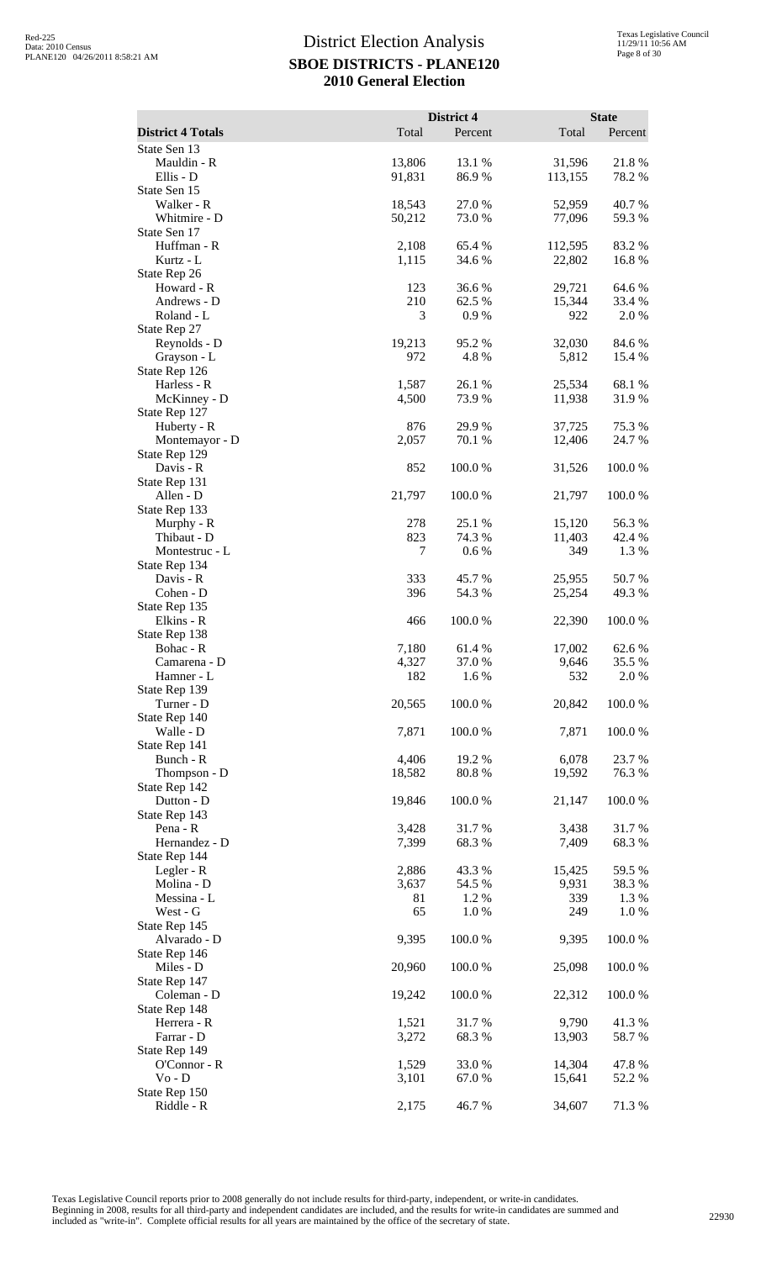|                                 |                | District 4       |                  | <b>State</b>    |
|---------------------------------|----------------|------------------|------------------|-----------------|
| <b>District 4 Totals</b>        | Total          | Percent          | Total            | Percent         |
| State Sen 13<br>Mauldin - R     | 13,806         | 13.1 %           | 31,596           | 21.8%           |
| Ellis - D                       | 91,831         | 86.9%            | 113,155          | 78.2 %          |
| State Sen 15                    |                |                  |                  |                 |
| Walker - R                      | 18,543         | 27.0%            | 52,959           | 40.7 %          |
| Whitmire - D                    | 50,212         | 73.0 %           | 77,096           | 59.3%           |
| State Sen 17<br>Huffman - R     | 2,108          | 65.4 %           | 112,595          | 83.2%           |
| Kurtz - L                       | 1,115          | 34.6 %           | 22,802           | 16.8%           |
| State Rep 26                    |                |                  |                  |                 |
| Howard - R                      | 123            | 36.6%            | 29,721           | 64.6 %          |
| Andrews - D<br>Roland - L       | 210<br>3       | 62.5 %<br>0.9%   | 15,344<br>922    | 33.4 %<br>2.0%  |
| State Rep 27                    |                |                  |                  |                 |
| Reynolds - D                    | 19,213         | 95.2%            | 32,030           | 84.6 %          |
| Grayson - L                     | 972            | 4.8%             | 5,812            | 15.4 %          |
| State Rep 126                   |                |                  |                  |                 |
| Harless - R<br>McKinney - D     | 1,587<br>4,500 | 26.1 %<br>73.9 % | 25,534<br>11,938 | 68.1 %<br>31.9% |
| State Rep 127                   |                |                  |                  |                 |
| Huberty - R                     | 876            | 29.9%            | 37,725           | 75.3 %          |
| Montemayor - D                  | 2,057          | 70.1 %           | 12,406           | 24.7 %          |
| State Rep 129                   |                |                  |                  |                 |
| Davis - R<br>State Rep 131      | 852            | 100.0%           | 31,526           | 100.0%          |
| Allen - D                       | 21,797         | 100.0%           | 21,797           | 100.0%          |
| State Rep 133                   |                |                  |                  |                 |
| Murphy - R                      | 278            | 25.1 %           | 15,120           | 56.3%           |
| Thibaut - D                     | 823            | 74.3 %           | 11,403           | 42.4 %          |
| Montestruc - L<br>State Rep 134 | 7              | 0.6 %            | 349              | 1.3%            |
| Davis - R                       | 333            | 45.7 %           | 25,955           | 50.7%           |
| Cohen - D                       | 396            | 54.3 %           | 25,254           | 49.3 %          |
| State Rep 135                   |                |                  |                  |                 |
| Elkins - R                      | 466            | 100.0%           | 22,390           | $100.0~\%$      |
| State Rep 138<br>Bohac - R      | 7,180          | 61.4 %           | 17,002           | 62.6 %          |
| Camarena - D                    | 4,327          | 37.0%            | 9,646            | 35.5 %          |
| Hamner - L                      | 182            | 1.6 %            | 532              | 2.0 %           |
| State Rep 139                   |                |                  |                  |                 |
| Turner - D                      | 20,565         | 100.0%           | 20,842           | 100.0%          |
| State Rep 140<br>Walle - D      | 7,871          | 100.0%           | 7,871            | 100.0%          |
| State Rep 141                   |                |                  |                  |                 |
| Bunch - R                       | 4,406          | 19.2 %           | 6,078            | 23.7 %          |
| Thompson - D                    | 18,582         | 80.8%            | 19,592           | 76.3 %          |
| State Rep 142                   |                | 100.0%           |                  |                 |
| Dutton - D<br>State Rep 143     | 19,846         |                  | 21,147           | 100.0%          |
| Pena - R                        | 3,428          | 31.7%            | 3,438            | 31.7 %          |
| Hernandez - D                   | 7,399          | 68.3 %           | 7,409            | 68.3%           |
| State Rep 144                   |                |                  |                  |                 |
| Legler - R                      | 2,886          | 43.3 %           | 15,425           | 59.5 %          |
| Molina - D<br>Messina - L       | 3,637<br>81    | 54.5 %<br>1.2%   | 9,931<br>339     | 38.3%<br>1.3 %  |
| West - G                        | 65             | 1.0%             | 249              | 1.0%            |
| State Rep 145                   |                |                  |                  |                 |
| Alvarado - D                    | 9,395          | 100.0%           | 9,395            | 100.0%          |
| State Rep 146<br>Miles - D      | 20,960         | 100.0%           | 25,098           | 100.0%          |
| State Rep 147                   |                |                  |                  |                 |
| Coleman - D                     | 19,242         | 100.0%           | 22,312           | 100.0%          |
| State Rep 148                   |                |                  |                  |                 |
| Herrera - R                     | 1,521          | 31.7%            | 9,790            | 41.3%           |
| Farrar - D                      | 3,272          | 68.3%            | 13,903           | 58.7%           |
| State Rep 149<br>O'Connor - R   | 1,529          | 33.0%            | 14,304           | 47.8%           |
| $Vo - D$                        | 3,101          | 67.0%            | 15,641           | 52.2 %          |
| State Rep 150                   |                |                  |                  |                 |
| Riddle - R                      | 2,175          | 46.7%            | 34,607           | 71.3 %          |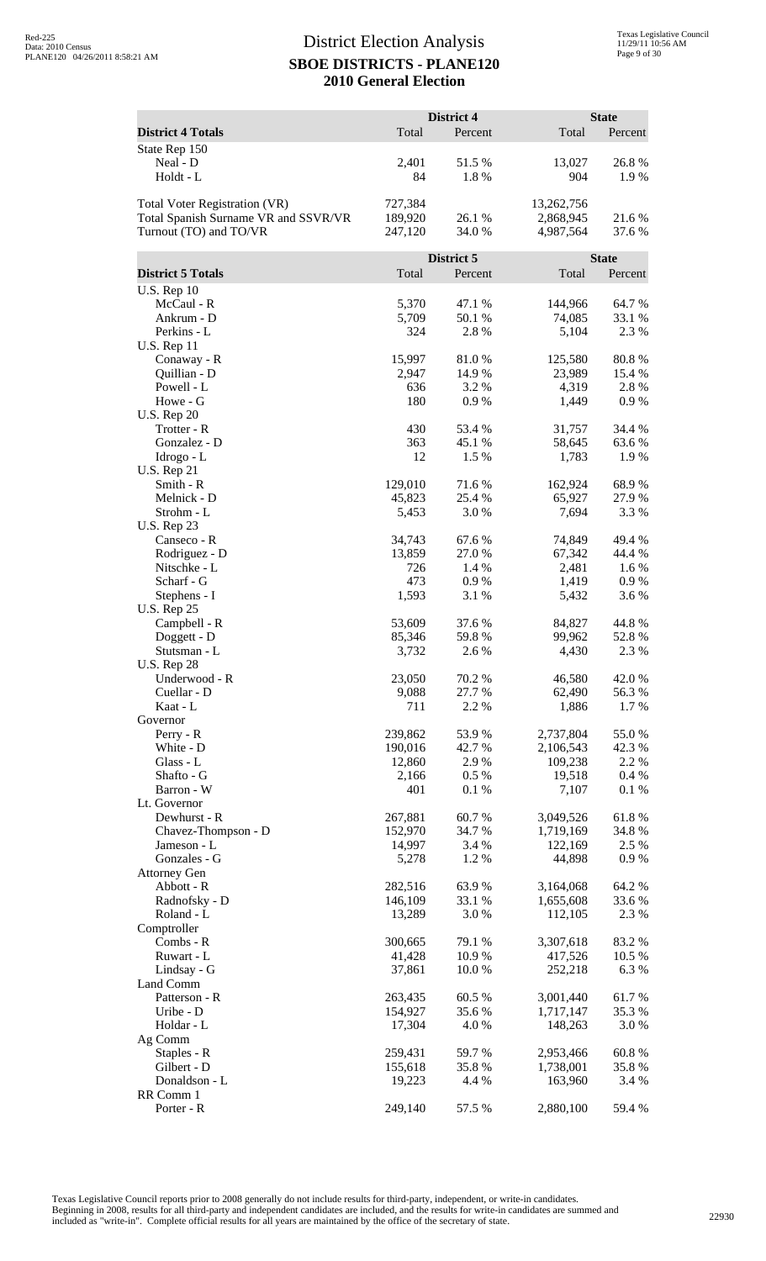|                                                                |                    | District 4      |                        | <b>State</b>    |
|----------------------------------------------------------------|--------------------|-----------------|------------------------|-----------------|
| <b>District 4 Totals</b>                                       | Total              | Percent         | Total                  | Percent         |
| State Rep 150                                                  |                    |                 |                        |                 |
| Neal - D<br>Holdt - L                                          | 2,401<br>84        | 51.5 %<br>1.8%  | 13,027<br>904          | 26.8%<br>1.9 %  |
|                                                                |                    |                 |                        |                 |
| Total Voter Registration (VR)                                  | 727,384            |                 | 13,262,756             |                 |
| Total Spanish Surname VR and SSVR/VR<br>Turnout (TO) and TO/VR | 189,920<br>247,120 | 26.1 %<br>34.0% | 2,868,945<br>4,987,564 | 21.6 %<br>37.6% |
|                                                                |                    |                 |                        |                 |
|                                                                |                    | District 5      |                        | <b>State</b>    |
| <b>District 5 Totals</b><br><b>U.S. Rep 10</b>                 | Total              | Percent         | Total                  | Percent         |
| McCaul - R                                                     | 5,370              | 47.1 %          | 144,966                | 64.7%           |
| Ankrum - D                                                     | 5,709              | 50.1 %          | 74,085                 | 33.1 %          |
| Perkins - L<br><b>U.S. Rep 11</b>                              | 324                | 2.8 %           | 5,104                  | 2.3 %           |
| Conaway - R                                                    | 15,997             | 81.0%           | 125,580                | 80.8%           |
| Quillian - D                                                   | 2,947              | 14.9%           | 23,989                 | 15.4 %          |
| Powell - L                                                     | 636                | 3.2 %           | 4,319                  | 2.8%            |
| Howe - G<br><b>U.S. Rep 20</b>                                 | 180                | 0.9%            | 1,449                  | 0.9%            |
| Trotter - R                                                    | 430                | 53.4 %          | 31,757                 | 34.4 %          |
| Gonzalez - D                                                   | 363                | 45.1 %          | 58,645                 | 63.6%           |
| Idrogo - L<br><b>U.S. Rep 21</b>                               | 12                 | 1.5 %           | 1,783                  | 1.9%            |
| Smith - R                                                      | 129,010            | 71.6%           | 162,924                | 68.9%           |
| Melnick - D                                                    | 45,823             | 25.4 %          | 65,927                 | 27.9%           |
| Strohm - L<br><b>U.S. Rep 23</b>                               | 5,453              | 3.0%            | 7,694                  | 3.3 %           |
| Canseco - R                                                    | 34,743             | 67.6%           | 74,849                 | 49.4 %          |
| Rodriguez - D                                                  | 13,859             | 27.0%           | 67,342                 | 44.4 %          |
| Nitschke - L                                                   | 726                | 1.4 %           | 2,481                  | 1.6 %           |
| Scharf - G<br>Stephens - I                                     | 473<br>1,593       | 0.9%<br>3.1 %   | 1,419<br>5,432         | 0.9 %<br>3.6%   |
| <b>U.S. Rep 25</b>                                             |                    |                 |                        |                 |
| Campbell - R                                                   | 53,609             | 37.6%           | 84,827                 | 44.8%           |
| Doggett - D<br>Stutsman - L                                    | 85,346<br>3,732    | 59.8%<br>2.6%   | 99,962<br>4,430        | 52.8%<br>2.3 %  |
| <b>U.S. Rep 28</b>                                             |                    |                 |                        |                 |
| Underwood - R                                                  | 23,050             | 70.2 %          | 46,580                 | 42.0 %          |
| Cuellar - D<br>Kaat - L                                        | 9,088<br>711       | 27.7 %<br>2.2 % | 62,490<br>1,886        | 56.3%<br>1.7 %  |
| Governor                                                       |                    |                 |                        |                 |
| Perry - R                                                      | 239,862            | 53.9%           | 2,737,804              | 55.0%           |
| White - D<br>Glass - L                                         | 190,016<br>12,860  | 42.7 %<br>2.9%  | 2,106,543<br>109,238   | 42.3 %<br>2.2 % |
| Shafto - G                                                     | 2,166              | 0.5 %           | 19,518                 | 0.4 %           |
| Barron - W                                                     | 401                | $0.1~\%$        | 7,107                  | 0.1%            |
| Lt. Governor                                                   |                    |                 |                        |                 |
| Dewhurst - R<br>Chavez-Thompson - D                            | 267,881<br>152,970 | 60.7%<br>34.7%  | 3,049,526<br>1,719,169 | 61.8%<br>34.8%  |
| Jameson - L                                                    | 14,997             | 3.4 %           | 122,169                | 2.5 %           |
| Gonzales - G                                                   | 5,278              | 1.2%            | 44,898                 | 0.9 %           |
| <b>Attorney Gen</b><br>Abbott - R                              | 282,516            | 63.9%           | 3,164,068              | 64.2 %          |
| Radnofsky - D                                                  | 146,109            | 33.1 %          | 1,655,608              | 33.6 %          |
| Roland - L                                                     | 13,289             | 3.0%            | 112,105                | 2.3 %           |
| Comptroller<br>Combs - R                                       | 300,665            | 79.1 %          | 3,307,618              | 83.2%           |
| Ruwart - L                                                     | 41,428             | 10.9%           | 417,526                | 10.5 %          |
| Lindsay - G                                                    | 37,861             | 10.0%           | 252,218                | 6.3%            |
| Land Comm<br>Patterson - R                                     | 263,435            |                 |                        |                 |
| Uribe - D                                                      | 154,927            | 60.5 %<br>35.6% | 3,001,440<br>1,717,147 | 61.7%<br>35.3%  |
| Holdar - L                                                     | 17,304             | 4.0%            | 148,263                | 3.0%            |
| Ag Comm                                                        |                    |                 |                        |                 |
| Staples - R<br>Gilbert - D                                     | 259,431<br>155,618 | 59.7%<br>35.8%  | 2,953,466<br>1,738,001 | 60.8%<br>35.8%  |
| Donaldson - L                                                  | 19,223             | 4.4 %           | 163,960                | 3.4 %           |
| RR Comm 1                                                      |                    |                 |                        |                 |
| Porter - R                                                     | 249,140            | 57.5 %          | 2,880,100              | 59.4 %          |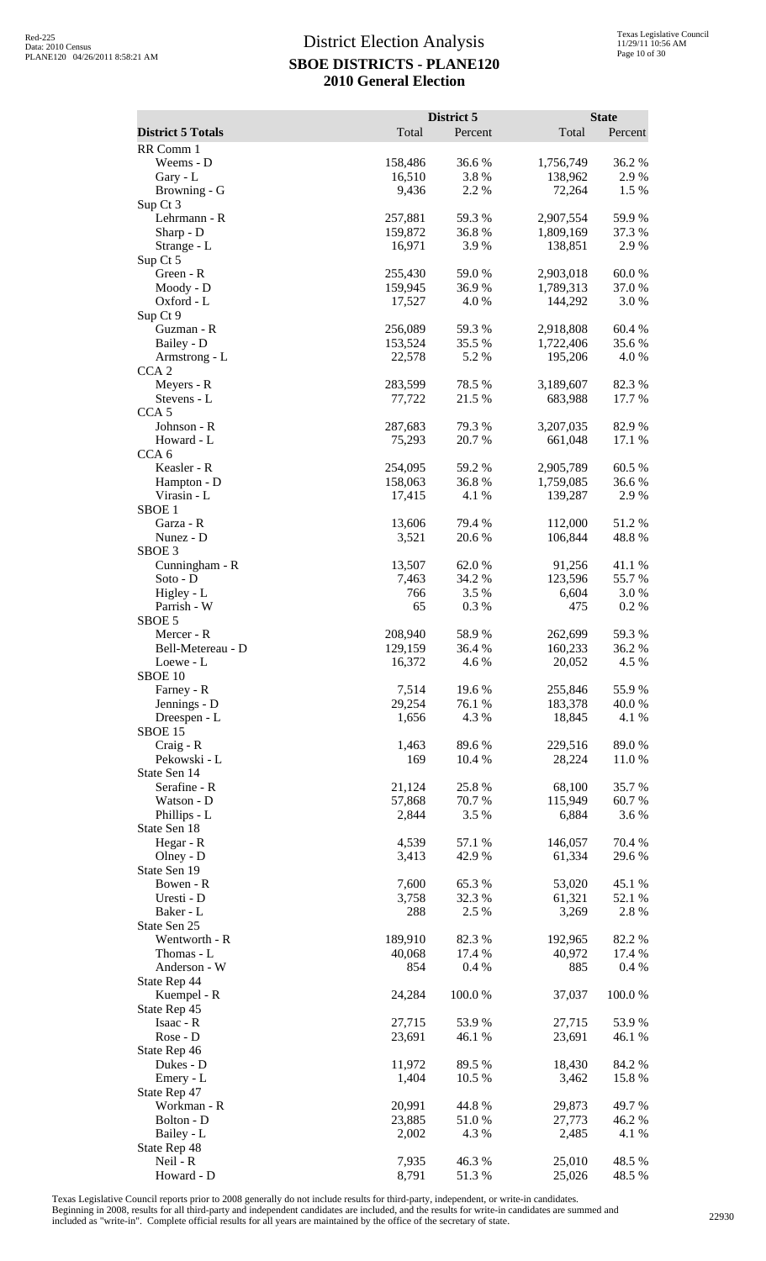|                                   |                    | District 5       |                        | <b>State</b>     |
|-----------------------------------|--------------------|------------------|------------------------|------------------|
| <b>District 5 Totals</b>          | Total              | Percent          | Total                  | Percent          |
| RR Comm 1<br>Weems - D            | 158,486            | 36.6%            | 1,756,749              | 36.2%            |
| Gary - L                          | 16,510             | 3.8%             | 138,962                | 2.9%             |
| Browning - G                      | 9,436              | 2.2 %            | 72,264                 | 1.5 %            |
| Sup Ct 3                          |                    |                  |                        |                  |
| Lehrmann - R<br>Sharp - D         | 257,881<br>159,872 | 59.3%<br>36.8%   | 2,907,554<br>1,809,169 | 59.9%<br>37.3 %  |
| Strange - L                       | 16,971             | 3.9%             | 138,851                | 2.9 %            |
| Sup Ct 5                          |                    |                  |                        |                  |
| Green - R                         | 255,430            | 59.0 %           | 2,903,018              | 60.0%            |
| Moody - D<br>Oxford - L           | 159,945<br>17,527  | 36.9%<br>4.0%    | 1,789,313<br>144,292   | 37.0%<br>3.0%    |
| Sup Ct 9                          |                    |                  |                        |                  |
| Guzman - R                        | 256,089            | 59.3 %           | 2,918,808              | 60.4%            |
| Bailey - D                        | 153,524            | 35.5 %           | 1,722,406              | 35.6 %           |
| Armstrong - L<br>CCA <sub>2</sub> | 22,578             | 5.2 %            | 195,206                | 4.0%             |
| Meyers - R                        | 283,599            | 78.5 %           | 3,189,607              | 82.3 %           |
| Stevens - L                       | 77,722             | 21.5 %           | 683,988                | 17.7 %           |
| CCA <sub>5</sub>                  |                    |                  |                        |                  |
| Johnson - R<br>Howard - L         | 287,683<br>75,293  | 79.3 %<br>20.7 % | 3,207,035<br>661,048   | 82.9%<br>17.1 %  |
| CCA <sub>6</sub>                  |                    |                  |                        |                  |
| Keasler - R                       | 254,095            | 59.2 %           | 2,905,789              | 60.5 %           |
| Hampton - D                       | 158,063            | 36.8%            | 1,759,085              | 36.6%            |
| Virasin - L<br>SBOE <sub>1</sub>  | 17,415             | 4.1 %            | 139,287                | 2.9%             |
| Garza - R                         | 13,606             | 79.4 %           | 112,000                | 51.2%            |
| Nunez - D                         | 3,521              | 20.6 %           | 106,844                | 48.8%            |
| SBOE <sub>3</sub>                 |                    |                  |                        |                  |
| Cunningham - R<br>$Soto - D$      | 13,507<br>7,463    | 62.0%<br>34.2 %  | 91,256<br>123,596      | 41.1 %<br>55.7%  |
| Higley - L                        | 766                | 3.5 %            | 6,604                  | 3.0%             |
| Parrish - W                       | 65                 | 0.3%             | 475                    | 0.2%             |
| SBOE 5                            |                    |                  |                        |                  |
| Mercer - R<br>Bell-Metereau - D   | 208,940<br>129,159 | 58.9%<br>36.4 %  | 262,699<br>160,233     | 59.3%<br>36.2%   |
| Loewe - L                         | 16,372             | 4.6 %            | 20,052                 | 4.5 %            |
| SBOE 10                           |                    |                  |                        |                  |
| Farney - R                        | 7,514              | 19.6%            | 255,846                | 55.9%            |
| Jennings - D<br>Dreespen - L      | 29,254<br>1,656    | 76.1 %<br>4.3 %  | 183,378<br>18,845      | 40.0 %<br>4.1 %  |
| SBOE 15                           |                    |                  |                        |                  |
| Craig - R                         | 1,463              | 89.6%            | 229,516                | 89.0%            |
| Pekowski - L                      | 169                | 10.4 %           | 28,224                 | 11.0 %           |
| State Sen 14<br>Serafine - R      | 21,124             | 25.8%            | 68,100                 | 35.7%            |
| Watson - D                        | 57,868             | 70.7%            | 115,949                | 60.7%            |
| Phillips - L                      | 2,844              | 3.5 %            | 6,884                  | 3.6 %            |
| State Sen 18                      |                    |                  |                        |                  |
| Hegar - R<br>Olney - D            | 4,539<br>3,413     | 57.1 %<br>42.9 % | 146,057<br>61,334      | 70.4 %<br>29.6 % |
| State Sen 19                      |                    |                  |                        |                  |
| Bowen - R                         | 7,600              | 65.3%            | 53,020                 | 45.1 %           |
| Uresti - D<br>Baker - L           | 3,758<br>288       | 32.3 %<br>2.5 %  | 61,321<br>3,269        | 52.1 %<br>2.8%   |
| State Sen 25                      |                    |                  |                        |                  |
| Wentworth - R                     | 189,910            | 82.3 %           | 192,965                | 82.2%            |
| Thomas - L                        | 40,068             | 17.4 %           | 40,972                 | 17.4 %           |
| Anderson - W<br>State Rep 44      | 854                | 0.4%             | 885                    | 0.4 %            |
| Kuempel - R                       | 24,284             | 100.0%           | 37,037                 | 100.0%           |
| State Rep 45                      |                    |                  |                        |                  |
| Isaac - R                         | 27,715             | 53.9%            | 27,715                 | 53.9%            |
| Rose - D<br>State Rep 46          | 23,691             | 46.1 %           | 23,691                 | 46.1 %           |
| Dukes - D                         | 11,972             | 89.5 %           | 18,430                 | 84.2 %           |
| Emery - L                         | 1,404              | 10.5 %           | 3,462                  | 15.8%            |
| State Rep 47                      |                    |                  |                        |                  |
| Workman - R<br>Bolton - D         | 20,991<br>23,885   | 44.8%<br>51.0%   | 29,873<br>27,773       | 49.7%<br>46.2 %  |
| Bailey - L                        | 2,002              | 4.3 %            | 2,485                  | 4.1 %            |
| State Rep 48                      |                    |                  |                        |                  |
| Neil - R                          | 7,935              | 46.3%            | 25,010                 | 48.5 %           |
| Howard - D                        | 8,791              | 51.3%            | 25,026                 | 48.5 %           |

Texas Legislative Council reports prior to 2008 generally do not include results for third-party, independent, or write-in candidates.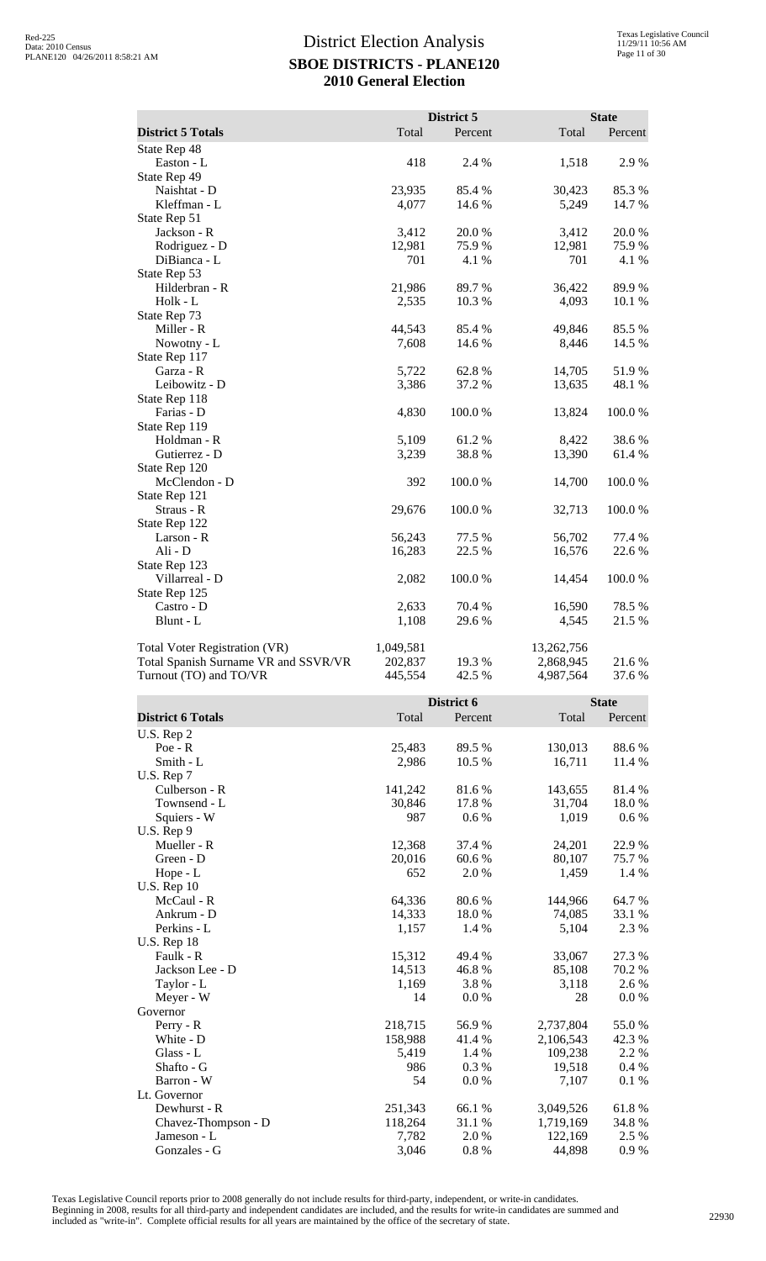|                                      | District 5                 |         |            | <b>State</b> |  |
|--------------------------------------|----------------------------|---------|------------|--------------|--|
| <b>District 5 Totals</b>             | Total                      | Percent | Total      | Percent      |  |
| State Rep 48                         |                            |         |            |              |  |
| Easton - L                           | 418                        | 2.4 %   | 1,518      | 2.9%         |  |
| State Rep 49                         |                            |         |            |              |  |
| Naishtat - D                         | 23,935                     | 85.4 %  | 30,423     | 85.3%        |  |
| Kleffman - L                         | 4,077                      | 14.6 %  | 5,249      | 14.7 %       |  |
| State Rep 51                         |                            |         |            |              |  |
| Jackson - R                          | 3,412                      | 20.0%   | 3,412      | 20.0%        |  |
|                                      | 12,981                     | 75.9%   | 12,981     | 75.9%        |  |
| Rodriguez - D                        |                            |         |            |              |  |
| DiBianca - L                         | 701                        | 4.1 %   | 701        | 4.1 %        |  |
| State Rep 53                         |                            |         |            |              |  |
| Hilderbran - R                       | 21,986                     | 89.7%   | 36,422     | 89.9%        |  |
| Holk - L                             | 2,535                      | 10.3 %  | 4,093      | 10.1 %       |  |
| State Rep 73                         |                            |         |            |              |  |
| Miller - R                           | 44,543                     | 85.4 %  | 49,846     | 85.5 %       |  |
| Nowotny - L                          | 7,608                      | 14.6 %  | 8,446      | 14.5 %       |  |
| State Rep 117                        |                            |         |            |              |  |
| Garza - R                            | 5,722                      | 62.8%   | 14,705     | 51.9%        |  |
| Leibowitz - D                        | 3,386                      | 37.2 %  | 13,635     | 48.1 %       |  |
| State Rep 118                        |                            |         |            |              |  |
| Farias - D                           | 4,830                      | 100.0%  | 13,824     | 100.0%       |  |
| State Rep 119                        |                            |         |            |              |  |
| Holdman - R                          | 5,109                      | 61.2%   | 8,422      | 38.6%        |  |
| Gutierrez - D                        | 3,239                      | 38.8%   | 13,390     | 61.4 %       |  |
| State Rep 120                        |                            |         |            |              |  |
| McClendon - D                        | 392                        | 100.0%  | 14,700     | 100.0%       |  |
| State Rep 121                        |                            |         |            |              |  |
| Straus - R                           | 29,676                     | 100.0%  | 32,713     | 100.0%       |  |
| State Rep 122                        |                            |         |            |              |  |
| Larson - R                           | 56,243                     | 77.5 %  | 56,702     | 77.4 %       |  |
| Ali - D                              | 16,283                     | 22.5 %  | 16,576     | 22.6 %       |  |
| State Rep 123                        |                            |         |            |              |  |
| Villarreal - D                       | 2,082                      | 100.0%  | 14,454     | 100.0%       |  |
| State Rep 125                        |                            |         |            |              |  |
| Castro - D                           | 2,633                      | 70.4 %  | 16,590     | 78.5 %       |  |
| Blunt - L                            | 1,108                      | 29.6 %  | 4,545      | 21.5 %       |  |
|                                      |                            |         |            |              |  |
| <b>Total Voter Registration (VR)</b> | 1,049,581                  |         | 13,262,756 |              |  |
| Total Spanish Surname VR and SSVR/VR | 202,837                    | 19.3 %  | 2,868,945  | 21.6 %       |  |
| Turnout (TO) and TO/VR               | 445,554                    | 42.5 %  | 4,987,564  | 37.6 %       |  |
|                                      |                            |         |            |              |  |
|                                      | District 6<br><b>State</b> |         |            |              |  |
|                                      |                            |         |            |              |  |
| <b>District 6 Totals</b>             | Total                      | Percent | Total      | Percent      |  |
| $U.S.$ Rep $2$                       |                            |         |            |              |  |
| $Poe - R$                            | 25,483                     | 89.5 %  | 130,013    | 88.6%        |  |
| Smith - L                            | 2,986                      | 10.5 %  | 16,711     | 11.4 %       |  |
| U.S. Rep 7                           |                            |         |            |              |  |

| U.S. Rep 2          |         |         |           |         |
|---------------------|---------|---------|-----------|---------|
| $Poe - R$           | 25,483  | 89.5 %  | 130,013   | 88.6%   |
| $Smith - L$         | 2,986   | 10.5 %  | 16,711    | 11.4 %  |
| U.S. Rep $7$        |         |         |           |         |
| Culberson - R       | 141,242 | 81.6 %  | 143,655   | 81.4%   |
| Townsend - L        | 30,846  | 17.8 %  | 31,704    | 18.0%   |
| Squiers - W         | 987     | 0.6 %   | 1,019     | 0.6 %   |
| U.S. Rep 9          |         |         |           |         |
| Mueller - R         | 12,368  | 37.4 %  | 24,201    | 22.9 %  |
| Green - D           | 20,016  | 60.6 %  | 80,107    | 75.7 %  |
| Hope - L            | 652     | 2.0 %   | 1,459     | 1.4 %   |
| <b>U.S. Rep 10</b>  |         |         |           |         |
| McCaul - R          | 64,336  | 80.6%   | 144,966   | 64.7%   |
| Ankrum - D          | 14,333  | 18.0%   | 74,085    | 33.1 %  |
| Perkins - L         | 1,157   | 1.4 %   | 5,104     | 2.3 %   |
| <b>U.S. Rep 18</b>  |         |         |           |         |
| Faulk - R           | 15,312  | 49.4 %  | 33,067    | 27.3 %  |
| Jackson Lee - D     | 14,513  | 46.8%   | 85,108    | 70.2 %  |
| Taylor - L          | 1,169   | 3.8%    | 3,118     | 2.6 %   |
| Meyer - W           | 14      | 0.0 %   | 28        | 0.0 %   |
| Governor            |         |         |           |         |
| Perry - R           | 218,715 | 56.9%   | 2,737,804 | 55.0%   |
| White - D           | 158,988 | 41.4 %  | 2,106,543 | 42.3 %  |
| Glass - $L$         | 5,419   | 1.4 %   | 109,238   | 2.2 %   |
| Shafto - G          | 986     | $0.3\%$ | 19,518    | $0.4\%$ |
| Barron - W          | 54      | 0.0 %   | 7,107     | 0.1%    |
| Lt. Governor        |         |         |           |         |
| Dewhurst - R        | 251,343 | 66.1 %  | 3,049,526 | 61.8%   |
| Chavez-Thompson - D | 118,264 | 31.1 %  | 1,719,169 | 34.8%   |
| Jameson - L         | 7,782   | 2.0 %   | 122,169   | 2.5 %   |
| Gonzales - G        | 3,046   | 0.8%    | 44,898    | 0.9%    |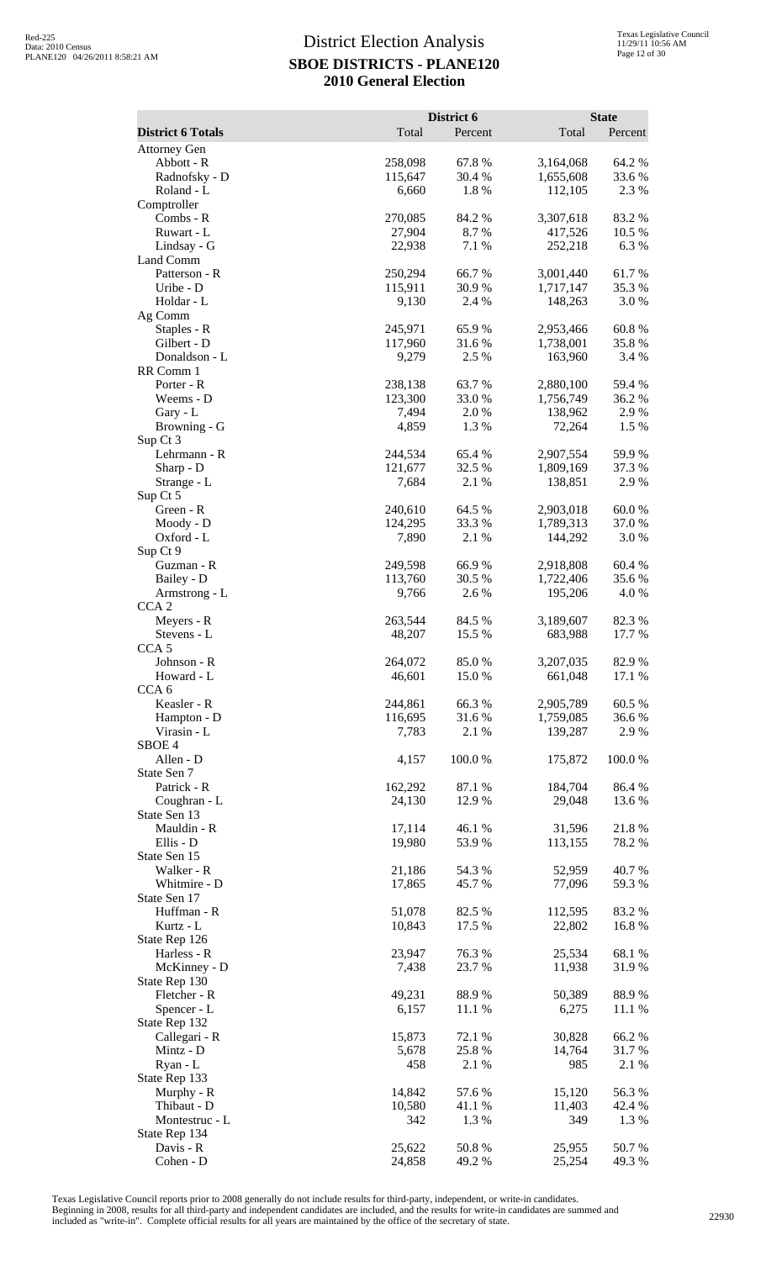|                                   |                    | District 6       |                        | <b>State</b>    |
|-----------------------------------|--------------------|------------------|------------------------|-----------------|
| <b>District 6 Totals</b>          | Total              | Percent          | Total                  | Percent         |
| <b>Attorney Gen</b><br>Abbott - R | 258,098            | 67.8%            | 3,164,068              | 64.2 %          |
| Radnofsky - D                     | 115,647            | 30.4 %           | 1,655,608              | 33.6%           |
| Roland - L                        | 6,660              | 1.8%             | 112,105                | 2.3 %           |
| Comptroller<br>Combs - R          | 270,085            | 84.2 %           |                        |                 |
| Ruwart - L                        | 27,904             | 8.7%             | 3,307,618<br>417,526   | 83.2%<br>10.5 % |
| Lindsay - G                       | 22,938             | 7.1 %            | 252,218                | 6.3%            |
| Land Comm                         |                    |                  |                        |                 |
| Patterson - R<br>Uribe - D        | 250,294<br>115,911 | 66.7%<br>30.9 %  | 3,001,440<br>1,717,147 | 61.7%<br>35.3%  |
| Holdar - L                        | 9,130              | 2.4 %            | 148,263                | 3.0%            |
| Ag Comm                           |                    |                  |                        |                 |
| Staples - R                       | 245,971            | 65.9%            | 2,953,466              | 60.8%           |
| Gilbert - D<br>Donaldson - L      | 117,960<br>9,279   | 31.6%<br>2.5 %   | 1,738,001              | 35.8%<br>3.4 %  |
| RR Comm 1                         |                    |                  | 163,960                |                 |
| Porter - R                        | 238,138            | 63.7%            | 2,880,100              | 59.4 %          |
| Weems - D                         | 123,300            | 33.0%            | 1,756,749              | 36.2 %          |
| Gary - L<br>Browning - G          | 7,494<br>4,859     | 2.0 %<br>1.3%    | 138,962<br>72,264      | 2.9 %<br>1.5 %  |
| Sup Ct 3                          |                    |                  |                        |                 |
| Lehrmann - R                      | 244,534            | 65.4 %           | 2,907,554              | 59.9%           |
| Sharp - D                         | 121,677            | 32.5 %           | 1,809,169              | 37.3 %          |
| Strange - L<br>Sup Ct 5           | 7,684              | 2.1 %            | 138,851                | 2.9%            |
| Green - R                         | 240,610            | 64.5 %           | 2,903,018              | 60.0%           |
| Moody - D                         | 124,295            | 33.3 %           | 1,789,313              | 37.0 %          |
| Oxford - L                        | 7,890              | 2.1 %            | 144,292                | 3.0%            |
| Sup Ct 9<br>Guzman - R            | 249,598            | 66.9%            | 2,918,808              | 60.4%           |
| Bailey - D                        | 113,760            | 30.5 %           | 1,722,406              | 35.6 %          |
| Armstrong - L                     | 9,766              | 2.6 %            | 195,206                | 4.0 %           |
| CCA <sub>2</sub>                  |                    |                  |                        |                 |
| Meyers - R<br>Stevens - L         | 263,544<br>48,207  | 84.5 %<br>15.5 % | 3,189,607<br>683,988   | 82.3%<br>17.7 % |
| CCA <sub>5</sub>                  |                    |                  |                        |                 |
| Johnson - R                       | 264,072            | 85.0%            | 3,207,035              | 82.9%           |
| Howard - L                        | 46,601             | 15.0 %           | 661,048                | 17.1 %          |
| CCA <sub>6</sub><br>Keasler - R   | 244,861            | 66.3%            | 2,905,789              | 60.5 %          |
| Hampton - D                       | 116,695            | 31.6%            | 1,759,085              | 36.6 %          |
| Virasin - L                       | 7,783              | 2.1 %            | 139,287                | 2.9 %           |
| SBOE <sub>4</sub>                 |                    |                  |                        |                 |
| Allen - D<br>State Sen 7          | 4,157              | 100.0%           | 175,872                | 100.0%          |
| Patrick - R                       | 162,292            | 87.1 %           | 184,704                | 86.4%           |
| Coughran - L                      | 24,130             | 12.9%            | 29,048                 | 13.6 %          |
| State Sen 13<br>Mauldin - R       | 17,114             | 46.1 %           | 31,596                 | 21.8%           |
| Ellis - D                         | 19,980             | 53.9%            | 113,155                | 78.2 %          |
| State Sen 15                      |                    |                  |                        |                 |
| Walker - R                        | 21,186             | 54.3 %           | 52,959                 | 40.7%           |
| Whitmire - D<br>State Sen 17      | 17,865             | 45.7 %           | 77,096                 | 59.3%           |
| Huffman - R                       | 51,078             | 82.5 %           | 112,595                | 83.2 %          |
| Kurtz - L                         | 10,843             | 17.5 %           | 22,802                 | 16.8%           |
| State Rep 126                     |                    |                  |                        |                 |
| Harless - R<br>McKinney - D       | 23,947<br>7,438    | 76.3%<br>23.7 %  | 25,534<br>11,938       | 68.1 %<br>31.9% |
| State Rep 130                     |                    |                  |                        |                 |
| Fletcher - R                      | 49,231             | 88.9%            | 50,389                 | 88.9%           |
| Spencer - L                       | 6,157              | 11.1 %           | 6,275                  | 11.1 %          |
| State Rep 132<br>Callegari - R    | 15,873             | 72.1 %           | 30,828                 | 66.2%           |
| Mintz - D                         | 5,678              | 25.8%            | 14,764                 | 31.7 %          |
| Ryan - L                          | 458                | 2.1 %            | 985                    | 2.1 %           |
| State Rep 133                     |                    |                  |                        |                 |
| Murphy - R<br>Thibaut - D         | 14,842<br>10,580   | 57.6%<br>41.1 %  | 15,120<br>11,403       | 56.3%<br>42.4 % |
| Montestruc - L                    | 342                | 1.3%             | 349                    | 1.3 %           |
| State Rep 134                     |                    |                  |                        |                 |
| Davis - R<br>Cohen - D            | 25,622<br>24,858   | 50.8%<br>49.2%   | 25,955<br>25,254       | 50.7%<br>49.3%  |
|                                   |                    |                  |                        |                 |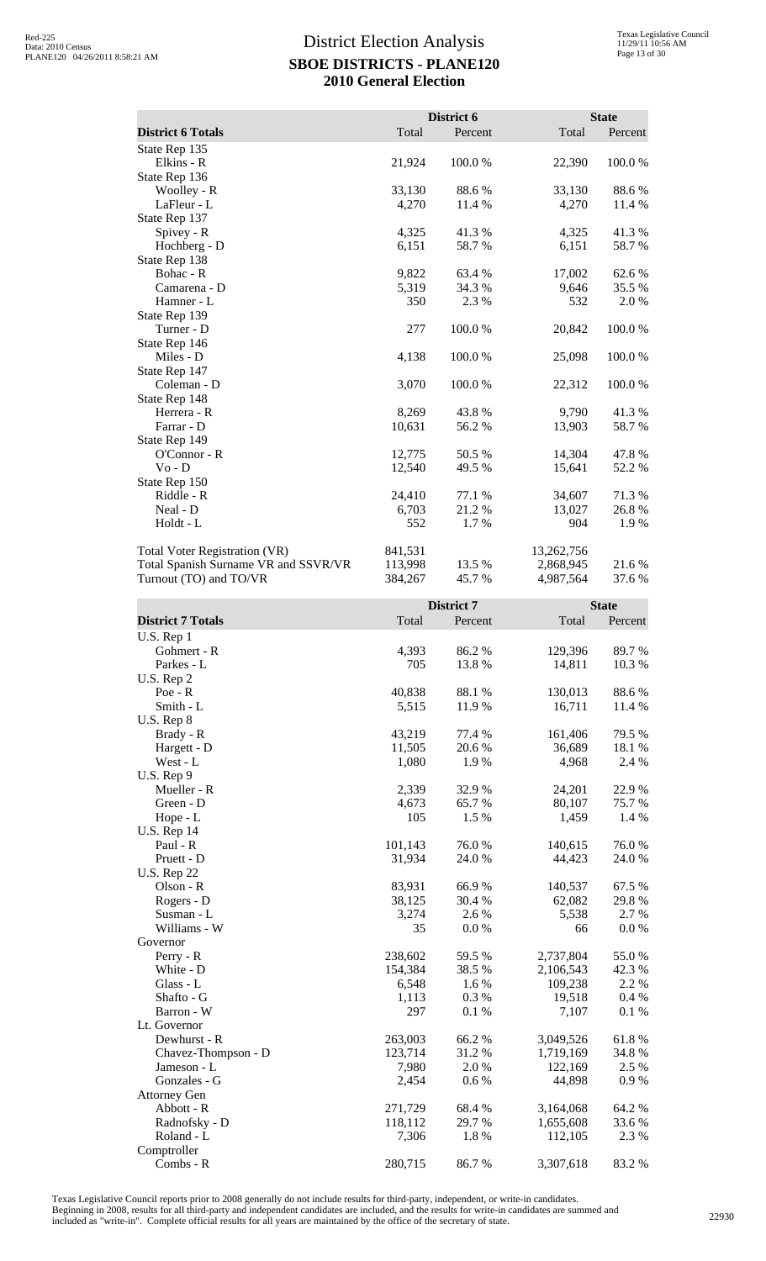|                                      |         | District 6 |            | <b>State</b> |
|--------------------------------------|---------|------------|------------|--------------|
| <b>District 6 Totals</b>             | Total   | Percent    | Total      | Percent      |
| State Rep 135                        |         |            |            |              |
| Elkins - R                           | 21,924  | 100.0%     | 22,390     | 100.0%       |
| State Rep 136                        |         |            |            |              |
| Woolley - R                          | 33,130  | 88.6%      | 33,130     | 88.6%        |
| LaFleur - L                          | 4,270   | 11.4 %     | 4,270      | 11.4 %       |
| State Rep 137                        |         |            |            |              |
| Spivey - R                           | 4,325   | 41.3%      | 4,325      | 41.3%        |
| Hochberg - D                         | 6,151   | 58.7 %     | 6,151      | 58.7%        |
| State Rep 138                        |         |            |            |              |
| Bohac - R                            | 9,822   | 63.4 %     | 17,002     | 62.6%        |
| Camarena - D                         | 5,319   | 34.3 %     | 9,646      | 35.5 %       |
| Hamner - L                           | 350     | 2.3 %      | 532        | 2.0%         |
| State Rep 139                        |         |            |            |              |
| Turner - D                           | 277     | 100.0%     | 20,842     | 100.0%       |
| State Rep 146                        |         |            |            |              |
| Miles - D                            | 4,138   | 100.0%     | 25,098     | 100.0%       |
| State Rep 147                        |         |            |            |              |
| Coleman - D                          | 3,070   | 100.0%     | 22,312     | 100.0%       |
| State Rep 148                        |         |            |            |              |
| Herrera - R                          | 8,269   | 43.8%      | 9,790      | 41.3%        |
| Farrar - D                           | 10,631  | 56.2 %     | 13,903     | 58.7 %       |
| State Rep 149                        |         |            |            |              |
| O'Connor - R                         | 12,775  | 50.5 %     | 14,304     | 47.8%        |
| $Vo - D$                             | 12,540  | 49.5 %     | 15,641     | 52.2 %       |
| State Rep 150                        |         |            |            |              |
| Riddle - R                           | 24,410  | 77.1 %     | 34,607     | 71.3 %       |
| Neal - D                             | 6,703   | 21.2%      | 13,027     | 26.8%        |
| Holdt - L                            | 552     | 1.7 %      | 904        | 1.9%         |
|                                      |         |            |            |              |
| Total Voter Registration (VR)        | 841,531 |            | 13,262,756 |              |
| Total Spanish Surname VR and SSVR/VR | 113,998 | 13.5 %     | 2,868,945  | 21.6%        |
| Turnout (TO) and TO/VR               | 384,267 | 45.7 %     | 4,987,564  | 37.6%        |
|                                      |         |            |            |              |
|                                      |         | District 7 |            | <b>State</b> |
| <b>District 7 Totals</b>             | Total   | Percent    | Total      | Percent      |
| U.S. Rep 1                           |         |            |            |              |
| Gohmert - R                          | 4,393   | 86.2%      | 129,396    | 89.7 %       |
| Parkes - L                           | 705     | 13.8 %     | 14,811     | 10.3%        |
| U.S. Rep 2                           |         |            |            |              |
|                                      |         |            |            |              |
| Poe - R                              | 40,838  | 88.1 %     | 130,013    | 88.6%        |
| Smith - L                            | 5,515   | 11.9 %     | 16,711     | 11.4 %       |
| U.S. Rep 8                           |         |            |            |              |
| Brady - R                            | 43,219  | 77.4 %     | 161,406    | 79.5 %       |
| Hargett - D                          | 11,505  | 20.6 %     | 36,689     | 18.1 %       |
| West - L                             | 1,080   | 1.9%       | 4,968      | 2.4 %        |
| U.S. Rep 9                           |         |            |            |              |
| Mueller - R                          | 2,339   | 32.9%      | 24,201     | 22.9%        |
| Green - D                            | 4,673   | 65.7 %     | 80,107     | 75.7 %       |
| Hope - L                             | 105     | 1.5 %      | 1,459      | 1.4 %        |
| II $\mathbb{C}$ D <sub>on</sub> 14   |         |            |            |              |

| Green - D           | 4,673   | 65.7 % | 80,107    | 75.7 %  |
|---------------------|---------|--------|-----------|---------|
| Hope - L            | 105     | 1.5 %  | 1,459     | 1.4 %   |
| <b>U.S. Rep 14</b>  |         |        |           |         |
| Paul - R            | 101,143 | 76.0%  | 140,615   | 76.0 %  |
| Pruett - D          | 31,934  | 24.0%  | 44,423    | 24.0 %  |
| <b>U.S. Rep 22</b>  |         |        |           |         |
| $Olson - R$         | 83,931  | 66.9%  | 140,537   | 67.5 %  |
| Rogers - D          | 38,125  | 30.4 % | 62,082    | 29.8%   |
| Susman - L          | 3,274   | 2.6 %  | 5,538     | 2.7 %   |
| Williams - W        | 35      | 0.0 %  | 66        | $0.0\%$ |
| Governor            |         |        |           |         |
| $Perry - R$         | 238,602 | 59.5 % | 2,737,804 | 55.0%   |
| White - D           | 154,384 | 38.5 % | 2,106,543 | 42.3 %  |
| Glass - L           | 6,548   | 1.6 %  | 109,238   | 2.2 %   |
| Shafto - G          | 1,113   | 0.3 %  | 19,518    | 0.4 %   |
| Barron - W          | 297     | 0.1%   | 7,107     | 0.1 %   |
| Lt. Governor        |         |        |           |         |
| Dewhurst - R        | 263,003 | 66.2 % | 3,049,526 | 61.8%   |
| Chavez-Thompson - D | 123,714 | 31.2 % | 1,719,169 | 34.8%   |
| Jameson - L         | 7,980   | 2.0 %  | 122,169   | 2.5 %   |
| Gonzales - G        | 2,454   | 0.6 %  | 44,898    | 0.9 %   |
| <b>Attorney Gen</b> |         |        |           |         |
| Abbott - R          | 271,729 | 68.4 % | 3,164,068 | 64.2 %  |
| Radnofsky - D       | 118,112 | 29.7 % | 1,655,608 | 33.6 %  |
| Roland - L          | 7,306   | 1.8%   | 112,105   | 2.3 %   |
| Comptroller         |         |        |           |         |
| Combs - R           | 280,715 | 86.7 % | 3,307,618 | 83.2 %  |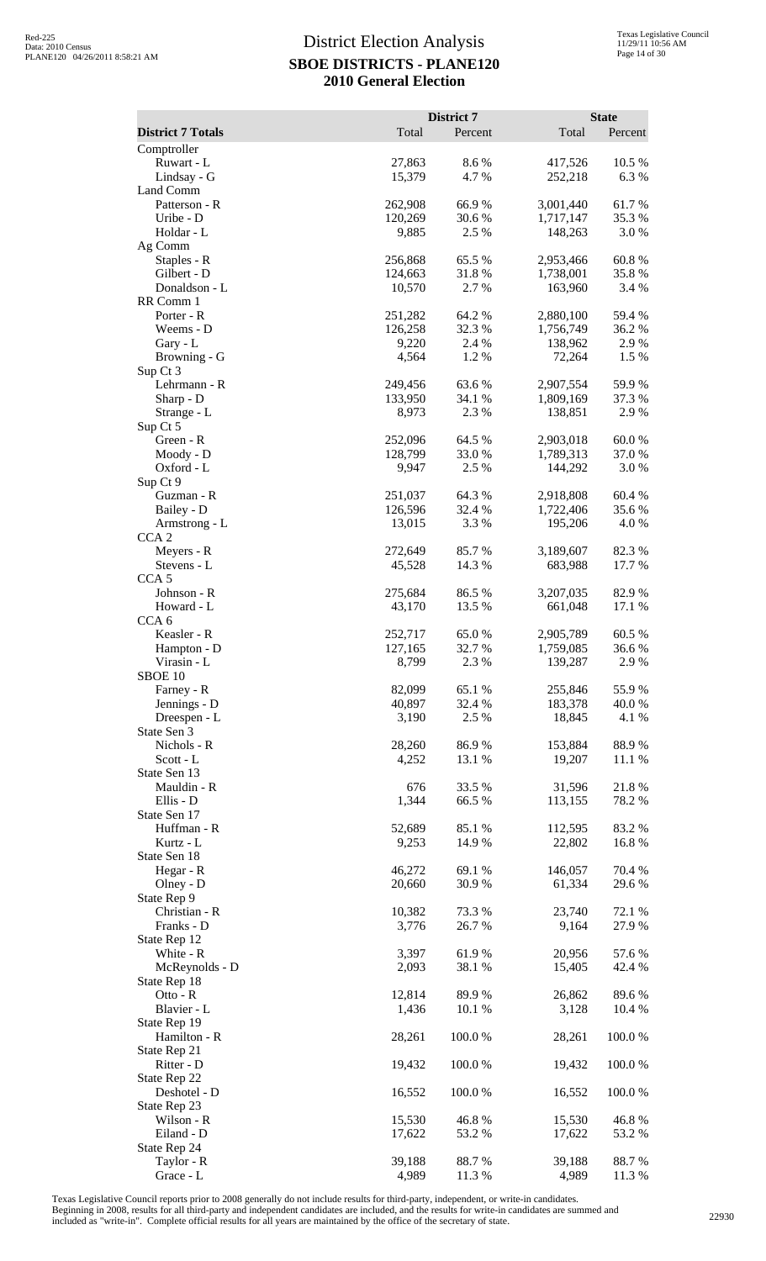|                                |                    | District 7       |                        | <b>State</b>     |
|--------------------------------|--------------------|------------------|------------------------|------------------|
| <b>District 7 Totals</b>       | Total              | Percent          | Total                  | Percent          |
| Comptroller<br>Ruwart - L      | 27,863             | 8.6%             | 417,526                | 10.5 %           |
| Lindsay - G                    | 15,379             | 4.7%             | 252,218                | 6.3%             |
| Land Comm<br>Patterson - R     | 262,908            | 66.9%            | 3,001,440              | 61.7 %           |
| Uribe - D                      | 120,269            | 30.6%            | 1,717,147              | 35.3%            |
| Holdar - L                     | 9,885              | 2.5 %            | 148,263                | 3.0%             |
| Ag Comm                        |                    |                  |                        |                  |
| Staples - R<br>Gilbert - D     | 256,868<br>124,663 | 65.5 %<br>31.8%  | 2,953,466<br>1,738,001 | 60.8%<br>35.8%   |
| Donaldson - L                  | 10,570             | 2.7 %            | 163,960                | 3.4 %            |
| RR Comm 1                      |                    |                  |                        |                  |
| Porter - R<br>Weems - D        | 251,282<br>126,258 | 64.2 %<br>32.3 % | 2,880,100<br>1,756,749 | 59.4 %<br>36.2 % |
| Gary - L                       | 9,220              | 2.4 %            | 138,962                | 2.9%             |
| Browning - G                   | 4,564              | 1.2%             | 72,264                 | 1.5 %            |
| Sup Ct 3<br>Lehrmann - R       | 249,456            | 63.6%            | 2,907,554              | 59.9%            |
| Sharp - D                      | 133,950            | 34.1 %           | 1,809,169              | 37.3 %           |
| Strange - L                    | 8,973              | 2.3 %            | 138,851                | 2.9%             |
| Sup Ct 5<br>Green - R          | 252,096            | 64.5 %           | 2,903,018              | 60.0%            |
| Moody - D                      | 128,799            | 33.0%            | 1,789,313              | 37.0%            |
| Oxford - L                     | 9,947              | 2.5 %            | 144,292                | 3.0%             |
| Sup Ct 9<br>Guzman - R         | 251,037            | 64.3 %           | 2,918,808              | 60.4%            |
| Bailey - D                     | 126,596            | 32.4 %           | 1,722,406              | 35.6%            |
| Armstrong - L                  | 13,015             | 3.3 %            | 195,206                | 4.0 %            |
| CCA <sub>2</sub>               |                    |                  |                        |                  |
| Meyers - R<br>Stevens - L      | 272,649<br>45,528  | 85.7 %<br>14.3 % | 3,189,607<br>683,988   | 82.3%<br>17.7 %  |
| CCA <sub>5</sub>               |                    |                  |                        |                  |
| Johnson - R                    | 275,684            | 86.5 %           | 3,207,035              | 82.9 %           |
| Howard - L<br>CCA <sub>6</sub> | 43,170             | 13.5 %           | 661,048                | 17.1 %           |
| Keasler - R                    | 252,717            | 65.0%            | 2,905,789              | 60.5 %           |
| Hampton - D                    | 127,165            | 32.7%            | 1,759,085              | 36.6%            |
| Virasin - L<br>SBOE 10         | 8,799              | 2.3 %            | 139,287                | 2.9%             |
| Farney - R                     | 82,099             | 65.1 %           | 255,846                | 55.9%            |
| Jennings - D                   | 40,897             | 32.4 %           | 183,378                | 40.0 %           |
| Dreespen - L<br>State Sen 3    | 3,190              | 2.5 %            | 18,845                 | 4.1 %            |
| Nichols - R                    | 28,260             | 86.9%            | 153,884                | 88.9%            |
| Scott - L                      | 4,252              | 13.1 %           | 19,207                 | 11.1 %           |
| State Sen 13<br>Mauldin - R    | 676                | 33.5 %           | 31,596                 | 21.8%            |
| Ellis - D                      | 1,344              | 66.5 %           | 113,155                | 78.2 %           |
| State Sen 17                   |                    |                  |                        |                  |
| Huffman - R<br>Kurtz - L       | 52,689<br>9,253    | 85.1 %<br>14.9%  | 112,595<br>22,802      | 83.2%<br>16.8%   |
| State Sen 18                   |                    |                  |                        |                  |
| Hegar - R                      | 46,272             | 69.1 %           | 146,057                | 70.4 %           |
| $O$ lney - $D$<br>State Rep 9  | 20,660             | 30.9%            | 61,334                 | 29.6 %           |
| Christian - R                  | 10,382             | 73.3 %           | 23,740                 | 72.1 %           |
| Franks - D                     | 3,776              | 26.7%            | 9,164                  | 27.9%            |
| State Rep 12<br>White - R      | 3,397              | 61.9%            | 20,956                 | 57.6%            |
| McReynolds - D                 | 2,093              | 38.1 %           | 15,405                 | 42.4 %           |
| State Rep 18                   |                    |                  |                        |                  |
| Otto - R<br>Blavier - L        | 12,814             | 89.9%            | 26,862                 | 89.6%            |
| State Rep 19                   | 1,436              | 10.1 %           | 3,128                  | 10.4 %           |
| Hamilton - R                   | 28,261             | 100.0%           | 28,261                 | 100.0%           |
| State Rep 21                   |                    |                  |                        |                  |
| Ritter - D<br>State Rep 22     | 19,432             | 100.0%           | 19,432                 | 100.0%           |
| Deshotel - D                   | 16,552             | 100.0%           | 16,552                 | 100.0%           |
| State Rep 23                   |                    |                  |                        |                  |
| Wilson - R<br>Eiland - D       | 15,530<br>17,622   | 46.8%<br>53.2 %  | 15,530<br>17,622       | 46.8%<br>53.2 %  |
| State Rep 24                   |                    |                  |                        |                  |
| Taylor - R                     | 39,188             | 88.7%            | 39,188                 | 88.7%            |
| Grace - L                      | 4,989              | 11.3 %           | 4,989                  | 11.3 %           |

Texas Legislative Council reports prior to 2008 generally do not include results for third-party, independent, or write-in candidates.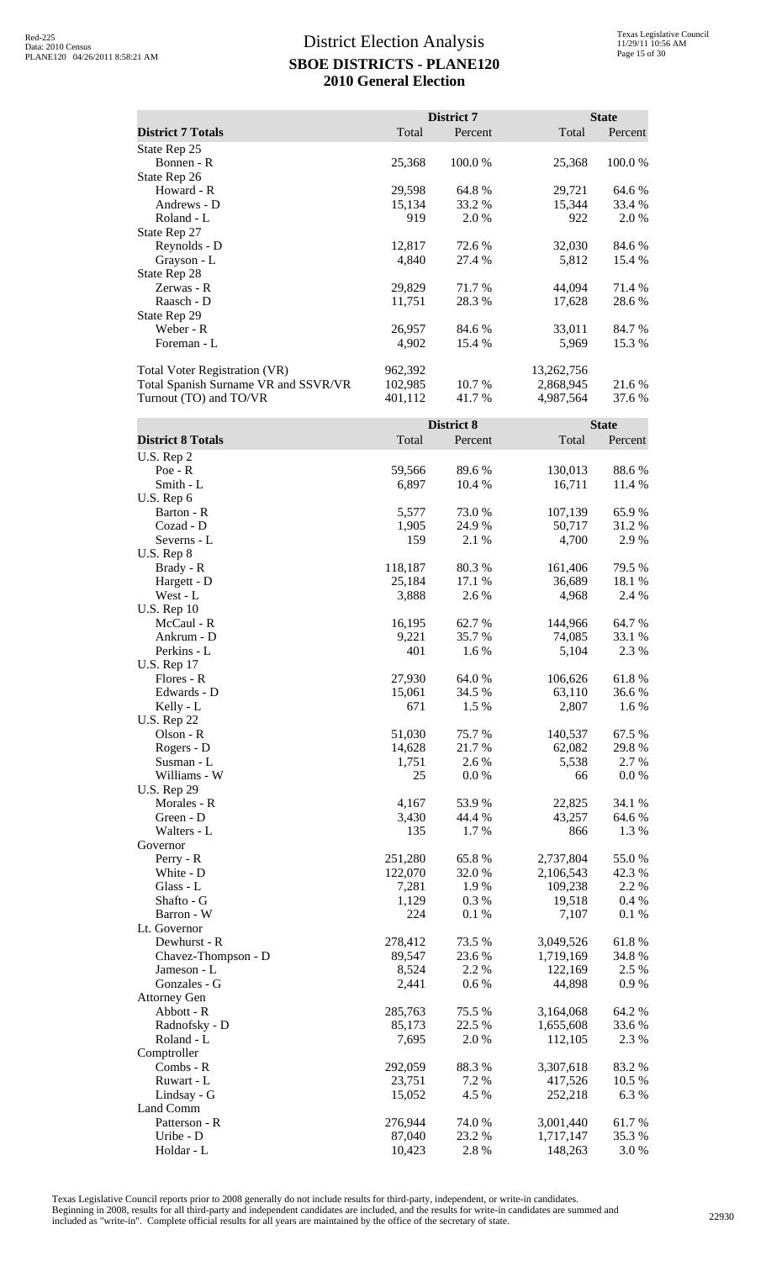|                                      |         | District 7 |            | <b>State</b> |
|--------------------------------------|---------|------------|------------|--------------|
| <b>District 7 Totals</b>             | Total   | Percent    | Total      | Percent      |
| State Rep 25                         |         |            |            |              |
| Bonnen - R                           | 25,368  | 100.0 %    | 25,368     | 100.0%       |
| State Rep 26                         |         |            |            |              |
| Howard - R                           | 29,598  | 64.8%      | 29,721     | 64.6 %       |
| Andrews - D                          | 15,134  | 33.2 %     | 15,344     | 33.4 %       |
| Roland - L                           | 919     | 2.0 %      | 922        | 2.0 %        |
| State Rep 27                         |         |            |            |              |
| Reynolds - D                         | 12,817  | 72.6 %     | 32,030     | 84.6 %       |
| Grayson - L                          | 4,840   | 27.4 %     | 5,812      | 15.4 %       |
| State Rep 28                         |         |            |            |              |
| Zerwas - R                           | 29,829  | 71.7 %     | 44,094     | 71.4 %       |
| Raasch - D                           | 11,751  | 28.3 %     | 17,628     | 28.6 %       |
| State Rep 29                         |         |            |            |              |
| Weber - R                            | 26,957  | 84.6 %     | 33,011     | 84.7 %       |
| Foreman - L                          | 4,902   | 15.4 %     | 5,969      | 15.3 %       |
| <b>Total Voter Registration (VR)</b> | 962,392 |            | 13,262,756 |              |
| Total Spanish Surname VR and SSVR/VR | 102,985 | 10.7 %     | 2,868,945  | 21.6 %       |
| Turnout (TO) and TO/VR               | 401,112 | 41.7 %     | 4,987,564  | 37.6 %       |

|                          |         | District 8 |                      | <b>State</b>   |
|--------------------------|---------|------------|----------------------|----------------|
| <b>District 8 Totals</b> | Total   | Percent    | Total                | Percent        |
| U.S. Rep 2               |         |            |                      |                |
| $Poe - R$                | 59,566  | 89.6%      | 130,013              | 88.6%          |
| Smith - L                | 6,897   | 10.4 %     | 16,711               | 11.4 %         |
| U.S. Rep 6               |         |            |                      |                |
| Barton - R               | 5,577   | 73.0%      | 107,139              | 65.9%          |
| Cozad - D                | 1,905   | 24.9%      | 50,717               | 31.2 %         |
| Severns - L              | 159     | 2.1 %      | 4,700                | 2.9%           |
| U.S. Rep 8               |         |            |                      |                |
| Brady - R                | 118,187 | 80.3%      | 161,406              | 79.5 %         |
| Hargett - D              | 25,184  | 17.1 %     | 36,689               | 18.1 %         |
| West - L                 | 3,888   | 2.6%       | 4,968                | 2.4 %          |
| <b>U.S. Rep 10</b>       |         |            |                      |                |
| McCaul - R               | 16,195  | 62.7%      | 144,966              | 64.7%          |
| Ankrum - D               | 9,221   | 35.7%      | 74,085               | 33.1 %         |
| Perkins - L              | 401     | 1.6%       | 5,104                | 2.3 %          |
| <b>U.S. Rep 17</b>       |         |            |                      |                |
| Flores - R               | 27,930  | 64.0%      | 106,626              | 61.8%          |
| Edwards - D              | 15,061  | 34.5 %     | 63,110               | 36.6%          |
| Kelly - L                | 671     | 1.5 %      | 2,807                | 1.6 %          |
| <b>U.S. Rep 22</b>       |         |            |                      |                |
| Olson - R                | 51,030  | 75.7%      | 140,537              | 67.5 %         |
| Rogers - D               | 14,628  | 21.7%      | 62,082               | 29.8%          |
| Susman - L               | 1,751   | 2.6 %      | 5,538                | 2.7 %          |
| Williams - W             | 25      | 0.0 %      | 66                   | $0.0\%$        |
| <b>U.S. Rep 29</b>       |         |            |                      |                |
| Morales - R              | 4,167   | 53.9 %     | 22,825               | 34.1 %         |
| Green - D                | 3,430   | 44.4 %     | 43,257               | 64.6 %         |
| Walters - L              | 135     | 1.7 %      | 866                  | 1.3 %          |
| Governor                 |         |            |                      |                |
| Perry - R                | 251,280 | 65.8%      | 2,737,804            | 55.0%          |
| White - D                | 122,070 | 32.0%      | 2,106,543            | 42.3 %         |
| Glass - L                | 7,281   | 1.9%       | 109,238              | 2.2 %          |
| Shafto - G               | 1,129   | 0.3%       | 19,518               | 0.4 %          |
| Barron - W               | 224     | 0.1%       | 7,107                | 0.1 %          |
| Lt. Governor             |         |            |                      |                |
| Dewhurst - R             | 278,412 | 73.5 %     | 3,049,526            | 61.8%          |
| Chavez-Thompson - D      | 89,547  | 23.6 %     | 1,719,169            | 34.8%          |
| Jameson - L              | 8,524   | 2.2 %      | 122,169              | 2.5 %          |
| Gonzales - G             | 2,441   | 0.6 %      | 44,898               | 0.9 %          |
| <b>Attorney Gen</b>      |         |            |                      |                |
| Abbott - R               | 285,763 | 75.5 %     | 3,164,068            | 64.2 %         |
| Radnofsky - D            | 85,173  | 22.5 %     | 1,655,608            | 33.6 %         |
| Roland - L               | 7,695   | 2.0%       | 112,105              | 2.3 %          |
| Comptroller              |         |            |                      |                |
| Combs - R                | 292,059 | 88.3%      | 3,307,618            | 83.2%          |
| Ruwart - L               | 23,751  | 7.2 %      | 417,526              | 10.5 %         |
|                          |         |            |                      |                |
| Lindsay - G<br>Land Comm | 15,052  | 4.5 %      | 252,218              | 6.3%           |
| Patterson - R            | 276,944 | 74.0%      | 3,001,440            | 61.7%          |
| Uribe - D                | 87,040  | 23.2 %     |                      |                |
| Holdar - L               | 10,423  | 2.8 %      | 1,717,147<br>148,263 | 35.3 %<br>3.0% |
|                          |         |            |                      |                |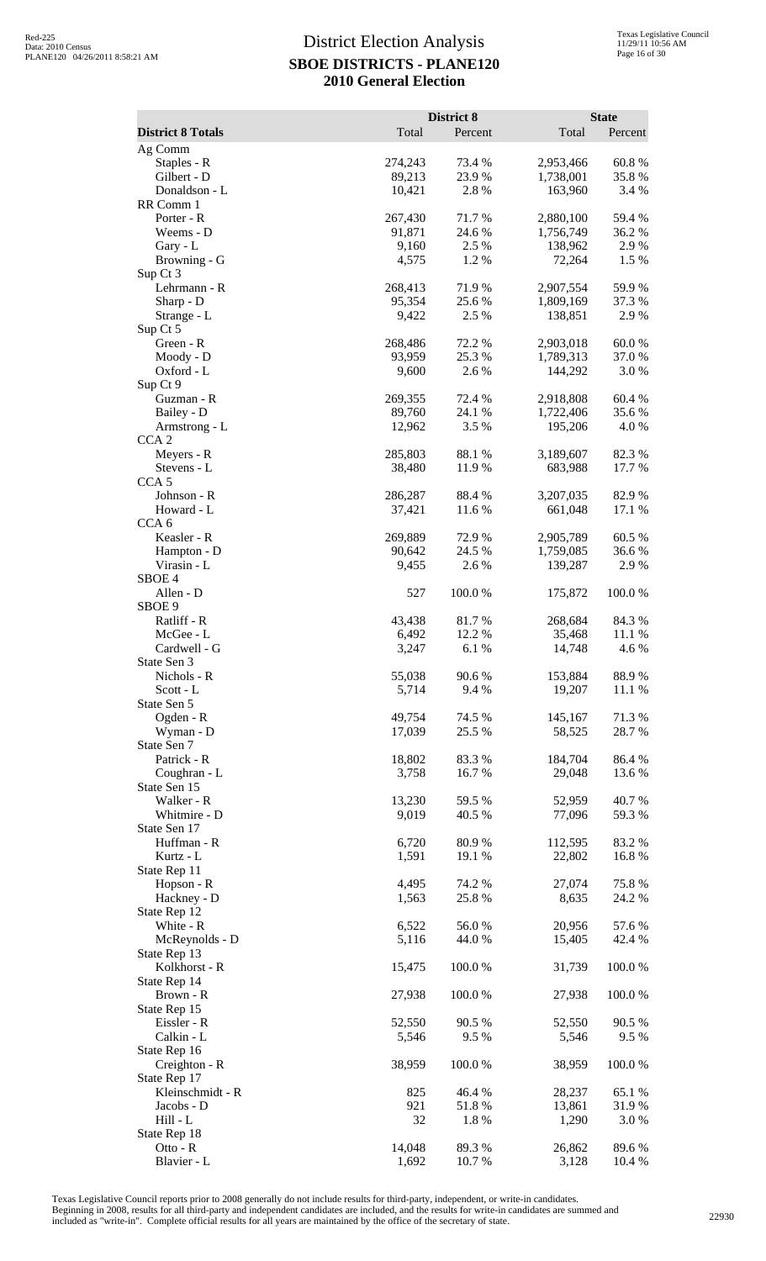|                                     | Total           | District 8      |                      | <b>State</b>    |
|-------------------------------------|-----------------|-----------------|----------------------|-----------------|
| <b>District 8 Totals</b><br>Ag Comm |                 | Percent         | Total                | Percent         |
| Staples - R                         | 274,243         | 73.4 %          | 2,953,466            | 60.8%           |
| Gilbert - D                         | 89,213          | 23.9%           | 1,738,001            | 35.8%           |
| Donaldson - L                       | 10,421          | 2.8%            | 163,960              | 3.4 %           |
| RR Comm 1                           |                 |                 |                      |                 |
| Porter - R                          | 267,430         | 71.7%           | 2,880,100            | 59.4 %          |
| Weems - D<br>Gary - L               | 91,871<br>9,160 | 24.6 %<br>2.5 % | 1,756,749<br>138,962 | 36.2 %<br>2.9%  |
| Browning - G                        | 4,575           | 1.2%            | 72,264               | 1.5 %           |
| Sup Ct 3                            |                 |                 |                      |                 |
| Lehrmann - R                        | 268,413         | 71.9%           | 2,907,554            | 59.9%           |
| Sharp - D                           | 95,354          | 25.6 %          | 1,809,169            | 37.3 %          |
| Strange - L                         | 9,422           | 2.5 %           | 138,851              | 2.9 %           |
| Sup Ct 5<br>Green - R               | 268,486         | 72.2 %          | 2,903,018            | 60.0%           |
| Moody - D                           | 93,959          | 25.3 %          | 1,789,313            | 37.0%           |
| Oxford - L                          | 9,600           | 2.6 %           | 144,292              | 3.0%            |
| Sup Ct 9                            |                 |                 |                      |                 |
| Guzman - R                          | 269,355         | 72.4 %          | 2,918,808            | 60.4%           |
| Bailey - D                          | 89,760          | 24.1 %          | 1,722,406            | 35.6%           |
| Armstrong - L                       | 12,962          | 3.5 %           | 195,206              | 4.0%            |
| CCA <sub>2</sub><br>Meyers - R      | 285,803         | 88.1 %          | 3,189,607            | 82.3 %          |
| Stevens - L                         | 38,480          | 11.9 %          | 683,988              | 17.7 %          |
| CCA <sub>5</sub>                    |                 |                 |                      |                 |
| Johnson - R                         | 286,287         | 88.4%           | 3,207,035            | 82.9%           |
| Howard - L                          | 37,421          | 11.6%           | 661,048              | 17.1 %          |
| CCA <sub>6</sub>                    |                 |                 |                      |                 |
| Keasler - R                         | 269,889         | 72.9 %          | 2,905,789            | 60.5 %          |
| Hampton - D<br>Virasin - L          | 90,642<br>9,455 | 24.5 %<br>2.6 % | 1,759,085<br>139,287 | 36.6%<br>2.9%   |
| SBOE <sub>4</sub>                   |                 |                 |                      |                 |
| Allen - D                           | 527             | 100.0%          | 175,872              | 100.0%          |
| SBOE 9                              |                 |                 |                      |                 |
| Ratliff - R                         | 43,438          | 81.7%           | 268,684              | 84.3%           |
| McGee - L                           | 6,492           | 12.2 %          | 35,468               | 11.1 %          |
| Cardwell - G                        | 3,247           | 6.1%            | 14,748               | 4.6 %           |
| State Sen 3<br>Nichols - R          | 55,038          | 90.6%           | 153,884              | 88.9%           |
| Scott - L                           | 5,714           | 9.4 %           | 19,207               | 11.1 %          |
| State Sen 5                         |                 |                 |                      |                 |
| Ogden - R                           | 49,754          | 74.5 %          | 145,167              | 71.3 %          |
| Wyman - D                           | 17,039          | 25.5 %          | 58,525               | 28.7%           |
| State Sen 7                         |                 |                 |                      |                 |
| Patrick - R<br>Coughran - L         | 18,802<br>3,758 | 83.3 %<br>16.7% | 184,704<br>29,048    | 86.4%<br>13.6 % |
| State Sen 15                        |                 |                 |                      |                 |
| Walker - R                          | 13,230          | 59.5 %          | 52,959               | 40.7%           |
| Whitmire - D                        | 9,019           | 40.5 %          | 77,096               | 59.3%           |
| State Sen 17                        |                 |                 |                      |                 |
| Huffman - R                         | 6,720           | 80.9%           | 112,595              | 83.2%           |
| Kurtz - L<br>State Rep 11           | 1,591           | 19.1 %          | 22,802               | 16.8%           |
| Hopson - R                          | 4,495           | 74.2 %          | 27,074               | 75.8%           |
| Hackney - D                         | 1,563           | 25.8%           | 8,635                | 24.2 %          |
| State Rep 12                        |                 |                 |                      |                 |
| White - R                           | 6,522           | 56.0%           | 20,956               | 57.6%           |
| McReynolds - D                      | 5,116           | 44.0%           | 15,405               | 42.4 %          |
| State Rep 13<br>Kolkhorst - R       | 15,475          |                 |                      | 100.0%          |
| State Rep 14                        |                 | 100.0%          | 31,739               |                 |
| Brown - R                           | 27,938          | 100.0%          | 27,938               | 100.0%          |
| State Rep 15                        |                 |                 |                      |                 |
| Eissler - R                         | 52,550          | 90.5 %          | 52,550               | 90.5 %          |
| Calkin - L                          | 5,546           | 9.5 %           | 5,546                | 9.5%            |
| State Rep 16                        |                 |                 |                      |                 |
| Creighton - R<br>State Rep 17       | 38,959          | 100.0%          | 38,959               | 100.0%          |
| Kleinschmidt - R                    | 825             | 46.4 %          | 28,237               | 65.1 %          |
| Jacobs - D                          | 921             | 51.8%           | 13,861               | 31.9%           |
| $Hill - L$                          | 32              | 1.8%            | 1,290                | 3.0%            |
| State Rep 18                        |                 |                 |                      |                 |
| Otto - R                            | 14,048          | 89.3%           | 26,862               | 89.6 %          |
| Blavier - L                         | 1,692           | 10.7%           | 3,128                | 10.4 %          |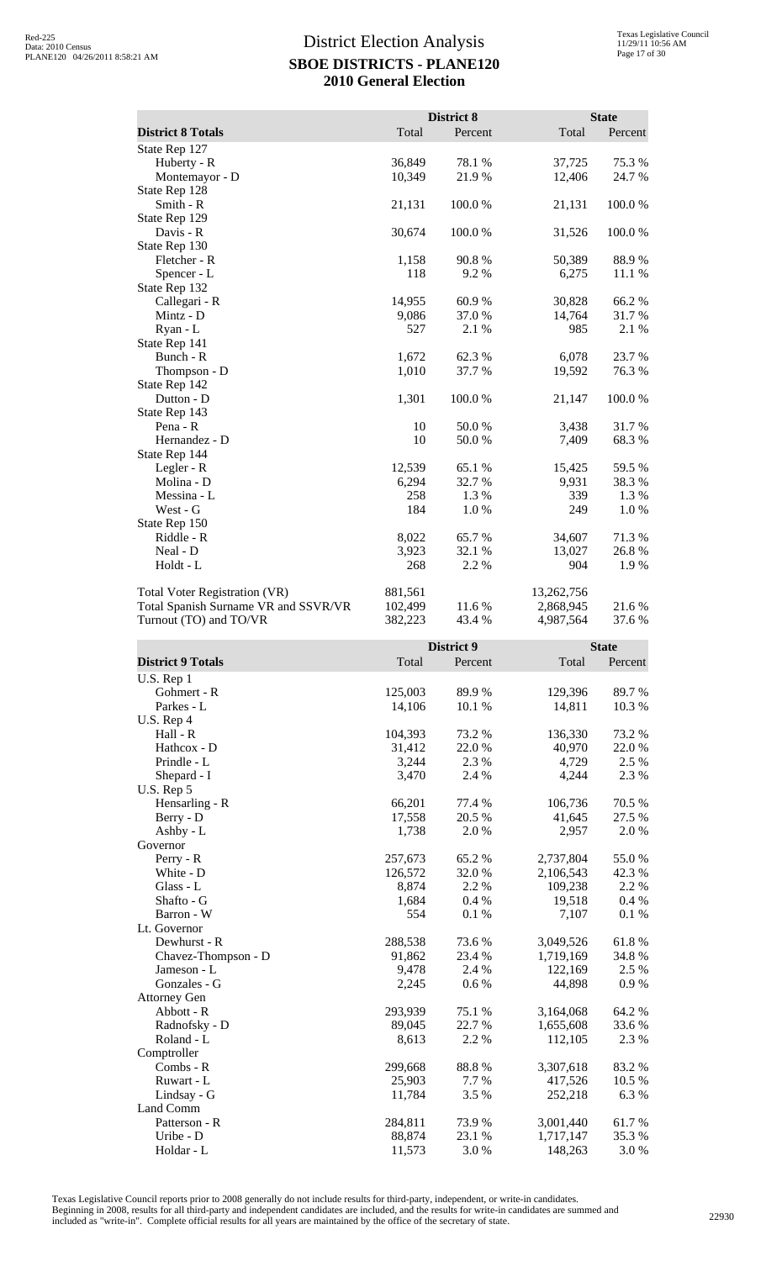|                                      |         | District 8 |            | <b>State</b> |
|--------------------------------------|---------|------------|------------|--------------|
| <b>District 8 Totals</b>             | Total   | Percent    | Total      | Percent      |
| State Rep 127                        |         |            |            |              |
| Huberty - R                          | 36,849  | 78.1 %     | 37,725     | 75.3 %       |
| Montemayor - D                       | 10,349  | 21.9 %     | 12,406     | 24.7 %       |
| State Rep 128                        |         |            |            |              |
| Smith - R                            | 21,131  | 100.0%     | 21,131     | 100.0%       |
| State Rep 129                        |         |            |            |              |
| Davis - R                            | 30,674  | 100.0%     | 31,526     | 100.0%       |
| State Rep 130                        |         |            |            |              |
| Fletcher - R                         | 1,158   | 90.8%      | 50,389     | 88.9%        |
| Spencer - L                          | 118     | 9.2%       | 6,275      | 11.1 %       |
| State Rep 132                        |         |            |            |              |
| Callegari - R                        | 14,955  | 60.9%      | 30,828     | 66.2%        |
| Mintz - D                            | 9,086   | 37.0%      | 14,764     | 31.7%        |
| Ryan - L                             | 527     | 2.1 %      | 985        | 2.1 %        |
| State Rep 141                        |         |            |            |              |
| Bunch - R                            | 1,672   | 62.3 %     | 6,078      | 23.7 %       |
| Thompson - D                         | 1,010   | 37.7 %     | 19,592     | 76.3%        |
| State Rep 142                        |         |            |            |              |
| Dutton - D                           | 1,301   | 100.0%     | 21,147     | 100.0%       |
| State Rep 143                        |         |            |            |              |
| Pena - R                             | 10      | 50.0%      | 3,438      | 31.7%        |
| Hernandez - D                        | 10      | 50.0%      | 7,409      | 68.3%        |
| State Rep 144                        |         |            |            |              |
| Legler - R                           | 12,539  | 65.1 %     | 15,425     | 59.5 %       |
| Molina - D                           | 6,294   | 32.7%      | 9,931      | 38.3%        |
| Messina - L                          | 258     | 1.3%       | 339        | 1.3%         |
| West - G                             | 184     | 1.0%       | 249        | $1.0%$       |
| State Rep 150                        |         |            |            |              |
| Riddle - R                           | 8,022   | 65.7%      | 34,607     | 71.3%        |
| Neal - D                             | 3,923   | 32.1 %     | 13,027     | 26.8%        |
| Holdt - L                            | 268     | 2.2 %      | 904        | 1.9%         |
| Total Voter Registration (VR)        | 881,561 |            | 13,262,756 |              |
| Total Spanish Surname VR and SSVR/VR | 102,499 | 11.6 %     | 2,868,945  | 21.6%        |
| Turnout (TO) and TO/VR               | 382,223 | 43.4 %     | 4,987,564  | 37.6 %       |

|                          |         | District 9 |           | <b>State</b> |  |
|--------------------------|---------|------------|-----------|--------------|--|
| <b>District 9 Totals</b> | Total   | Percent    | Total     | Percent      |  |
| U.S. Rep 1               |         |            |           |              |  |
| Gohmert - R              | 125,003 | 89.9%      | 129,396   | 89.7%        |  |
| Parkes - L               | 14,106  | 10.1 %     | 14,811    | 10.3 %       |  |
| U.S. Rep 4               |         |            |           |              |  |
| Hall - R                 | 104,393 | 73.2 %     | 136,330   | 73.2 %       |  |
| Hathcox - D              | 31,412  | 22.0%      | 40,970    | 22.0%        |  |
| Prindle - L              | 3,244   | 2.3 %      | 4,729     | 2.5 %        |  |
| Shepard - I              | 3,470   | 2.4 %      | 4,244     | 2.3 %        |  |
| U.S. Rep 5               |         |            |           |              |  |
| Hensarling - R           | 66,201  | 77.4 %     | 106,736   | 70.5 %       |  |
| Berry - D                | 17,558  | 20.5 %     | 41,645    | 27.5 %       |  |
| Ashby - L                | 1,738   | 2.0%       | 2,957     | 2.0%         |  |
| Governor                 |         |            |           |              |  |
| Perry - R                | 257,673 | 65.2%      | 2,737,804 | 55.0%        |  |
| White - D                | 126,572 | 32.0%      | 2,106,543 | 42.3 %       |  |
| Glass - L                | 8,874   | 2.2 %      | 109,238   | 2.2 %        |  |
| Shafto - G               | 1,684   | 0.4%       | 19,518    | 0.4 %        |  |
| Barron - W               | 554     | 0.1 %      | 7,107     | 0.1%         |  |
| Lt. Governor             |         |            |           |              |  |
| Dewhurst - R             | 288,538 | 73.6%      | 3,049,526 | 61.8%        |  |
| Chavez-Thompson - D      | 91,862  | 23.4 %     | 1,719,169 | 34.8%        |  |
| Jameson - L              | 9,478   | 2.4 %      | 122,169   | 2.5 %        |  |
| Gonzales - G             | 2,245   | 0.6%       | 44,898    | 0.9%         |  |
| <b>Attorney Gen</b>      |         |            |           |              |  |
| Abbott - R               | 293,939 | 75.1 %     | 3,164,068 | 64.2 %       |  |
| Radnofsky - D            | 89,045  | 22.7 %     | 1,655,608 | 33.6%        |  |
| Roland - L               | 8,613   | 2.2 %      | 112,105   | 2.3 %        |  |
| Comptroller              |         |            |           |              |  |
| Combs - R                | 299,668 | 88.8%      | 3,307,618 | 83.2%        |  |
| Ruwart - L               | 25,903  | 7.7 %      | 417,526   | 10.5 %       |  |
| Lindsay - G              | 11,784  | 3.5%       | 252,218   | 6.3%         |  |
| Land Comm                |         |            |           |              |  |
| Patterson - R            | 284,811 | 73.9%      | 3,001,440 | 61.7%        |  |
| Uribe - D                | 88,874  | 23.1 %     | 1,717,147 | 35.3%        |  |
| Holdar - L               | 11,573  | 3.0%       | 148,263   | 3.0%         |  |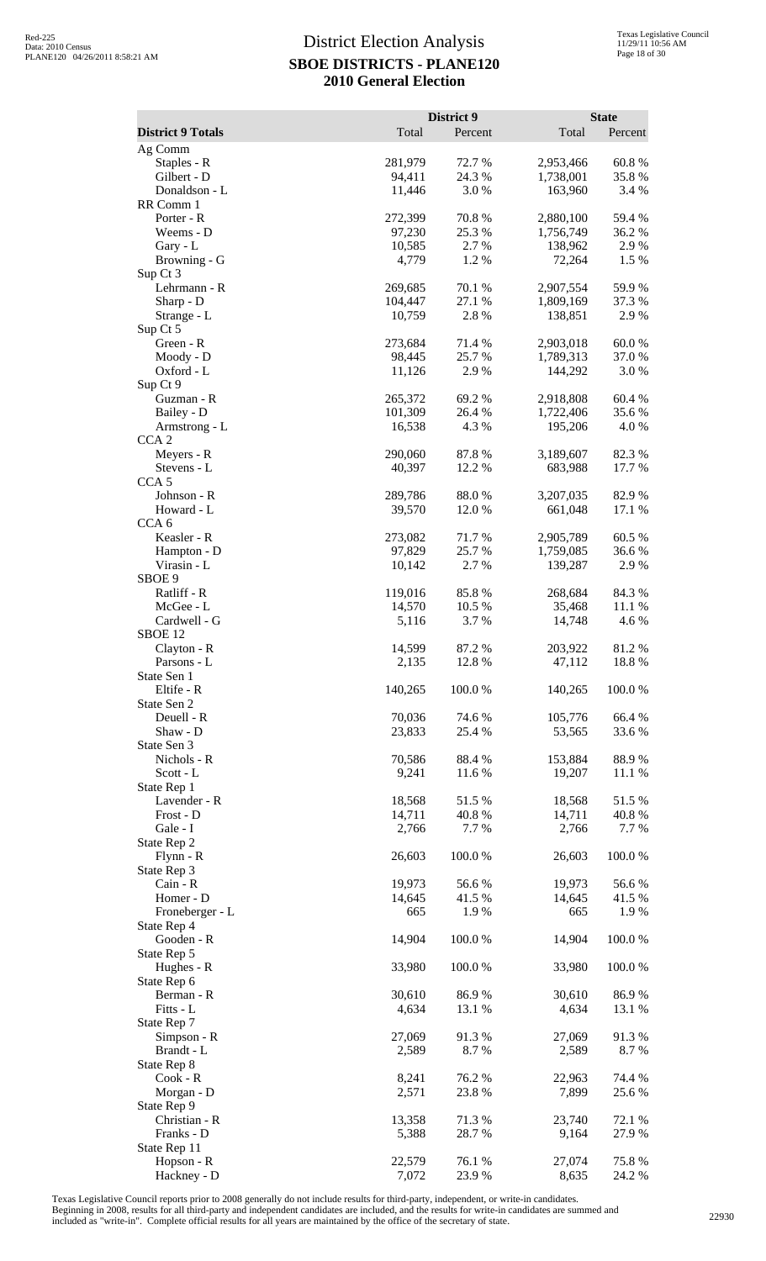|                                    |                  | District 9      |                  | <b>State</b>    |
|------------------------------------|------------------|-----------------|------------------|-----------------|
| <b>District 9 Totals</b>           | Total            | Percent         | Total            | Percent         |
| Ag Comm<br>Staples - R             | 281,979          | 72.7 %          | 2,953,466        | 60.8%           |
| Gilbert - D                        | 94,411           | 24.3 %          | 1,738,001        | 35.8%           |
| Donaldson - L                      | 11,446           | 3.0%            | 163,960          | 3.4 %           |
| RR Comm 1<br>Porter - R            | 272,399          | 70.8%           | 2,880,100        | 59.4 %          |
| Weems - D                          | 97,230           | 25.3 %          | 1,756,749        | 36.2 %          |
| Gary - L                           | 10,585           | 2.7%            | 138,962          | 2.9 %           |
| Browning - G<br>Sup Ct 3           | 4,779            | 1.2%            | 72,264           | 1.5 %           |
| Lehrmann - R                       | 269,685          | 70.1 %          | 2,907,554        | 59.9%           |
| Sharp - D                          | 104,447          | 27.1 %          | 1,809,169        | 37.3 %          |
| Strange - L                        | 10,759           | 2.8%            | 138,851          | 2.9%            |
| Sup Ct 5<br>Green - R              | 273,684          | 71.4 %          | 2,903,018        | 60.0%           |
| Moody - D                          | 98,445           | 25.7 %          | 1,789,313        | 37.0 %          |
| Oxford - L                         | 11,126           | 2.9%            | 144,292          | 3.0%            |
| Sup Ct 9<br>Guzman - R             | 265,372          | 69.2 %          | 2,918,808        | 60.4%           |
| Bailey - D                         | 101,309          | 26.4 %          | 1,722,406        | 35.6 %          |
| Armstrong - L                      | 16,538           | 4.3 %           | 195,206          | 4.0%            |
| CCA <sub>2</sub><br>Meyers - R     | 290,060          | 87.8%           | 3,189,607        | 82.3 %          |
| Stevens - L                        | 40,397           | 12.2 %          | 683,988          | 17.7 %          |
| CCA <sub>5</sub>                   |                  |                 |                  |                 |
| Johnson - R                        | 289,786          | 88.0%           | 3,207,035        | 82.9%           |
| Howard - L<br>CCA <sub>6</sub>     | 39,570           | 12.0 %          | 661,048          | 17.1 %          |
| Keasler - R                        | 273,082          | 71.7 %          | 2,905,789        | 60.5 %          |
| Hampton - D                        | 97,829           | 25.7 %          | 1,759,085        | 36.6 %          |
| Virasin - L<br>SBOE 9              | 10,142           | 2.7%            | 139,287          | 2.9%            |
| Ratliff - R                        | 119,016          | 85.8%           | 268,684          | 84.3%           |
| McGee - L                          | 14,570           | 10.5 %          | 35,468           | 11.1 %          |
| Cardwell - G<br>SBOE <sub>12</sub> | 5,116            | 3.7%            | 14,748           | 4.6 %           |
| Clayton - R                        | 14,599           | 87.2 %          | 203,922          | 81.2%           |
| Parsons - L                        | 2,135            | 12.8%           | 47,112           | 18.8%           |
| State Sen 1<br>Eltife - R          |                  | 100.0%          | 140,265          |                 |
| State Sen 2                        | 140,265          |                 |                  | 100.0%          |
| Deuell - R                         | 70,036           | 74.6%           | 105,776          | 66.4%           |
| Shaw - D                           | 23,833           | 25.4 %          | 53,565           | 33.6%           |
| State Sen 3<br>Nichols - R         | 70,586           | 88.4%           | 153,884          | 88.9%           |
| Scott - L                          | 9,241            | 11.6%           | 19,207           | 11.1 %          |
| State Rep 1                        |                  |                 |                  |                 |
| Lavender - R<br>Frost - D          | 18,568<br>14,711 | 51.5 %<br>40.8% | 18,568<br>14,711 | 51.5 %<br>40.8% |
| Gale - I                           | 2,766            | 7.7 %           | 2,766            | 7.7 %           |
| State Rep 2                        |                  |                 |                  |                 |
| $Flynn - R$<br>State Rep 3         | 26,603           | 100.0%          | 26,603           | 100.0%          |
| Cain - R                           | 19,973           | 56.6%           | 19,973           | 56.6%           |
| Homer - D                          | 14,645           | 41.5 %          | 14,645           | 41.5 %          |
| Froneberger - L                    | 665              | 1.9%            | 665              | 1.9%            |
| State Rep 4<br>Gooden - R          | 14,904           | 100.0%          | 14,904           | 100.0%          |
| State Rep 5                        |                  |                 |                  |                 |
| Hughes - R                         | 33,980           | 100.0%          | 33,980           | 100.0%          |
| State Rep 6<br>Berman - R          | 30,610           | 86.9%           | 30,610           | 86.9%           |
| Fitts - L                          | 4,634            | 13.1 %          | 4,634            | 13.1 %          |
| State Rep 7                        |                  |                 |                  |                 |
| Simpson - R                        | 27,069           | 91.3%           | 27,069           | 91.3%           |
| Brandt - L<br>State Rep 8          | 2,589            | 8.7 %           | 2,589            | 8.7 %           |
| $Cook - R$                         | 8,241            | 76.2 %          | 22,963           | 74.4 %          |
| Morgan - D                         | 2,571            | 23.8%           | 7,899            | 25.6 %          |
| State Rep 9<br>Christian - R       | 13,358           | 71.3%           | 23,740           | 72.1 %          |
| Franks - D                         | 5,388            | 28.7%           | 9,164            | 27.9 %          |
| State Rep 11                       |                  |                 |                  |                 |
| Hopson - R                         | 22,579           | 76.1 %          | 27,074           | 75.8%           |
| Hackney - D                        | 7,072            | 23.9%           | 8,635            | 24.2 %          |

Texas Legislative Council reports prior to 2008 generally do not include results for third-party, independent, or write-in candidates.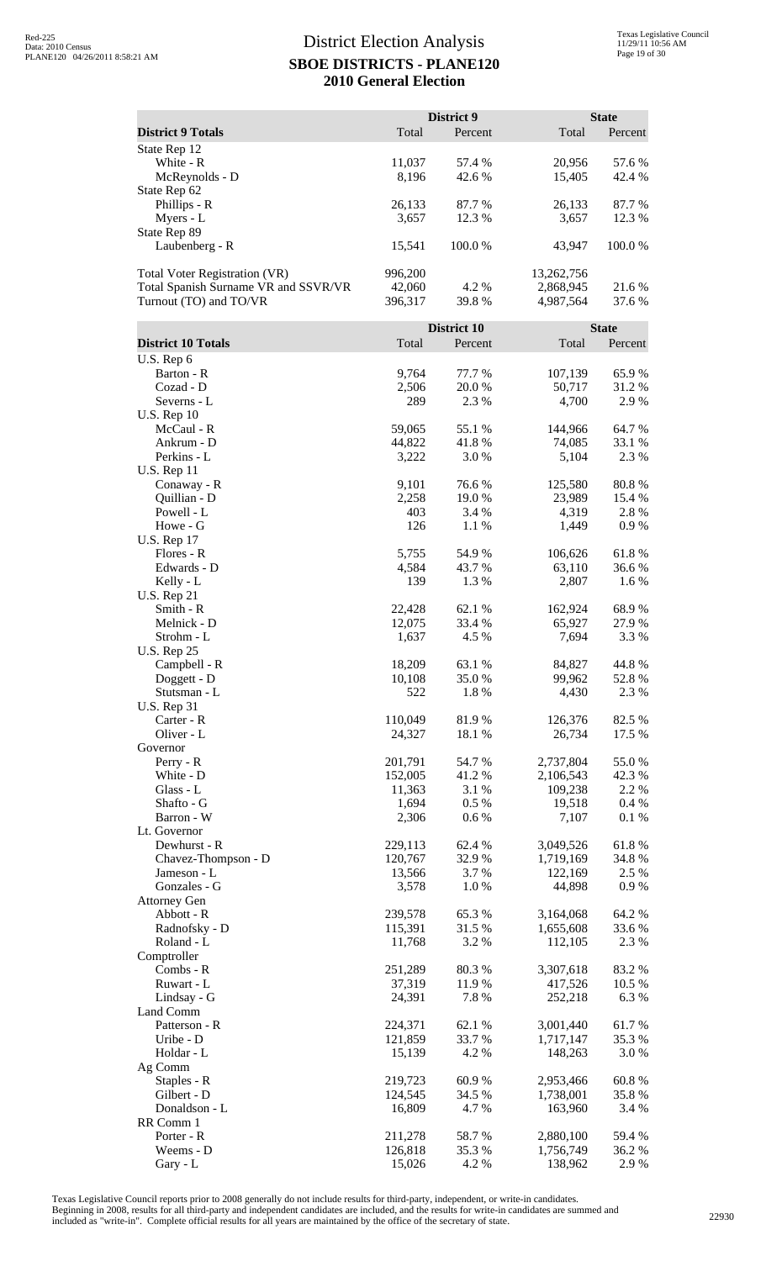|                                                                              |                    | District 9       |                         | <b>State</b>    |
|------------------------------------------------------------------------------|--------------------|------------------|-------------------------|-----------------|
| <b>District 9 Totals</b>                                                     | Total              | Percent          | Total                   | Percent         |
| State Rep 12<br>White - R                                                    | 11,037             | 57.4 %           | 20,956                  | 57.6%           |
| McReynolds - D                                                               | 8,196              | 42.6 %           | 15,405                  | 42.4 %          |
| State Rep 62<br>Phillips - R                                                 | 26,133             | 87.7%            | 26,133                  | 87.7%           |
| Myers - L                                                                    | 3,657              | 12.3 %           | 3,657                   | 12.3 %          |
| State Rep 89<br>Laubenberg - R                                               | 15,541             | 100.0%           | 43,947                  | 100.0%          |
|                                                                              |                    |                  |                         |                 |
| <b>Total Voter Registration (VR)</b><br>Total Spanish Surname VR and SSVR/VR | 996,200<br>42,060  | 4.2 %            | 13,262,756<br>2,868,945 | 21.6%           |
| Turnout (TO) and TO/VR                                                       | 396,317            | 39.8%            | 4,987,564               | 37.6 %          |
|                                                                              |                    | District 10      |                         | <b>State</b>    |
| <b>District 10 Totals</b>                                                    | Total              | Percent          | Total                   | Percent         |
| U.S. Rep 6<br>Barton - R                                                     | 9,764              | 77.7 %           | 107,139                 | 65.9%           |
| Cozad - D                                                                    | 2,506              | 20.0%            | 50,717                  | 31.2 %          |
| Severns - L                                                                  | 289                | 2.3 %            | 4,700                   | 2.9%            |
| <b>U.S. Rep 10</b>                                                           |                    |                  |                         |                 |
| McCaul - R                                                                   | 59,065             | 55.1 %           | 144,966                 | 64.7%           |
| Ankrum - D<br>Perkins - L                                                    | 44,822<br>3,222    | 41.8%<br>3.0 %   | 74,085<br>5,104         | 33.1 %<br>2.3 % |
| <b>U.S. Rep 11</b>                                                           |                    |                  |                         |                 |
| Conaway - R                                                                  | 9,101              | 76.6%            | 125,580                 | 80.8%           |
| Quillian - D                                                                 | 2,258              | 19.0 %           | 23,989                  | 15.4 %          |
| Powell - L<br>Howe - G                                                       | 403<br>126         | 3.4 %<br>1.1 %   | 4,319<br>1,449          | 2.8%<br>0.9%    |
| <b>U.S. Rep 17</b>                                                           |                    |                  |                         |                 |
| Flores - R                                                                   | 5,755              | 54.9 %           | 106,626                 | 61.8%           |
| Edwards - D                                                                  | 4,584              | 43.7%            | 63,110                  | 36.6%           |
| Kelly - L                                                                    | 139                | 1.3%             | 2,807                   | 1.6%            |
| <b>U.S. Rep 21</b><br>Smith - R                                              | 22,428             | 62.1 %           | 162,924                 | 68.9%           |
| Melnick - D                                                                  | 12,075             | 33.4 %           | 65,927                  | 27.9 %          |
| Strohm - L                                                                   | 1,637              | 4.5 %            | 7,694                   | 3.3 %           |
| <b>U.S. Rep 25</b>                                                           |                    |                  |                         |                 |
| Campbell - R<br>Doggett - D                                                  | 18,209<br>10,108   | 63.1 %<br>35.0%  | 84,827<br>99,962        | 44.8%<br>52.8%  |
| Stutsman - L                                                                 | 522                | 1.8%             | 4,430                   | 2.3 %           |
| <b>U.S. Rep 31</b>                                                           |                    |                  |                         |                 |
| $Carter - R$                                                                 | 110,049            | 81.9%            | 126,376                 | 82.5 %          |
| Oliver - L<br>Governor                                                       | 24,327             | 18.1 %           | 26,734                  | 17.5 %          |
| Perry - R                                                                    | 201,791            | 54.7%            | 2,737,804               | 55.0%           |
| White - D                                                                    | 152,005            | 41.2%            | 2,106,543               | 42.3 %          |
| Glass - L                                                                    | 11,363             | 3.1 %            | 109,238                 | 2.2 %           |
| Shafto - G<br>Barron - W                                                     | 1,694<br>2,306     | 0.5 %<br>0.6 %   | 19,518<br>7,107         | 0.4 %<br>0.1%   |
| Lt. Governor                                                                 |                    |                  |                         |                 |
| Dewhurst - R                                                                 | 229,113            | 62.4 %           | 3,049,526               | 61.8%           |
| Chavez-Thompson - D                                                          | 120,767            | 32.9%            | 1,719,169               | 34.8%           |
| Jameson - L                                                                  | 13,566             | 3.7%             | 122,169                 | 2.5 %           |
| Gonzales - G<br><b>Attorney Gen</b>                                          | 3,578              | 1.0%             | 44,898                  | 0.9 %           |
| Abbott - R                                                                   | 239,578            | 65.3%            | 3,164,068               | 64.2 %          |
| Radnofsky - D                                                                | 115,391            | 31.5 %           | 1,655,608               | 33.6 %          |
| Roland - L                                                                   | 11,768             | 3.2 %            | 112,105                 | 2.3 %           |
| Comptroller<br>Combs - R                                                     | 251,289            | 80.3%            | 3,307,618               | 83.2%           |
| Ruwart - L                                                                   | 37,319             | 11.9%            | 417,526                 | 10.5 %          |
| Lindsay - G                                                                  | 24,391             | 7.8%             | 252,218                 | 6.3%            |
| Land Comm                                                                    |                    |                  |                         |                 |
| Patterson - R<br>Uribe - D                                                   | 224,371<br>121,859 | 62.1 %<br>33.7 % | 3,001,440<br>1,717,147  | 61.7%<br>35.3 % |
| Holdar - L                                                                   | 15,139             | 4.2 %            | 148,263                 | 3.0 %           |
| Ag Comm                                                                      |                    |                  |                         |                 |
| Staples - R                                                                  | 219,723            | 60.9%            | 2,953,466               | 60.8%           |
| Gilbert - D                                                                  | 124,545            | 34.5 %           | 1,738,001               | 35.8%           |
| Donaldson - L<br>RR Comm 1                                                   | 16,809             | 4.7%             | 163,960                 | 3.4 %           |
| Porter - R                                                                   | 211,278            | 58.7%            | 2,880,100               | 59.4 %          |
| Weems - D                                                                    | 126,818            | 35.3%            | 1,756,749               | 36.2%           |
| Gary - L                                                                     | 15,026             | 4.2 %            | 138,962                 | 2.9%            |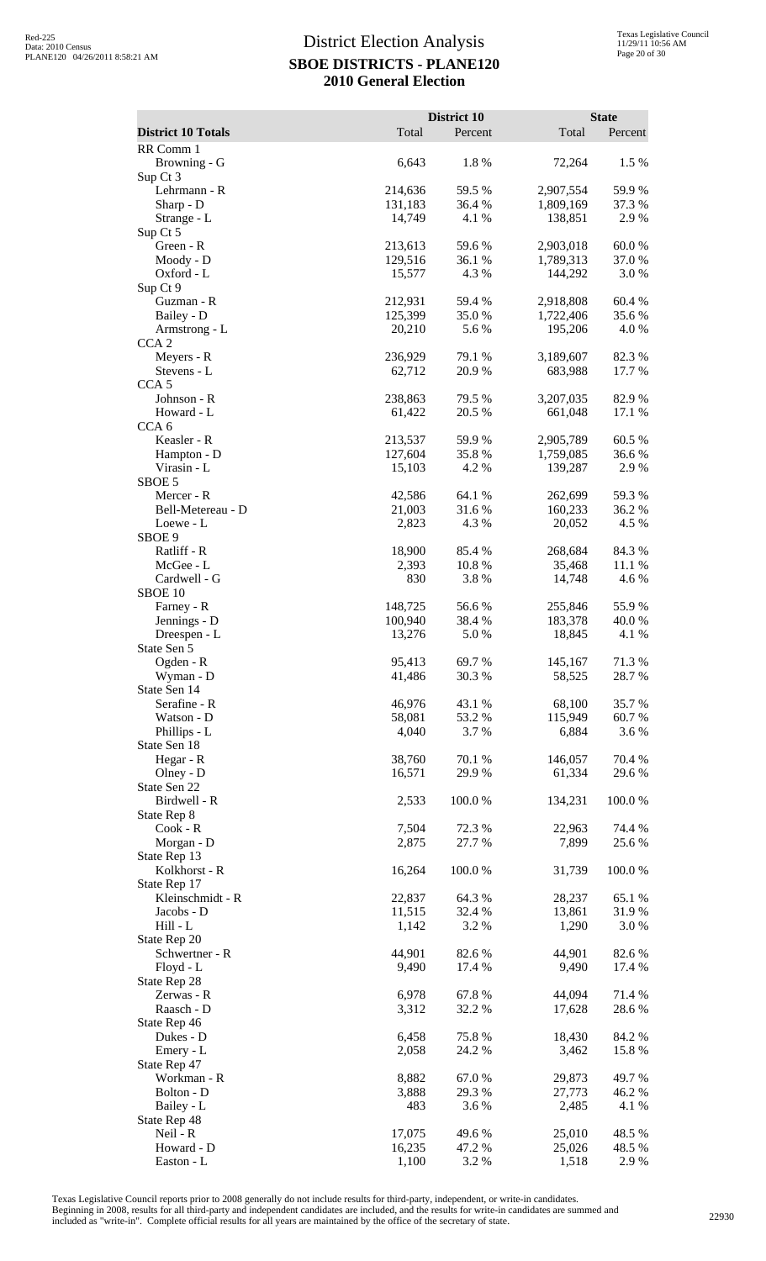|                                    |                   | District 10     |                      | <b>State</b>     |
|------------------------------------|-------------------|-----------------|----------------------|------------------|
| <b>District 10 Totals</b>          | Total             | Percent         | Total                | Percent          |
| RR Comm 1                          |                   |                 |                      |                  |
| Browning - G<br>Sup Ct 3           | 6,643             | 1.8%            | 72,264               | 1.5 %            |
| Lehrmann - R                       | 214,636           | 59.5 %          | 2,907,554            | 59.9%            |
| Sharp - D                          | 131,183           | 36.4 %          | 1,809,169            | 37.3 %           |
| Strange - L                        | 14,749            | 4.1 %           | 138,851              | 2.9%             |
| Sup Ct 5                           |                   |                 |                      |                  |
| Green - R                          | 213,613           | 59.6%           | 2,903,018            | 60.0%            |
| Moody - D<br>Oxford - L            | 129,516<br>15,577 | 36.1 %<br>4.3 % | 1,789,313<br>144,292 | 37.0 %<br>3.0 %  |
| Sup Ct 9                           |                   |                 |                      |                  |
| Guzman - R                         | 212,931           | 59.4 %          | 2,918,808            | 60.4%            |
| Bailey - D                         | 125,399           | 35.0%           | 1,722,406            | 35.6%            |
| Armstrong - L                      | 20,210            | 5.6 %           | 195,206              | 4.0 %            |
| CCA <sub>2</sub>                   |                   |                 |                      |                  |
| Meyers - R<br>Stevens - L          | 236,929<br>62,712 | 79.1 %<br>20.9% | 3,189,607<br>683,988 | 82.3%            |
| CCA <sub>5</sub>                   |                   |                 |                      | 17.7 %           |
| Johnson - R                        | 238,863           | 79.5 %          | 3,207,035            | 82.9%            |
| Howard - L                         | 61,422            | 20.5 %          | 661,048              | 17.1 %           |
| CCA <sub>6</sub>                   |                   |                 |                      |                  |
| Keasler - R                        | 213,537           | 59.9%           | 2,905,789            | 60.5 %           |
| Hampton - D                        | 127,604           | 35.8%           | 1,759,085            | 36.6%            |
| Virasin - L<br>SBOE 5              | 15,103            | 4.2 %           | 139,287              | 2.9%             |
| Mercer - R                         | 42,586            | 64.1 %          | 262,699              | 59.3%            |
| Bell-Metereau - D                  | 21,003            | 31.6%           | 160,233              | 36.2 %           |
| Loewe - L                          | 2,823             | 4.3 %           | 20,052               | 4.5 %            |
| SBOE 9                             |                   |                 |                      |                  |
| Ratliff - R                        | 18,900            | 85.4 %          | 268,684              | 84.3%            |
| McGee - L                          | 2,393             | 10.8 %          | 35,468               | 11.1 %           |
| Cardwell - G<br>SBOE <sub>10</sub> | 830               | 3.8%            | 14,748               | 4.6 %            |
| Farney - R                         | 148,725           | 56.6%           | 255,846              | 55.9%            |
| Jennings - D                       | 100,940           | 38.4 %          | 183,378              | 40.0 %           |
| Dreespen - L                       | 13,276            | 5.0 %           | 18,845               | 4.1 %            |
| State Sen 5                        |                   |                 |                      |                  |
| Ogden - R                          | 95,413            | 69.7%           | 145,167              | $71.3\text{ }\%$ |
| Wyman - D                          | 41,486            | 30.3 %          | 58,525               | 28.7%            |
| State Sen 14<br>Serafine - R       | 46,976            | 43.1 %          | 68,100               | 35.7%            |
| Watson - D                         | 58,081            | 53.2 %          | 115,949              | 60.7%            |
| Phillips - L                       | 4,040             | 3.7 %           | 6,884                | 3.6 %            |
| State Sen 18                       |                   |                 |                      |                  |
| $Hegar - R$                        | 38,760            | 70.1 %          | 146,057              | 70.4 %           |
| Olney - D                          | 16,571            | 29.9%           | 61,334               | 29.6%            |
| State Sen 22<br>Birdwell - R       |                   |                 |                      | 100.0%           |
| State Rep 8                        | 2,533             | 100.0%          | 134,231              |                  |
| $Cook - R$                         | 7,504             | 72.3 %          | 22,963               | 74.4 %           |
| Morgan - D                         | 2,875             | 27.7 %          | 7,899                | 25.6 %           |
| State Rep 13                       |                   |                 |                      |                  |
| Kolkhorst - R                      | 16,264            | 100.0%          | 31,739               | 100.0%           |
| State Rep 17                       |                   |                 |                      |                  |
| Kleinschmidt - R<br>Jacobs - D     | 22,837<br>11,515  | 64.3%<br>32.4 % | 28,237<br>13,861     | 65.1 %<br>31.9%  |
| $Hill - L$                         | 1,142             | 3.2 %           | 1,290                | 3.0%             |
| State Rep 20                       |                   |                 |                      |                  |
| Schwertner - R                     | 44,901            | 82.6 %          | 44,901               | 82.6%            |
| $Floyd - L$                        | 9,490             | 17.4 %          | 9,490                | 17.4 %           |
| State Rep 28                       |                   |                 |                      |                  |
| Zerwas - R                         | 6,978             | 67.8%           | 44,094               | 71.4 %           |
| Raasch - D<br>State Rep 46         | 3,312             | 32.2 %          | 17,628               | 28.6 %           |
| Dukes - D                          | 6,458             | 75.8%           | 18,430               | 84.2 %           |
| Emery - L                          | 2,058             | 24.2 %          | 3,462                | 15.8%            |
| State Rep 47                       |                   |                 |                      |                  |
| Workman - R                        | 8,882             | 67.0%           | 29,873               | 49.7%            |
| Bolton - D                         | 3,888             | 29.3 %          | 27,773               | 46.2%            |
| Bailey - L                         | 483               | 3.6%            | 2,485                | 4.1 %            |
| State Rep 48<br>Neil - R           | 17,075            | 49.6 %          | 25,010               | 48.5 %           |
| Howard - D                         | 16,235            | 47.2 %          | 25,026               | 48.5 %           |
| Easton - L                         | 1,100             | 3.2 %           | 1,518                | 2.9 %            |

Texas Legislative Council reports prior to 2008 generally do not include results for third-party, independent, or write-in candidates.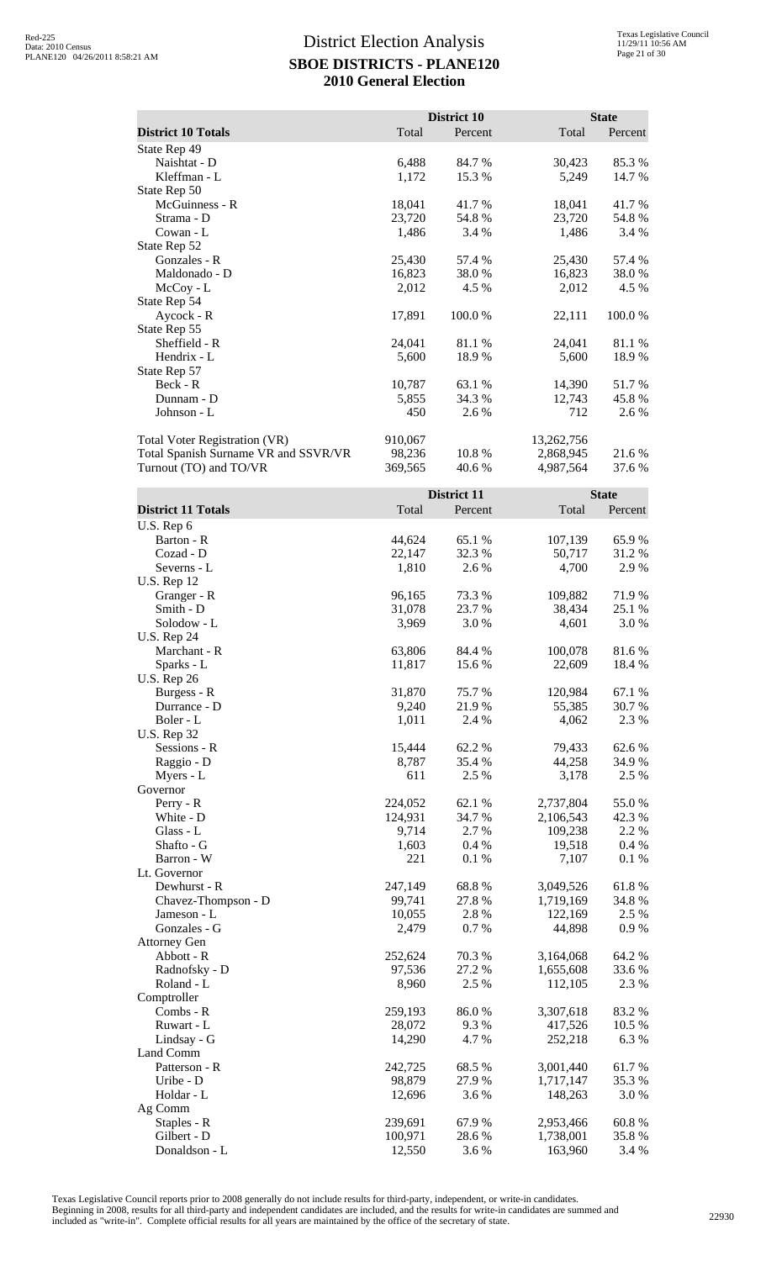|                                      |                   | District 10     |                        | <b>State</b>    |
|--------------------------------------|-------------------|-----------------|------------------------|-----------------|
| <b>District 10 Totals</b>            | Total             | Percent         | Total                  | Percent         |
| State Rep 49<br>Naishtat - D         | 6,488             | 84.7 %          | 30,423                 | 85.3%           |
| Kleffman - L                         | 1,172             | 15.3 %          | 5,249                  | 14.7 %          |
| State Rep 50                         |                   |                 |                        |                 |
| McGuinness - R                       | 18,041            | 41.7%           | 18,041                 | 41.7%           |
| Strama - D                           | 23,720            | 54.8%           | 23,720                 | 54.8%           |
| Cowan - L                            | 1,486             | 3.4 %           | 1,486                  | 3.4 %           |
| State Rep 52                         |                   |                 |                        |                 |
| Gonzales - R<br>Maldonado - D        | 25,430            | 57.4 %          | 25,430                 | 57.4 %          |
| $McCoy - L$                          | 16,823<br>2,012   | 38.0 %<br>4.5 % | 16,823<br>2,012        | 38.0 %<br>4.5 % |
| State Rep 54                         |                   |                 |                        |                 |
| Aycock - R                           | 17,891            | 100.0%          | 22,111                 | 100.0%          |
| State Rep 55                         |                   |                 |                        |                 |
| Sheffield - R                        | 24,041            | 81.1%           | 24,041                 | 81.1%           |
| Hendrix - L                          | 5,600             | 18.9%           | 5,600                  | 18.9%           |
| State Rep 57                         |                   |                 |                        |                 |
| Beck - R                             | 10,787            | 63.1 %          | 14,390                 | 51.7%           |
| Dunnam - D<br>Johnson - L            | 5,855<br>450      | 34.3 %<br>2.6 % | 12,743<br>712          | 45.8%<br>2.6 %  |
|                                      |                   |                 |                        |                 |
| Total Voter Registration (VR)        | 910,067           |                 | 13,262,756             |                 |
| Total Spanish Surname VR and SSVR/VR | 98,236            | 10.8%           | 2,868,945              | 21.6 %          |
| Turnout (TO) and TO/VR               | 369,565           | 40.6 %          | 4,987,564              | 37.6 %          |
|                                      |                   |                 |                        |                 |
|                                      |                   | District 11     |                        | <b>State</b>    |
| <b>District 11 Totals</b>            | Total             | Percent         | Total                  | Percent         |
| U.S. Rep 6<br>Barton - R             | 44,624            | 65.1 %          | 107,139                | 65.9%           |
| Cozad - D                            | 22,147            | 32.3 %          | 50,717                 | 31.2%           |
| Severns - L                          | 1,810             | 2.6 %           | 4,700                  | 2.9 %           |
| <b>U.S. Rep 12</b>                   |                   |                 |                        |                 |
| Granger - R                          | 96,165            | 73.3 %          | 109,882                | 71.9%           |
| Smith - D                            | 31,078            | 23.7 %          | 38,434                 | 25.1 %          |
| Solodow - L                          | 3,969             | 3.0%            | 4,601                  | 3.0%            |
| <b>U.S. Rep 24</b>                   |                   |                 |                        |                 |
| Marchant - R<br>Sparks - L           | 63,806<br>11,817  | 84.4 %<br>15.6% | 100,078<br>22,609      | 81.6%<br>18.4 % |
| <b>U.S. Rep 26</b>                   |                   |                 |                        |                 |
| Burgess - R                          | 31,870            | 75.7%           | 120,984                | 67.1 %          |
| Durrance - D                         | 9,240             | 21.9%           | 55,385                 | 30.7%           |
| Boler - L                            | 1,011             | 2.4 %           | 4,062                  | 2.3 %           |
| <b>U.S. Rep 32</b>                   |                   |                 |                        |                 |
| Sessions - R                         | 15,444            | 62.2%           | 79,433                 | 62.6%           |
| Raggio - D                           | 8,787             | 35.4 %          | 44,258                 | 34.9%           |
| Myers - L<br>Governor                | 611               | 2.5 %           | 3,178                  | 2.5 %           |
| Perry - R                            | 224,052           | 62.1 %          | 2,737,804              | $55.0\;\%$      |
| White - D                            | 124,931           | 34.7%           | 2,106,543              | 42.3 %          |
| Glass - L                            | 9,714             | 2.7 %           | 109,238                | 2.2 %           |
| Shafto - G                           | 1,603             | 0.4%            | 19,518                 | 0.4 %           |
| Barron - W                           | 221               | 0.1%            | 7,107                  | 0.1 %           |
| Lt. Governor                         |                   |                 |                        |                 |
| Dewhurst - R                         | 247,149<br>99,741 | 68.8%<br>27.8 % | 3,049,526<br>1,719,169 | 61.8%<br>34.8%  |
| Chavez-Thompson - D<br>Jameson - L   | 10,055            | 2.8%            | 122,169                | 2.5 %           |
| Gonzales - G                         | 2,479             | 0.7%            | 44,898                 | 0.9%            |
| <b>Attorney Gen</b>                  |                   |                 |                        |                 |
| Abbott - R                           | 252,624           | 70.3%           | 3,164,068              | 64.2 %          |
| Radnofsky - D                        | 97,536            | 27.2 %          | 1,655,608              | 33.6 %          |
| Roland - L                           | 8,960             | 2.5 %           | 112,105                | 2.3 %           |
| Comptroller                          |                   |                 |                        |                 |
| Combs - R<br>Ruwart - L              | 259,193<br>28,072 | 86.0%<br>9.3%   | 3,307,618<br>417,526   | 83.2%<br>10.5 % |
| Lindsay - G                          | 14,290            | 4.7 %           | 252,218                | 6.3%            |
| Land Comm                            |                   |                 |                        |                 |
| Patterson - R                        | 242,725           | 68.5 %          | 3,001,440              | 61.7%           |
| Uribe - D                            | 98,879            | 27.9%           | 1,717,147              | 35.3 %          |
| Holdar - L                           | 12,696            | 3.6%            | 148,263                | 3.0%            |

Texas Legislative Council reports prior to 2008 generally do not include results for third-party, independent, or write-in candidates. Beginning in 2008, results for all third-party and independent candidates are included, and the results for write-in candidates are summed and<br>included as "write-in". Complete official results for all years are maintained

Staples - R<br>
Gilbert - D<br>
Donaldson - L<br>
239,691 67.9 % 2,953,466 60.8 %<br>
28.6 % 1,738,001 35.8 %<br>
28.6 % 1,738,001 35.8 %<br>
28.6 % 1,738,001 35.8 %

 $2,555,186$ <br>  $2,555,186$ <br>  $3.6 %$ <br>  $3.6 %$ <br>  $1,738,001$ <br>  $3.6 %$ <br>  $3.6 %$ <br>  $3.6 %$ 

Ag Comm

Donaldson -  $\mathcal L$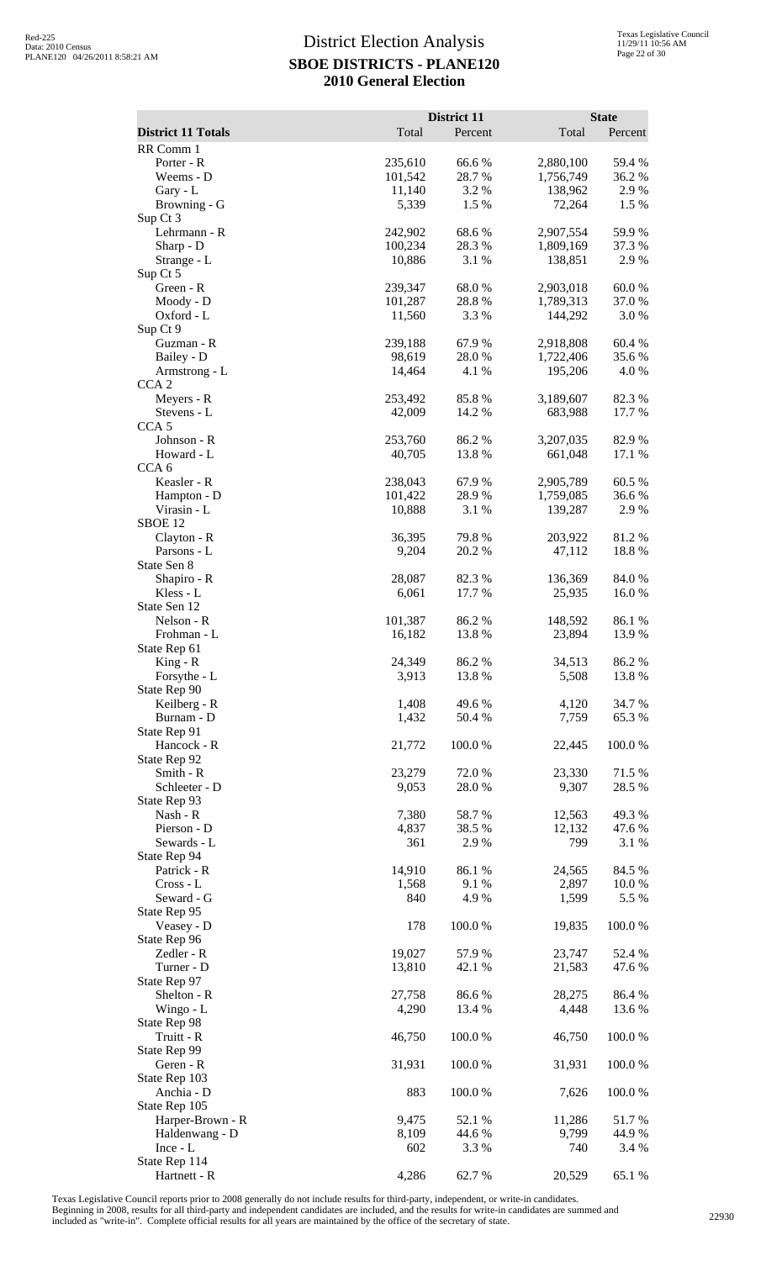| <b>District 11 Totals</b>         | Total              | District 11<br>Percent | Total                  | <b>State</b><br>Percent |
|-----------------------------------|--------------------|------------------------|------------------------|-------------------------|
| RR Comm 1                         |                    |                        |                        |                         |
| Porter - R                        | 235,610            | 66.6%                  | 2,880,100              | 59.4 %                  |
| Weems - D                         | 101,542            | 28.7%                  | 1,756,749              | 36.2%                   |
| Gary - L                          | 11,140             | 3.2 %                  | 138,962                | 2.9%                    |
| Browning - G                      | 5,339              | 1.5 %                  | 72,264                 | 1.5 %                   |
| Sup Ct 3<br>Lehrmann - R          | 242,902            | 68.6%                  | 2,907,554              | 59.9%                   |
| Sharp - D                         | 100,234            | 28.3%                  | 1,809,169              | 37.3 %                  |
| Strange - L                       | 10,886             | 3.1 %                  | 138,851                | 2.9%                    |
| Sup Ct 5                          |                    |                        |                        |                         |
| Green - R<br>Moody - D            | 239,347<br>101,287 | 68.0%<br>28.8%         | 2,903,018<br>1,789,313 | 60.0%<br>37.0%          |
| Oxford - L                        | 11,560             | 3.3 %                  | 144,292                | 3.0%                    |
| Sup Ct 9                          |                    |                        |                        |                         |
| Guzman - R                        | 239,188            | 67.9%                  | 2,918,808              | 60.4%                   |
| Bailey - D                        | 98,619             | 28.0%                  | 1,722,406              | 35.6%                   |
| Armstrong - L<br>CCA <sub>2</sub> | 14,464             | 4.1 %                  | 195,206                | 4.0%                    |
| Meyers - R                        | 253,492            | 85.8%                  | 3,189,607              | 82.3%                   |
| Stevens - L                       | 42,009             | 14.2 %                 | 683,988                | 17.7 %                  |
| CCA <sub>5</sub>                  |                    |                        |                        |                         |
| Johnson - R                       | 253,760            | 86.2%                  | 3,207,035              | 82.9%                   |
| Howard - L<br>CCA <sub>6</sub>    | 40,705             | 13.8%                  | 661,048                | 17.1 %                  |
| Keasler - R                       | 238,043            | 67.9%                  | 2,905,789              | 60.5 %                  |
| Hampton - D                       | 101,422            | 28.9%                  | 1,759,085              | 36.6%                   |
| Virasin - L                       | 10,888             | 3.1 %                  | 139,287                | 2.9 %                   |
| SBOE <sub>12</sub>                |                    |                        |                        |                         |
| Clayton - R<br>Parsons - L        | 36,395<br>9,204    | 79.8%<br>20.2 %        | 203,922<br>47,112      | 81.2%<br>18.8%          |
| State Sen 8                       |                    |                        |                        |                         |
| Shapiro - R                       | 28,087             | 82.3 %                 | 136,369                | 84.0%                   |
| Kless - L                         | 6,061              | 17.7 %                 | 25,935                 | 16.0%                   |
| State Sen 12                      |                    |                        |                        |                         |
| Nelson - R<br>Frohman - L         | 101,387<br>16,182  | 86.2%<br>13.8%         | 148,592<br>23,894      | 86.1%<br>13.9%          |
| State Rep 61                      |                    |                        |                        |                         |
| $King - R$                        | 24,349             | 86.2%                  | 34,513                 | 86.2%                   |
| Forsythe - L                      | 3,913              | 13.8 %                 | 5,508                  | 13.8%                   |
| State Rep 90<br>Keilberg - R      | 1,408              | 49.6%                  | 4,120                  | 34.7 %                  |
| Burnam - D                        | 1,432              | 50.4 %                 | 7,759                  | 65.3 %                  |
| State Rep 91                      |                    |                        |                        |                         |
| Hancock - R                       | 21,772             | 100.0%                 | 22,445                 | 100.0%                  |
| State Rep 92                      |                    |                        |                        |                         |
| Smith - R<br>Schleeter - D        | 23,279<br>9,053    | 72.0%<br>28.0 %        | 23,330<br>9,307        | 71.5 %<br>28.5 %        |
| State Rep 93                      |                    |                        |                        |                         |
| Nash - R                          | 7,380              | 58.7%                  | 12,563                 | 49.3%                   |
| Pierson - D                       | 4,837              | 38.5 %                 | 12,132                 | 47.6 %                  |
| Sewards - L                       | 361                | 2.9%                   | 799                    | 3.1 %                   |
| State Rep 94<br>Patrick - R       | 14,910             | 86.1 %                 | 24,565                 | 84.5 %                  |
| $Cross - L$                       | 1,568              | 9.1%                   | 2,897                  | 10.0 %                  |
| Seward - G                        | 840                | 4.9%                   | 1,599                  | 5.5 %                   |
| State Rep 95                      |                    |                        |                        |                         |
| Veasey - D<br>State Rep 96        | 178                | 100.0%                 | 19,835                 | 100.0%                  |
| Zedler - R                        | 19,027             | 57.9%                  | 23,747                 | 52.4 %                  |
| Turner - D                        | 13,810             | 42.1 %                 | 21,583                 | 47.6 %                  |
| State Rep 97                      |                    |                        |                        |                         |
| Shelton - R                       | 27,758<br>4,290    | 86.6 %<br>13.4 %       | 28,275                 | 86.4%<br>13.6 %         |
| Wingo - L<br>State Rep 98         |                    |                        | 4,448                  |                         |
| Truitt - R                        | 46,750             | 100.0%                 | 46,750                 | 100.0%                  |
| State Rep 99                      |                    |                        |                        |                         |
| Geren - R                         | 31,931             | 100.0%                 | 31,931                 | 100.0%                  |
| State Rep 103<br>Anchia - D       | 883                |                        |                        |                         |
| State Rep 105                     |                    | 100.0 %                | 7,626                  | $100.0~\%$              |
| Harper-Brown - R                  | 9,475              | 52.1 %                 | 11,286                 | 51.7%                   |
| Haldenwang - D                    | 8,109              | 44.6 %                 | 9,799                  | 44.9%                   |
| Ince - L                          | 602                | 3.3 %                  | 740                    | 3.4 %                   |
| State Rep 114<br>Hartnett - R     | 4,286              | 62.7%                  | 20,529                 | 65.1 %                  |
|                                   |                    |                        |                        |                         |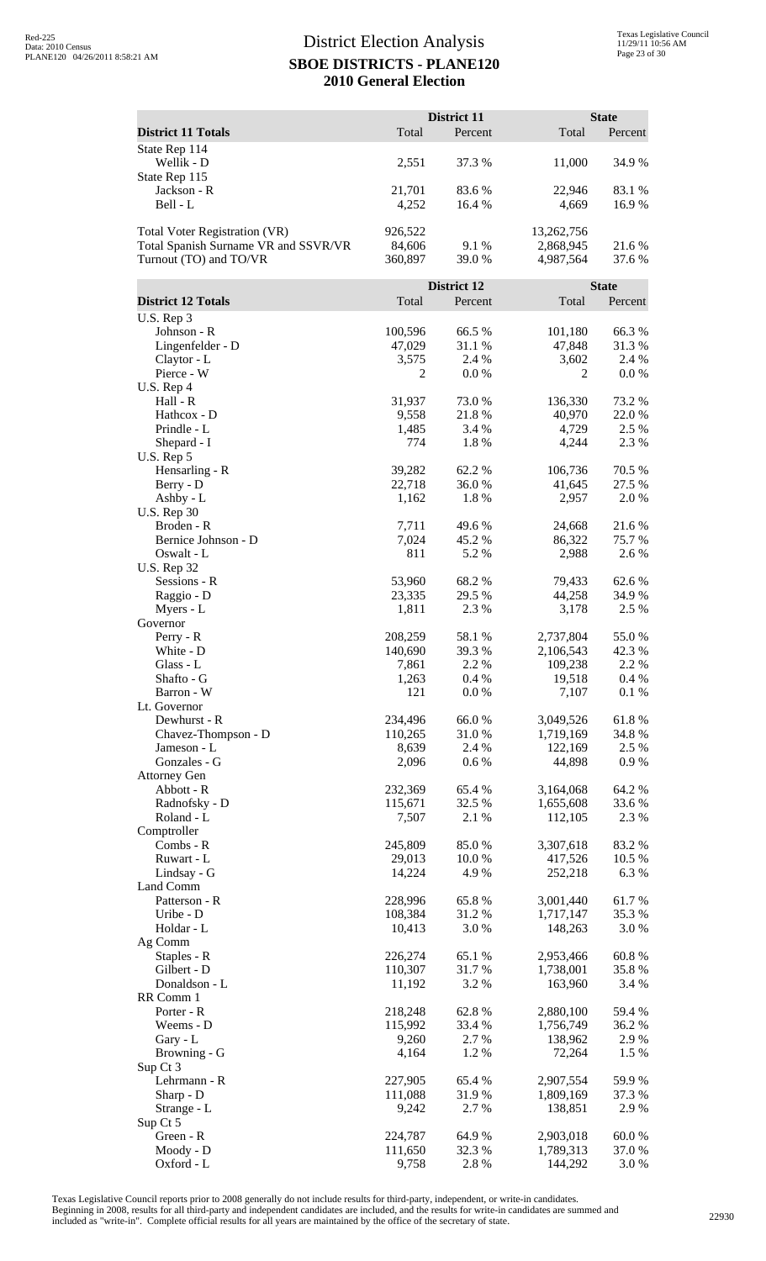|                                      |                    | District 11     |                        | <b>State</b>    |
|--------------------------------------|--------------------|-----------------|------------------------|-----------------|
| <b>District 11 Totals</b>            | Total              | Percent         | Total                  | Percent         |
| State Rep 114<br>Wellik - D          | 2,551              | 37.3 %          | 11,000                 | 34.9%           |
| State Rep 115                        |                    |                 |                        |                 |
| Jackson - R                          | 21,701             | 83.6%           | 22,946                 | 83.1 %          |
| Bell - L                             | 4,252              | 16.4 %          | 4,669                  | 16.9%           |
| <b>Total Voter Registration (VR)</b> | 926,522            |                 | 13,262,756             |                 |
| Total Spanish Surname VR and SSVR/VR | 84,606             | 9.1 %           | 2,868,945              | 21.6 %          |
| Turnout (TO) and TO/VR               | 360,897            | 39.0%           | 4,987,564              | 37.6 %          |
|                                      |                    | District 12     |                        | <b>State</b>    |
| <b>District 12 Totals</b>            | Total              | Percent         | Total                  | Percent         |
| U.S. Rep 3<br>Johnson - R            | 100,596            | 66.5 %          | 101,180                | 66.3%           |
| Lingenfelder - D                     | 47,029             | 31.1 %          | 47,848                 | 31.3 %          |
| Claytor - L                          | 3,575              | 2.4 %           | 3,602                  | 2.4 %           |
| Pierce - W<br>U.S. Rep 4             | 2                  | 0.0 %           | 2                      | 0.0 %           |
| Hall - R                             | 31,937             | 73.0%           | 136,330                | 73.2 %          |
| Hathcox - D                          | 9,558              | 21.8%           | 40,970                 | 22.0 %          |
| Prindle - L                          | 1,485              | 3.4 %           | 4,729                  | 2.5 %           |
| Shepard - I<br>U.S. Rep 5            | 774                | 1.8%            | 4,244                  | 2.3 %           |
| Hensarling - R                       | 39,282             | 62.2%           | 106,736                | 70.5 %          |
| Berry - D                            | 22,718             | 36.0%           | 41,645                 | 27.5 %          |
| Ashby - L                            | 1,162              | 1.8%            | 2,957                  | 2.0 %           |
| <b>U.S. Rep 30</b><br>Broden - R     | 7,711              | 49.6 %          | 24,668                 | 21.6%           |
| Bernice Johnson - D                  | 7,024              | 45.2 %          | 86,322                 | 75.7 %          |
| Oswalt - L                           | 811                | 5.2 %           | 2,988                  | 2.6 %           |
| <b>U.S. Rep 32</b><br>Sessions - R   | 53,960             | 68.2%           | 79,433                 | 62.6 %          |
| Raggio - D                           | 23,335             | 29.5 %          | 44,258                 | 34.9 %          |
| Myers - L                            | 1,811              | 2.3 %           | 3,178                  | 2.5 %           |
| Governor                             |                    |                 |                        |                 |
| Perry - R<br>White - D               | 208,259<br>140,690 | 58.1%<br>39.3 % | 2,737,804<br>2,106,543 | 55.0%<br>42.3 % |
| Glass - L                            | 7,861              | 2.2 %           | 109,238                | 2.2 %           |
| Shafto - G                           | 1,263              | 0.4 %           | 19,518                 | 0.4%            |
| Barron - W                           | 121                | $0.0\ \%$       | 7,107                  | 0.1 %           |
| Lt. Governor<br>Dewhurst - R         | 234,496            | 66.0%           | 3,049,526              | 61.8%           |
| Chavez-Thompson - D                  | 110,265            | 31.0%           | 1,719,169              | 34.8%           |
| Jameson - L                          | 8,639              | 2.4 %           | 122,169                | 2.5 %           |
| Gonzales - G                         | 2,096              | 0.6 %           | 44,898                 | 0.9 %           |
| <b>Attorney Gen</b><br>Abbott - R    | 232,369            | 65.4 %          | 3,164,068              | 64.2%           |
| Radnofsky - D                        | 115,671            | 32.5 %          | 1,655,608              | 33.6 %          |
| Roland - L                           | 7,507              | 2.1 %           | 112,105                | 2.3 %           |
| Comptroller                          |                    |                 |                        |                 |
| Combs - R<br>Ruwart - L              | 245,809<br>29,013  | 85.0%<br>10.0%  | 3,307,618<br>417,526   | 83.2%<br>10.5 % |
| Lindsay - G                          | 14,224             | 4.9%            | 252,218                | 6.3 %           |
| Land Comm                            |                    |                 |                        |                 |
| Patterson - R                        | 228,996            | 65.8%           | 3,001,440              | 61.7%           |
| Uribe - D<br>Holdar - L              | 108,384<br>10,413  | 31.2%<br>3.0%   | 1,717,147<br>148,263   | 35.3 %<br>3.0%  |
| Ag Comm                              |                    |                 |                        |                 |
| Staples - R                          | 226,274            | 65.1%           | 2,953,466              | 60.8%           |
| Gilbert - D                          | 110,307            | 31.7%           | 1,738,001              | 35.8%           |
| Donaldson - L<br>RR Comm 1           | 11,192             | 3.2 %           | 163,960                | 3.4 %           |
| Porter - R                           | 218,248            | 62.8%           | 2,880,100              | 59.4 %          |
| Weems - D                            | 115,992            | 33.4 %          | 1,756,749              | 36.2 %          |
| Gary - L                             | 9,260              | 2.7 %           | 138,962                | 2.9 %           |
| Browning - G                         | 4,164              | 1.2%            | 72,264                 | 1.5 %           |
| Sup Ct 3<br>Lehrmann - R             | 227,905            | 65.4 %          | 2,907,554              | 59.9%           |
| Sharp - D                            | 111,088            | 31.9%           | 1,809,169              | 37.3 %          |
| Strange - L                          | 9,242              | 2.7 %           | 138,851                | 2.9 %           |
| Sup Ct 5<br>Green - R                | 224,787            | 64.9%           | 2,903,018              | 60.0%           |
| Moody - D                            | 111,650            | 32.3 %          | 1,789,313              | 37.0 %          |
| Oxford - L                           | 9,758              | 2.8%            | 144,292                | 3.0 %           |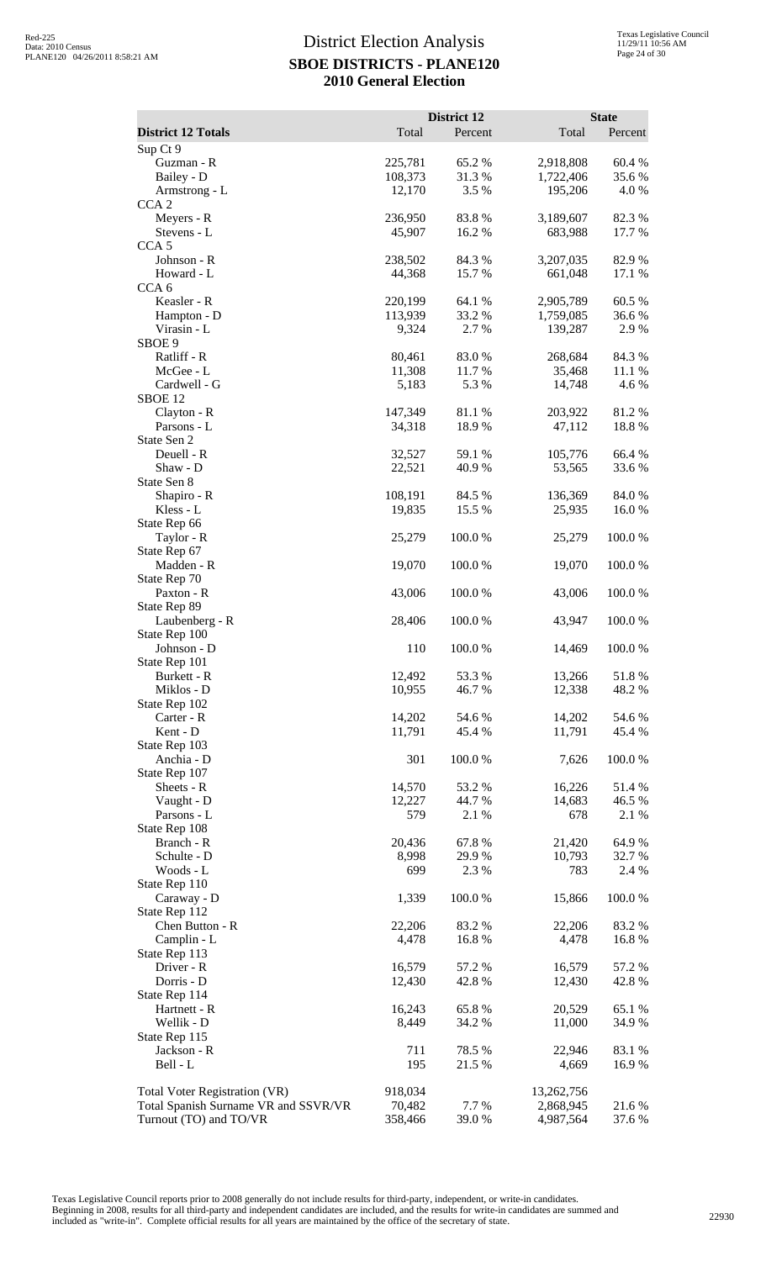|                                      |                  | District 12     |                      | <b>State</b>  |
|--------------------------------------|------------------|-----------------|----------------------|---------------|
| <b>District 12 Totals</b>            | Total            | Percent         | Total                | Percent       |
| Sup Ct 9<br>Guzman - R               | 225,781          | 65.2%           | 2,918,808            | 60.4%         |
| Bailey - D                           | 108,373          | 31.3%           | 1,722,406            | 35.6%         |
| Armstrong - L                        | 12,170           | 3.5 %           | 195,206              | 4.0%          |
| CCA <sub>2</sub>                     |                  |                 |                      |               |
| Meyers - R<br>Stevens - L            | 236,950          | 83.8%           | 3,189,607            | 82.3%         |
| CCA <sub>5</sub>                     | 45,907           | 16.2%           | 683,988              | 17.7 %        |
| Johnson - R                          | 238,502          | 84.3 %          | 3,207,035            | 82.9%         |
| Howard - L                           | 44,368           | 15.7%           | 661,048              | 17.1 %        |
| CCA <sub>6</sub>                     |                  |                 |                      |               |
| Keasler - R                          | 220,199          | 64.1 %          | 2,905,789            | 60.5 %        |
| Hampton - D<br>Virasin - L           | 113,939<br>9,324 | 33.2 %<br>2.7 % | 1,759,085<br>139,287 | 36.6%<br>2.9% |
| SBOE 9                               |                  |                 |                      |               |
| Ratliff - R                          | 80,461           | 83.0%           | 268,684              | 84.3%         |
| McGee - L                            | 11,308           | 11.7%           | 35,468               | 11.1 %        |
| Cardwell - G                         | 5,183            | 5.3 %           | 14,748               | 4.6%          |
| SBOE <sub>12</sub><br>Clayton - R    | 147,349          | 81.1%           | 203,922              | 81.2%         |
| Parsons - L                          | 34,318           | 18.9%           | 47,112               | 18.8%         |
| State Sen 2                          |                  |                 |                      |               |
| Deuell - R                           | 32,527           | 59.1 %          | 105,776              | 66.4%         |
| Shaw - D                             | 22,521           | 40.9%           | 53,565               | 33.6%         |
| State Sen 8<br>Shapiro - R           | 108,191          | 84.5 %          | 136,369              | 84.0%         |
| Kless - L                            | 19,835           | 15.5 %          | 25,935               | 16.0%         |
| State Rep 66                         |                  |                 |                      |               |
| Taylor - R                           | 25,279           | 100.0%          | 25,279               | 100.0%        |
| State Rep 67                         |                  |                 |                      |               |
| Madden - R                           | 19,070           | 100.0%          | 19,070               | 100.0%        |
| State Rep 70<br>Paxton - R           | 43,006           | 100.0%          | 43,006               | 100.0%        |
| State Rep 89                         |                  |                 |                      |               |
| Laubenberg - R                       | 28,406           | 100.0%          | 43,947               | 100.0%        |
| State Rep 100                        |                  |                 |                      |               |
| Johnson - D                          | 110              | 100.0%          | 14,469               | 100.0%        |
| State Rep 101<br>Burkett - R         | 12,492           | 53.3 %          | 13,266               | 51.8%         |
| Miklos - D                           | 10,955           | 46.7 %          | 12,338               | 48.2%         |
| State Rep 102                        |                  |                 |                      |               |
| Carter - R                           | 14,202           | 54.6 %          | 14,202               | 54.6 %        |
| Kent - D                             | 11,791           | 45.4 %          | 11,791               | 45.4 %        |
| State Rep 103<br>Anchia - D          | 301              | 100.0%          | 7,626                | 100.0%        |
| State Rep 107                        |                  |                 |                      |               |
| Sheets - R                           | 14,570           | 53.2 %          | 16,226               | 51.4%         |
| Vaught - D                           | 12,227           | 44.7 %          | 14,683               | 46.5 %        |
| Parsons - L                          | 579              | 2.1 %           | 678                  | 2.1 %         |
| State Rep 108<br>Branch - R          | 20,436           | 67.8%           | 21,420               | 64.9%         |
| Schulte - D                          | 8,998            | 29.9%           | 10,793               | 32.7 %        |
| Woods - L                            | 699              | 2.3 %           | 783                  | 2.4 %         |
| State Rep 110                        |                  |                 |                      |               |
| Caraway - D                          | 1,339            | 100.0%          | 15,866               | 100.0%        |
| State Rep 112<br>Chen Button - R     | 22,206           | 83.2 %          | 22,206               | 83.2%         |
| Camplin - L                          | 4,478            | 16.8%           | 4,478                | 16.8%         |
| State Rep 113                        |                  |                 |                      |               |
| Driver - R                           | 16,579           | 57.2 %          | 16,579               | 57.2 %        |
| Dorris - D                           | 12,430           | 42.8%           | 12,430               | 42.8%         |
| State Rep 114<br>Hartnett - R        | 16,243           | 65.8%           | 20,529               | 65.1 %        |
| Wellik - D                           | 8,449            | 34.2 %          | 11,000               | 34.9 %        |
| State Rep 115                        |                  |                 |                      |               |
| Jackson - R                          | 711              | 78.5 %          | 22,946               | 83.1 %        |
| Bell - L                             | 195              | 21.5 %          | 4,669                | 16.9%         |
| Total Voter Registration (VR)        | 918,034          |                 | 13,262,756           |               |
| Total Spanish Surname VR and SSVR/VR | 70,482           | 7.7%            | 2,868,945            | 21.6%         |
| Turnout (TO) and TO/VR               | 358,466          | 39.0%           | 4,987,564            | 37.6 %        |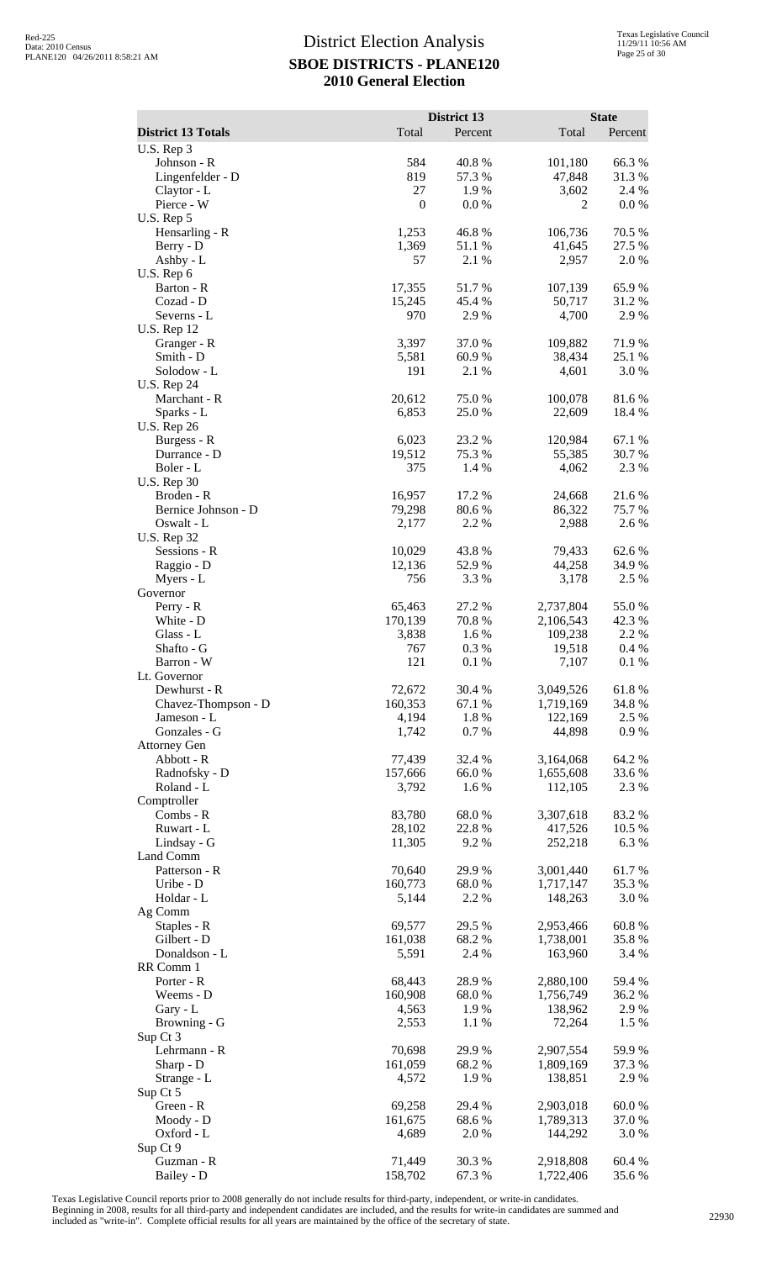|                                         |                   | District 13      |                        | <b>State</b>     |
|-----------------------------------------|-------------------|------------------|------------------------|------------------|
| <b>District 13 Totals</b><br>U.S. Rep 3 | Total             | Percent          | Total                  | Percent          |
| Johnson - R                             | 584               | 40.8%            | 101,180                | 66.3%            |
| Lingenfelder - D                        | 819               | 57.3 %           | 47,848                 | 31.3%            |
| Claytor - L                             | 27                | 1.9%             | 3,602                  | 2.4 %            |
| Pierce - W<br>U.S. Rep 5                | $\boldsymbol{0}$  | 0.0 %            | 2                      | $0.0\ \%$        |
| Hensarling - R                          | 1,253             | 46.8%            | 106,736                | 70.5 %           |
| Berry - D                               | 1,369             | 51.1%            | 41,645                 | 27.5 %           |
| Ashby - L<br>U.S. Rep 6                 | 57                | 2.1 %            | 2,957                  | 2.0%             |
| Barton - R                              | 17,355            | 51.7%            | 107,139                | 65.9%            |
| Cozad - D                               | 15,245            | 45.4 %           | 50,717                 | 31.2%            |
| Severns - L<br><b>U.S. Rep 12</b>       | 970               | 2.9 %            | 4,700                  | 2.9%             |
| Granger - R                             | 3,397             | 37.0%            | 109,882                | 71.9%            |
| Smith - D                               | 5,581             | 60.9%            | 38,434                 | 25.1 %           |
| Solodow - L                             | 191               | 2.1 %            | 4,601                  | 3.0%             |
| <b>U.S. Rep 24</b><br>Marchant - R      | 20,612            | 75.0%            | 100,078                | 81.6%            |
| Sparks - L                              | 6,853             | 25.0%            | 22,609                 | 18.4 %           |
| <b>U.S. Rep 26</b>                      |                   |                  |                        |                  |
| Burgess - R<br>Durrance - D             | 6,023<br>19,512   | 23.2 %<br>75.3 % | 120,984<br>55,385      | 67.1 %<br>30.7 % |
| Boler - L                               | 375               | 1.4 %            | 4,062                  | 2.3 %            |
| <b>U.S. Rep 30</b>                      |                   |                  |                        |                  |
| Broden - R                              | 16,957            | 17.2 %           | 24,668                 | 21.6%            |
| Bernice Johnson - D<br>Oswalt - L       | 79,298<br>2,177   | 80.6%<br>2.2 %   | 86,322<br>2,988        | 75.7 %<br>2.6%   |
| <b>U.S. Rep 32</b>                      |                   |                  |                        |                  |
| Sessions - R                            | 10,029            | 43.8%            | 79,433                 | 62.6%            |
| Raggio - D<br>Myers - L                 | 12,136<br>756     | 52.9%<br>3.3 %   | 44,258<br>3,178        | 34.9 %<br>2.5 %  |
| Governor                                |                   |                  |                        |                  |
| Perry - R                               | 65,463            | 27.2 %           | 2,737,804              | 55.0%            |
| White - D<br>Glass - L                  | 170,139           | 70.8%            | 2,106,543              | 42.3%            |
| Shafto - G                              | 3,838<br>767      | 1.6%<br>0.3%     | 109,238<br>19,518      | 2.2 %<br>0.4 %   |
| Barron - W                              | 121               | 0.1%             | 7,107                  | $0.1\%$          |
| Lt. Governor                            |                   |                  |                        |                  |
| Dewhurst - R<br>Chavez-Thompson - D     | 72,672<br>160,353 | 30.4 %<br>67.1 % | 3,049,526<br>1,719,169 | 61.8%<br>34.8%   |
| Jameson - L                             | 4,194             | 1.8%             | 122,169                | 2.5 %            |
| Gonzales - G                            | 1,742             | 0.7%             | 44,898                 | 0.9%             |
| <b>Attorney Gen</b><br>Abbott - R       | 77,439            | 32.4 %           | 3,164,068              | 64.2 %           |
| Radnofsky - D                           | 157,666           | 66.0%            | 1,655,608              | 33.6%            |
| Roland - L                              | 3,792             | 1.6%             | 112,105                | 2.3 %            |
| Comptroller                             |                   |                  |                        |                  |
| Combs - R<br>Ruwart - L                 | 83,780<br>28,102  | 68.0%<br>22.8%   | 3,307,618<br>417,526   | 83.2%<br>10.5 %  |
| Lindsay - G                             | 11,305            | 9.2%             | 252,218                | 6.3%             |
| Land Comm                               |                   |                  |                        |                  |
| Patterson - R<br>Uribe - D              | 70,640<br>160,773 | 29.9%<br>68.0%   | 3,001,440<br>1,717,147 | 61.7%<br>35.3 %  |
| Holdar - L                              | 5,144             | 2.2 %            | 148,263                | 3.0%             |
| Ag Comm                                 |                   |                  |                        |                  |
| Staples - R                             | 69,577            | 29.5 %           | 2,953,466              | 60.8%            |
| Gilbert - D<br>Donaldson - L            | 161,038<br>5,591  | 68.2%<br>2.4 %   | 1,738,001<br>163,960   | 35.8%<br>3.4 %   |
| RR Comm 1                               |                   |                  |                        |                  |
| Porter - R                              | 68,443            | 28.9%            | 2,880,100              | 59.4 %           |
| Weems - D<br>Gary - L                   | 160,908<br>4,563  | 68.0%<br>1.9%    | 1,756,749<br>138,962   | 36.2%<br>2.9%    |
| Browning - G                            | 2,553             | 1.1 %            | 72,264                 | 1.5 %            |
| Sup Ct 3                                |                   |                  |                        |                  |
| Lehrmann - R                            | 70,698            | 29.9%            | 2,907,554              | 59.9%            |
| Sharp - D<br>Strange - L                | 161,059<br>4,572  | 68.2%<br>1.9%    | 1,809,169<br>138,851   | 37.3 %<br>2.9%   |
| Sup Ct 5                                |                   |                  |                        |                  |
| Green - R                               | 69,258            | 29.4 %           | 2,903,018              | 60.0%            |
| Moody - D<br>Oxford - L                 | 161,675<br>4,689  | 68.6%<br>2.0%    | 1,789,313              | 37.0%<br>3.0%    |
| Sup Ct 9                                |                   |                  | 144,292                |                  |
| Guzman - R                              | 71,449            | 30.3%            | 2,918,808              | 60.4%            |
| Bailey - D                              | 158,702           | 67.3%            | 1,722,406              | 35.6%            |

Texas Legislative Council reports prior to 2008 generally do not include results for third-party, independent, or write-in candidates.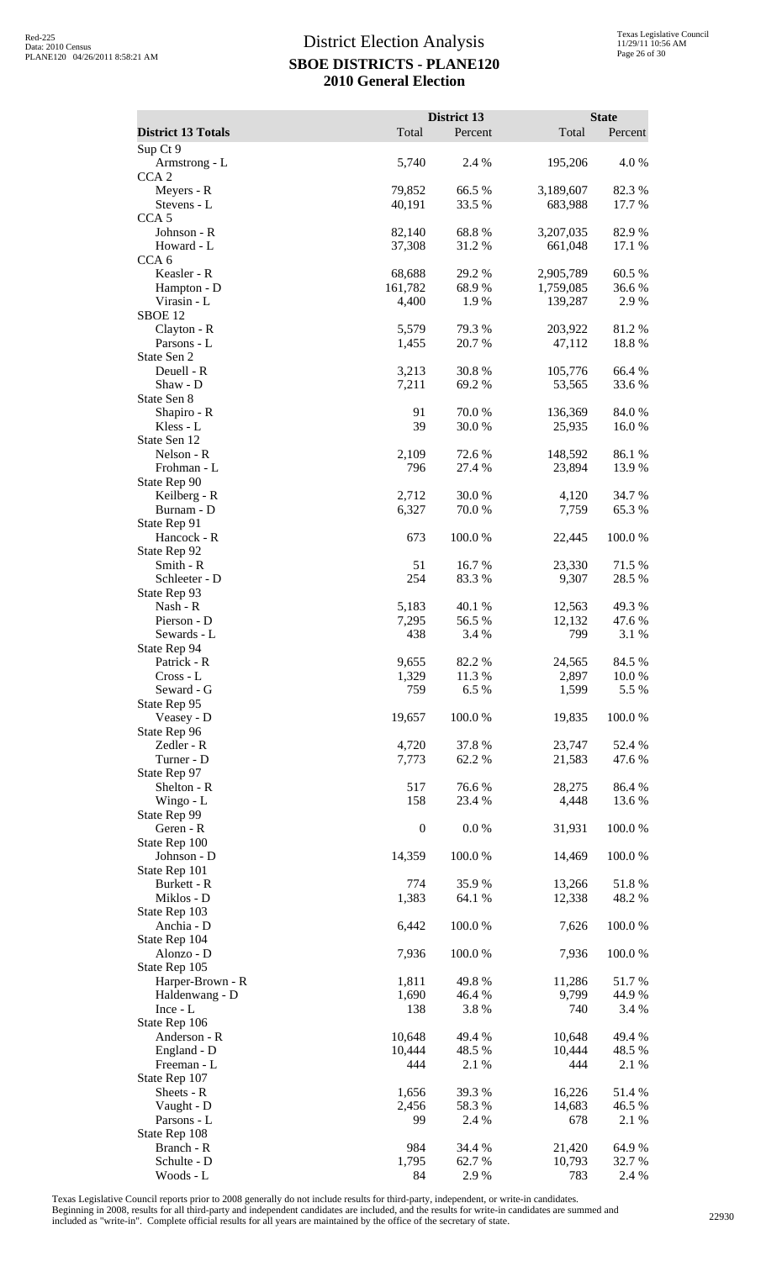|                                       |                  | District 13      |                      | <b>State</b>     |
|---------------------------------------|------------------|------------------|----------------------|------------------|
| <b>District 13 Totals</b><br>Sup Ct 9 | Total            | Percent          | Total                | Percent          |
| Armstrong - L                         | 5,740            | 2.4 %            | 195,206              | 4.0%             |
| CCA <sub>2</sub>                      |                  |                  |                      |                  |
| Meyers - R<br>Stevens - L             | 79,852<br>40,191 | 66.5 %<br>33.5 % | 3,189,607<br>683,988 | 82.3%<br>17.7 %  |
| CCA <sub>5</sub>                      |                  |                  |                      |                  |
| Johnson - R<br>Howard - L             | 82,140           | 68.8%            | 3,207,035            | 82.9%            |
| CCA <sub>6</sub>                      | 37,308           | 31.2%            | 661,048              | 17.1 %           |
| Keasler - R                           | 68,688           | 29.2 %           | 2,905,789            | 60.5 %           |
| Hampton - D<br>Virasin - L            | 161,782<br>4,400 | 68.9%<br>1.9%    | 1,759,085<br>139,287 | 36.6 %<br>2.9%   |
| SBOE <sub>12</sub>                    |                  |                  |                      |                  |
| Clayton - R                           | 5,579            | 79.3 %           | 203,922              | 81.2%            |
| Parsons - L<br>State Sen 2            | 1,455            | 20.7 %           | 47,112               | 18.8%            |
| Deuell - R                            | 3,213            | 30.8%            | 105,776              | 66.4%            |
| Shaw - D<br>State Sen 8               | 7,211            | 69.2 %           | 53,565               | 33.6%            |
| Shapiro - R                           | 91               | 70.0%            | 136,369              | 84.0%            |
| Kless - L                             | 39               | 30.0%            | 25,935               | 16.0%            |
| State Sen 12<br>Nelson - R            | 2,109            | 72.6 %           | 148,592              | 86.1%            |
| Frohman - L                           | 796              | 27.4 %           | 23,894               | 13.9%            |
| State Rep 90                          |                  |                  |                      |                  |
| Keilberg - R<br>Burnam - D            | 2,712<br>6,327   | 30.0%<br>70.0%   | 4,120<br>7,759       | 34.7 %<br>65.3%  |
| State Rep 91                          |                  |                  |                      |                  |
| Hancock - R                           | 673              | 100.0 %          | 22,445               | 100.0%           |
| State Rep 92<br>Smith - R             | 51               | 16.7%            | 23,330               | 71.5 %           |
| Schleeter - D                         | 254              | 83.3%            | 9,307                | 28.5 %           |
| State Rep 93<br>Nash - R              | 5,183            | 40.1 %           | 12,563               | 49.3%            |
| Pierson - D                           | 7,295            | 56.5%            | 12,132               | 47.6 %           |
| Sewards - L                           | 438              | 3.4 %            | 799                  | 3.1 %            |
| State Rep 94<br>Patrick - R           | 9,655            | $82.2\ \%$       | 24,565               | 84.5 %           |
| $Cross - L$                           | 1,329            | 11.3 %           | 2,897                | 10.0%            |
| Seward - G                            | 759              | 6.5%             | 1,599                | 5.5 %            |
| State Rep 95<br>Veasey - D            | 19,657           | 100.0%           | 19,835               | 100.0%           |
| State Rep 96                          |                  |                  |                      |                  |
| Zedler - R<br>Turner - D              | 4,720<br>7,773   | 37.8%<br>62.2 %  | 23,747<br>21,583     | 52.4 %<br>47.6 % |
| State Rep 97                          |                  |                  |                      |                  |
| Shelton - R                           | 517              | 76.6%            | 28,275               | 86.4%            |
| Wingo - L<br>State Rep 99             | 158              | 23.4 %           | 4,448                | 13.6 %           |
| Geren - R                             | $\boldsymbol{0}$ | $0.0\%$          | 31,931               | 100.0%           |
| State Rep 100                         |                  |                  |                      |                  |
| Johnson - D<br>State Rep 101          | 14,359           | 100.0%           | 14,469               | 100.0%           |
| Burkett - R                           | 774              | 35.9%            | 13,266               | 51.8%            |
| Miklos - D<br>State Rep 103           | 1,383            | 64.1 %           | 12,338               | 48.2%            |
| Anchia - D                            | 6,442            | 100.0%           | 7,626                | 100.0%           |
| State Rep 104                         |                  |                  |                      |                  |
| Alonzo - D<br>State Rep 105           | 7,936            | 100.0%           | 7,936                | 100.0%           |
| Harper-Brown - R                      | 1,811            | 49.8%            | 11,286               | 51.7%            |
| Haldenwang - D                        | 1,690            | 46.4 %           | 9,799                | 44.9 %           |
| $Ince - L$<br>State Rep 106           | 138              | 3.8 %            | 740                  | 3.4 %            |
| Anderson - R                          | 10,648           | 49.4 %           | 10,648               | 49.4 %           |
| England - D                           | 10,444<br>444    | 48.5 %           | 10,444<br>444        | 48.5 %           |
| Freeman - L<br>State Rep 107          |                  | 2.1 %            |                      | 2.1 %            |
| Sheets - R                            | 1,656            | 39.3%            | 16,226               | 51.4%            |
| Vaught - D<br>Parsons - L             | 2,456<br>99      | 58.3%<br>2.4 %   | 14,683<br>678        | 46.5 %<br>2.1 %  |
| State Rep 108                         |                  |                  |                      |                  |
| Branch - R                            | 984              | 34.4 %           | 21,420               | 64.9%            |
| Schulte - D<br>Woods - L              | 1,795<br>84      | 62.7%<br>2.9 %   | 10,793<br>783        | 32.7 %<br>2.4 %  |

Texas Legislative Council reports prior to 2008 generally do not include results for third-party, independent, or write-in candidates.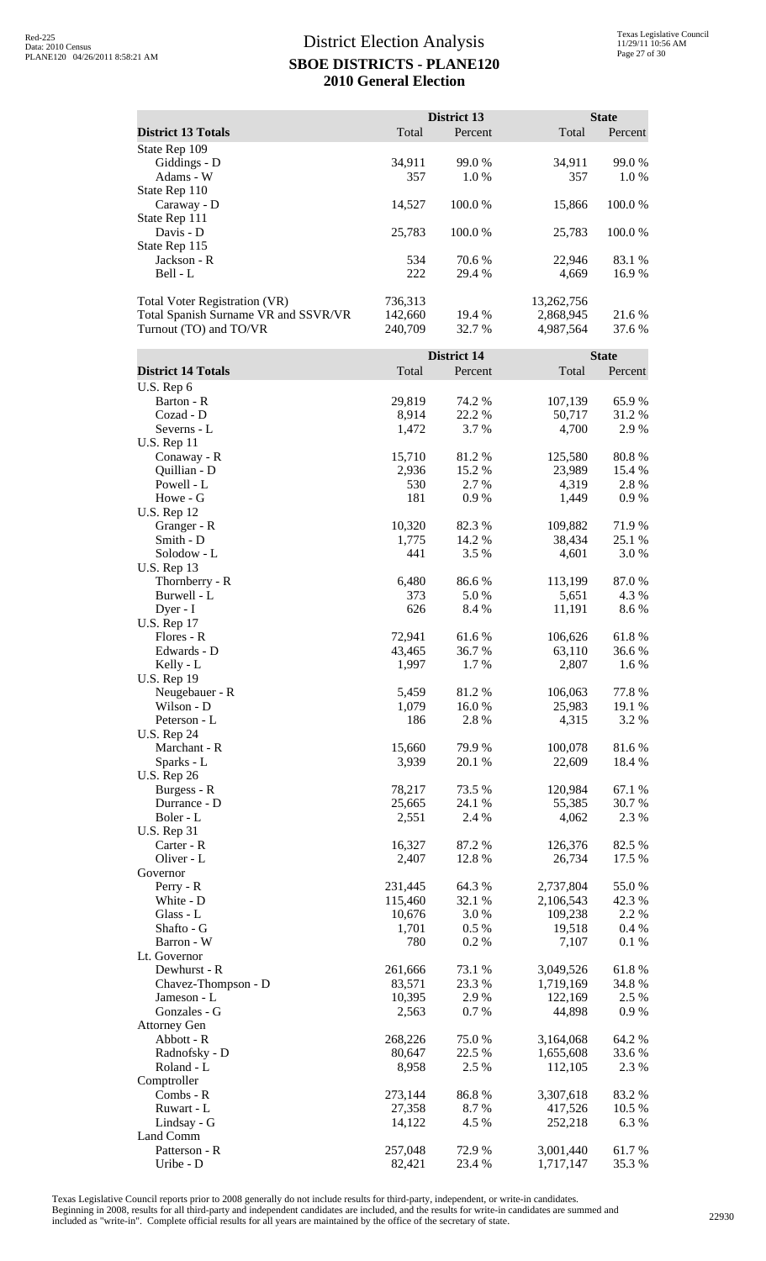|                                                                                                 |                               | District 13        |                                      | <b>State</b>     |
|-------------------------------------------------------------------------------------------------|-------------------------------|--------------------|--------------------------------------|------------------|
| <b>District 13 Totals</b>                                                                       | Total                         | Percent            | Total                                | Percent          |
| State Rep 109<br>Giddings - D<br>Adams - W                                                      | 34,911<br>357                 | 99.0 %<br>1.0%     | 34,911<br>357                        | 99.0%<br>1.0%    |
| State Rep 110<br>Caraway - D                                                                    | 14,527                        | 100.0%             | 15,866                               | 100.0%           |
| State Rep 111<br>Davis - D<br>State Rep 115                                                     | 25,783                        | 100.0 %            | 25,783                               | 100.0%           |
| Jackson - R<br>Bell - L                                                                         | 534<br>222                    | 70.6 %<br>29.4 %   | 22,946<br>4,669                      | 83.1 %<br>16.9%  |
| Total Voter Registration (VR)<br>Total Spanish Surname VR and SSVR/VR<br>Turnout (TO) and TO/VR | 736,313<br>142,660<br>240,709 | 19.4 %<br>32.7 %   | 13,262,756<br>2,868,945<br>4,987,564 | 21.6 %<br>37.6 % |
|                                                                                                 |                               | <b>District 14</b> |                                      | <b>State</b>     |
| <b>District 14 Totals</b>                                                                       | Total                         | Percent            | Total                                | Percent          |
| U.S. Rep 6                                                                                      |                               |                    |                                      |                  |
| Barton - R<br>Cozad - D                                                                         | 29,819<br>8,914               | 74.2 %<br>22.2 %   | 107,139<br>50,717                    | 65.9%<br>31.2%   |
| Severns - L                                                                                     | 1,472                         | 3.7 %              | 4,700                                | 2.9%             |
| <b>U.S. Rep 11</b>                                                                              |                               |                    |                                      |                  |
| Conaway - R                                                                                     | 15,710                        | 81.2%              | 125,580                              | 80.8%            |
| Quillian - D                                                                                    | 2,936                         | 15.2 %             | 23,989                               | 15.4 %           |
| Powell - L<br>Howe - G                                                                          | 530<br>181                    | 2.7 %<br>0.9%      | 4,319<br>1,449                       | 2.8%<br>0.9%     |
| <b>U.S. Rep 12</b>                                                                              |                               |                    |                                      |                  |
| Granger - R                                                                                     | 10,320                        | 82.3 %             | 109,882                              | 71.9%            |
| Smith - D                                                                                       | 1,775                         | 14.2 %             | 38,434                               | 25.1 %           |
| Solodow - L                                                                                     | 441                           | 3.5 %              | 4,601                                | 3.0%             |
| <b>U.S. Rep 13</b><br>Thornberry - R                                                            | 6,480                         | 86.6%              | 113,199                              | 87.0%            |
| Burwell - L                                                                                     | 373                           | 5.0%               | 5,651                                | 4.3 %            |
| Dyer - I                                                                                        | 626                           | 8.4 %              | 11,191                               | 8.6%             |
| <b>U.S. Rep 17</b>                                                                              |                               |                    |                                      |                  |
| Flores - R                                                                                      | 72,941                        | 61.6 %             | 106,626                              | 61.8%            |
| Edwards - D<br>Kelly - L                                                                        | 43,465<br>1,997               | 36.7 %<br>1.7%     | 63,110<br>2,807                      | 36.6%<br>1.6 %   |
| <b>U.S. Rep 19</b>                                                                              |                               |                    |                                      |                  |
| Neugebauer - R                                                                                  | 5,459                         | 81.2%              | 106,063                              | 77.8%            |
| Wilson - D                                                                                      | 1,079                         | 16.0%              | 25,983                               | 19.1 %           |
| Peterson - L                                                                                    | 186                           | 2.8 %              | 4,315                                | 3.2 %            |
| <b>U.S. Rep 24</b><br>Marchant - R                                                              | 15,660                        | 79.9%              | 100,078                              | 81.6%            |
| Sparks - L                                                                                      | 3,939                         | 20.1 %             | 22,609                               | 18.4 %           |
| <b>U.S. Rep 26</b>                                                                              |                               |                    |                                      |                  |
| Burgess - R                                                                                     | 78,217                        | 73.5 %             | 120,984                              | 67.1 %           |
| Durrance - D                                                                                    | 25,665                        | 24.1 %             | 55,385                               | 30.7 %           |
| Boler - L<br><b>U.S. Rep 31</b>                                                                 | 2,551                         | 2.4 %              | 4,062                                | 2.3 %            |
| Carter - R                                                                                      | 16,327                        | 87.2%              | 126,376                              | 82.5 %           |
| Oliver - L                                                                                      | 2,407                         | 12.8%              | 26,734                               | 17.5 %           |
| Governor                                                                                        |                               |                    |                                      |                  |
| $Perry - R$                                                                                     | 231,445                       | 64.3 %             | 2,737,804                            | 55.0%            |
| White - D<br>Glass - L                                                                          | 115,460<br>10,676             | 32.1 %<br>3.0%     | 2,106,543<br>109,238                 | 42.3 %<br>2.2 %  |
| Shafto - G                                                                                      | 1,701                         | 0.5 %              | 19,518                               | 0.4 %            |
| Barron - W                                                                                      | 780                           | 0.2 %              | 7,107                                | 0.1 %            |
| Lt. Governor                                                                                    |                               |                    |                                      |                  |
| Dewhurst - R                                                                                    | 261,666<br>83,571             | 73.1 %<br>23.3 %   | 3,049,526<br>1,719,169               | 61.8%<br>34.8%   |
| Chavez-Thompson - D<br>Jameson - L                                                              | 10,395                        | 2.9%               | 122,169                              | 2.5 %            |
| Gonzales - G                                                                                    | 2,563                         | 0.7%               | 44,898                               | 0.9 %            |
| <b>Attorney Gen</b>                                                                             |                               |                    |                                      |                  |
| Abbott - R                                                                                      | 268,226                       | 75.0%              | 3,164,068                            | 64.2 %           |
| Radnofsky - D                                                                                   | 80,647                        | 22.5 %             | 1,655,608                            | 33.6 %           |
| Roland - L<br>Comptroller                                                                       | 8,958                         | 2.5 %              | 112,105                              | 2.3 %            |
| Combs - R                                                                                       | 273,144                       | 86.8%              | 3,307,618                            | 83.2%            |
| Ruwart - L                                                                                      | 27,358                        | 8.7 %              | 417,526                              | 10.5 %           |
| Lindsay - G                                                                                     | 14,122                        | 4.5 %              | 252,218                              | 6.3%             |
| Land Comm<br>Patterson - R                                                                      | 257,048                       |                    | 3,001,440                            | 61.7%            |
| Uribe - D                                                                                       | 82,421                        | 72.9 %<br>23.4 %   | 1,717,147                            | 35.3 %           |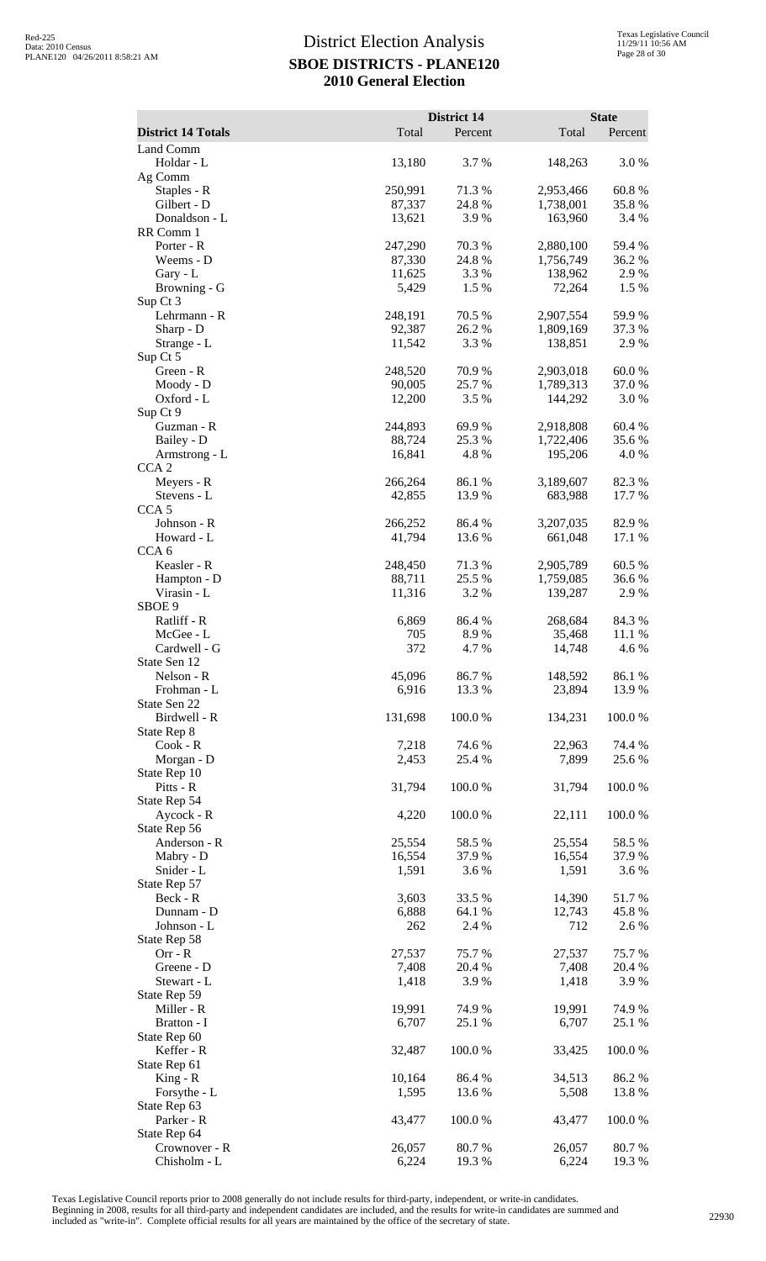| <b>District 14 Totals</b>         | Total             | District 14<br>Percent | Total                | <b>State</b><br>Percent |
|-----------------------------------|-------------------|------------------------|----------------------|-------------------------|
| Land Comm                         |                   |                        |                      |                         |
| Holdar - L                        | 13,180            | 3.7%                   | 148,263              | 3.0%                    |
| Ag Comm                           |                   |                        |                      |                         |
| Staples - R                       | 250,991           | 71.3 %                 | 2,953,466            | 60.8%                   |
| Gilbert - D<br>Donaldson - L      | 87,337<br>13,621  | 24.8 %<br>3.9%         | 1,738,001<br>163,960 | 35.8%<br>3.4 %          |
| RR Comm 1                         |                   |                        |                      |                         |
| Porter - R                        | 247,290           | 70.3%                  | 2,880,100            | 59.4 %                  |
| Weems - D                         | 87,330            | 24.8 %                 | 1,756,749            | 36.2%                   |
| Gary - L                          | 11,625            | 3.3 %                  | 138,962              | 2.9%                    |
| Browning - G<br>Sup Ct 3          | 5,429             | 1.5 %                  | 72,264               | 1.5 %                   |
| Lehrmann - R                      | 248,191           | 70.5 %                 | 2,907,554            | 59.9%                   |
| Sharp - D                         | 92,387            | 26.2 %                 | 1,809,169            | 37.3 %                  |
| Strange - L                       | 11,542            | 3.3 %                  | 138,851              | 2.9 %                   |
| Sup Ct 5<br>Green - R             | 248,520           | 70.9%                  | 2,903,018            | 60.0%                   |
| Moody - D                         | 90,005            | 25.7 %                 | 1,789,313            | 37.0%                   |
| Oxford - L                        | 12,200            | 3.5 %                  | 144,292              | 3.0%                    |
| Sup Ct 9                          |                   |                        |                      |                         |
| Guzman - R                        | 244,893           | 69.9%                  | 2,918,808            | 60.4%                   |
| Bailey - D                        | 88,724            | 25.3 %                 | 1,722,406            | 35.6 %                  |
| Armstrong - L<br>CCA <sub>2</sub> | 16,841            | 4.8%                   | 195,206              | 4.0%                    |
| Meyers - R                        | 266,264           | 86.1%                  | 3,189,607            | 82.3%                   |
| Stevens - L                       | 42,855            | 13.9%                  | 683,988              | 17.7 %                  |
| CCA <sub>5</sub>                  |                   |                        |                      |                         |
| Johnson - R<br>Howard - L         | 266,252<br>41,794 | 86.4 %<br>13.6 %       | 3,207,035            | 82.9%<br>17.1 %         |
| CCA <sub>6</sub>                  |                   |                        | 661,048              |                         |
| Keasler - R                       | 248,450           | 71.3 %                 | 2,905,789            | 60.5 %                  |
| Hampton - D                       | 88,711            | 25.5 %                 | 1,759,085            | 36.6%                   |
| Virasin - L                       | 11,316            | 3.2 %                  | 139,287              | 2.9%                    |
| SBOE 9<br>Ratliff - R             | 6,869             | 86.4%                  | 268,684              | 84.3%                   |
| McGee - L                         | 705               | 8.9%                   | 35,468               | 11.1 %                  |
| Cardwell - G                      | 372               | 4.7 %                  | 14,748               | 4.6%                    |
| State Sen 12                      |                   |                        |                      |                         |
| Nelson - R                        | 45,096            | 86.7%                  | 148,592              | 86.1%                   |
| Frohman - L<br>State Sen 22       | 6,916             | 13.3 %                 | 23,894               | 13.9%                   |
| Birdwell - R                      | 131,698           | 100.0%                 | 134,231              | 100.0%                  |
| State Rep 8                       |                   |                        |                      |                         |
| $Cook - R$                        | 7,218             | 74.6 %                 | 22,963               | 74.4 %                  |
| Morgan - D                        | 2,453             | 25.4 %                 | 7,899                | 25.6 %                  |
| State Rep 10<br>Pitts - R         | 31,794            | 100.0%                 | 31,794               | 100.0%                  |
| State Rep 54                      |                   |                        |                      |                         |
| Aycock - R                        | 4,220             | 100.0%                 | 22,111               | 100.0%                  |
| State Rep 56                      |                   |                        |                      |                         |
| Anderson - R<br>Mabry - D         | 25,554<br>16,554  | 58.5 %<br>37.9%        | 25,554<br>16,554     | 58.5 %<br>37.9%         |
| Snider - L                        | 1,591             | 3.6 %                  | 1,591                | 3.6 %                   |
| State Rep 57                      |                   |                        |                      |                         |
| Beck - R                          | 3,603             | 33.5 %                 | 14,390               | 51.7%                   |
| Dunnam - D                        | 6,888             | 64.1 %                 | 12,743               | 45.8%                   |
| Johnson - L<br>State Rep 58       | 262               | 2.4 %                  | 712                  | 2.6%                    |
| $Orr - R$                         | 27,537            | 75.7%                  | 27,537               | 75.7%                   |
| Greene - D                        | 7,408             | 20.4 %                 | 7,408                | 20.4 %                  |
| Stewart - L                       | 1,418             | 3.9 %                  | 1,418                | 3.9%                    |
| State Rep 59                      |                   |                        |                      |                         |
| Miller - R<br>Bratton - I         | 19,991<br>6,707   | 74.9 %<br>25.1 %       | 19,991<br>6,707      | 74.9%<br>25.1 %         |
| State Rep 60                      |                   |                        |                      |                         |
| Keffer - R                        | 32,487            | 100.0%                 | 33,425               | 100.0%                  |
| State Rep 61                      |                   |                        |                      |                         |
| $King - R$                        | 10,164            | 86.4%                  | 34,513               | 86.2%                   |
| Forsythe - L<br>State Rep 63      | 1,595             | 13.6 %                 | 5,508                | 13.8 %                  |
| Parker - R                        | 43,477            | 100.0%                 | 43,477               | 100.0%                  |
| State Rep 64                      |                   |                        |                      |                         |
| Crownover - R                     | 26,057            | 80.7%                  | 26,057               | 80.7%                   |
| Chisholm - L                      | 6,224             | 19.3 %                 | 6,224                | 19.3 %                  |

Texas Legislative Council reports prior to 2008 generally do not include results for third-party, independent, or write-in candidates.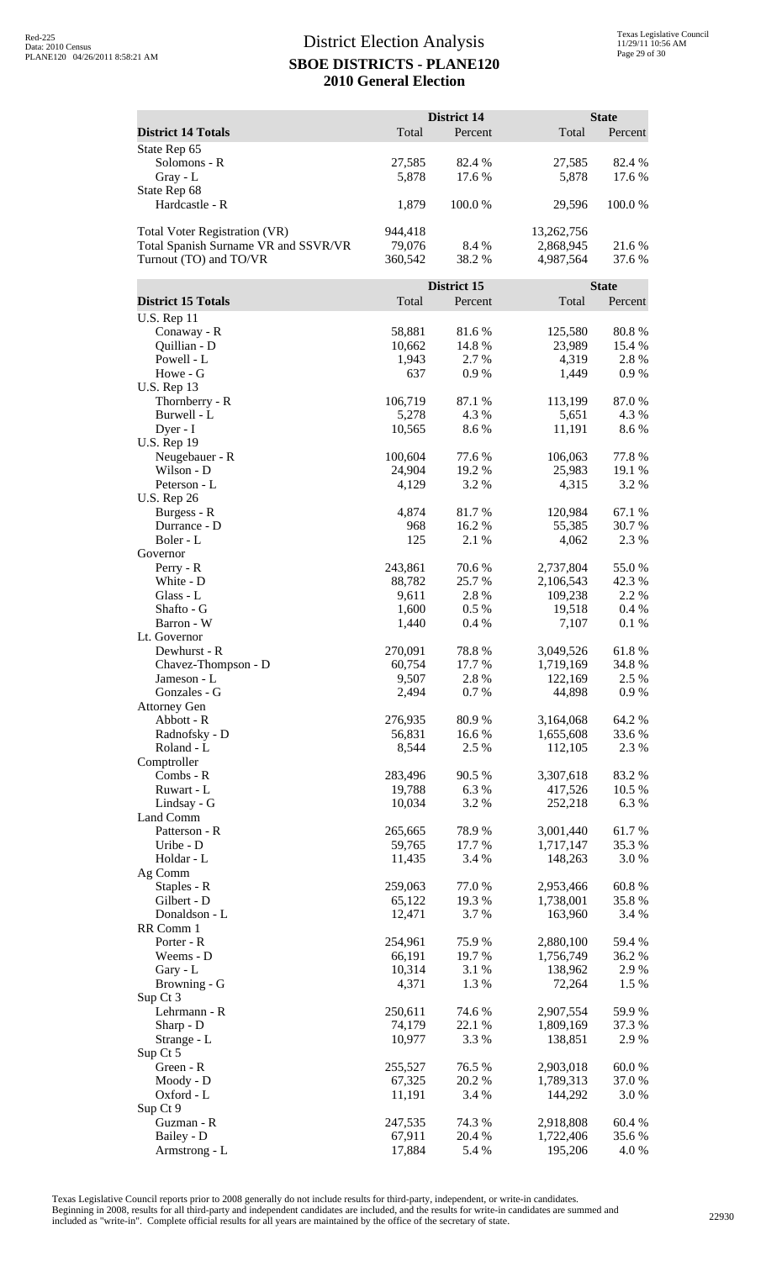|                                                                |                   | <b>District 14</b> |                        | <b>State</b>     |
|----------------------------------------------------------------|-------------------|--------------------|------------------------|------------------|
| <b>District 14 Totals</b>                                      | Total             | Percent            | Total                  | Percent          |
| State Rep 65<br>Solomons - R<br>Gray - L                       | 27,585<br>5,878   | 82.4 %<br>17.6 %   | 27,585<br>5,878        | 82.4 %<br>17.6 % |
| State Rep 68<br>Hardcastle - R                                 | 1,879             | 100.0%             | 29,596                 | 100.0%           |
| Total Voter Registration (VR)                                  | 944,418           |                    | 13,262,756             |                  |
| Total Spanish Surname VR and SSVR/VR<br>Turnout (TO) and TO/VR | 79,076<br>360,542 | 8.4 %<br>38.2 %    | 2,868,945<br>4,987,564 | 21.6 %<br>37.6 % |
|                                                                |                   | District 15        |                        | <b>State</b>     |
| <b>District 15 Totals</b>                                      | Total             | Percent            | Total                  | Percent          |
| <b>U.S. Rep 11</b>                                             | 58,881            | 81.6%              | 125,580                | 80.8 %           |
| Conaway - R<br>Quillian - D                                    | 10,662            | 14.8 %             | 23,989                 | 15.4 %           |
| Powell - L                                                     | 1,943             | 2.7 %              | 4,319                  | 2.8%             |
| Howe - G                                                       | 637               | 0.9%               | 1,449                  | 0.9 %            |
| <b>U.S. Rep 13</b><br>Thornberry - R                           | 106,719           | 87.1 %             | 113,199                | 87.0%            |
| Burwell - L                                                    | 5,278             | 4.3 %              | 5,651                  | 4.3 %            |
| Dyer - I                                                       | 10,565            | 8.6%               | 11,191                 | 8.6%             |
| <b>U.S. Rep 19</b>                                             |                   |                    |                        |                  |
| Neugebauer - R<br>Wilson - D                                   | 100,604<br>24,904 | 77.6 %<br>19.2 %   | 106,063<br>25,983      | 77.8%<br>19.1 %  |
| Peterson - L                                                   | 4,129             | 3.2 %              | 4,315                  | 3.2 %            |
| <b>U.S. Rep 26</b>                                             |                   |                    |                        |                  |
| Burgess - R                                                    | 4,874             | 81.7%              | 120,984                | 67.1 %           |
| Durrance - D<br>Boler - L                                      | 968<br>125        | 16.2%<br>2.1 %     | 55,385<br>4,062        | 30.7 %<br>2.3 %  |
| Governor                                                       |                   |                    |                        |                  |
| Perry - R                                                      | 243,861           | 70.6%              | 2,737,804              | 55.0%            |
| White - D<br>Glass - L                                         | 88,782<br>9,611   | 25.7 %<br>2.8%     | 2,106,543<br>109,238   | 42.3 %<br>2.2 %  |
| Shafto - G                                                     | 1,600             | 0.5 %              | 19,518                 | 0.4 %            |
| Barron - W                                                     | 1,440             | 0.4%               | 7,107                  | 0.1%             |
| Lt. Governor                                                   |                   |                    |                        |                  |
| Dewhurst - R<br>Chavez-Thompson - D                            | 270,091<br>60,754 | 78.8%<br>17.7 %    | 3,049,526<br>1,719,169 | 61.8%<br>34.8%   |
| Jameson - L                                                    | 9,507             | 2.8%               | 122,169                | 2.5 %            |
| Gonzales - G                                                   | 2,494             | 0.7%               | 44,898                 | 0.9 %            |
| <b>Attorney Gen</b>                                            |                   |                    |                        |                  |
| Abbott - R<br>Radnofsky - D                                    | 276,935<br>56,831 | 80.9%<br>16.6%     | 3,164,068<br>1,655,608 | 64.2%<br>33.6 %  |
| Roland - L                                                     | 8,544             | 2.5 %              | 112,105                | 2.3 %            |
| Comptroller                                                    |                   |                    |                        |                  |
| Combs - R                                                      | 283,496           | 90.5 %             | 3,307,618              | 83.2%            |
| Ruwart - L<br>Lindsay - G                                      | 19,788<br>10,034  | 6.3%<br>3.2 %      | 417,526<br>252,218     | 10.5 %<br>6.3%   |
| Land Comm                                                      |                   |                    |                        |                  |
| Patterson - R                                                  | 265,665           | 78.9%              | 3,001,440              | 61.7%            |
| Uribe - D                                                      | 59,765            | 17.7 %             | 1,717,147              | 35.3 %           |
| Holdar - L<br>Ag Comm                                          | 11,435            | 3.4 %              | 148,263                | 3.0 %            |
| Staples - R                                                    | 259,063           | 77.0%              | 2,953,466              | 60.8%            |
| Gilbert - D                                                    | 65,122            | 19.3 %             | 1,738,001              | 35.8%            |
| Donaldson - L<br>RR Comm 1                                     | 12,471            | 3.7%               | 163,960                | 3.4 %            |
| Porter - R                                                     | 254,961           | 75.9%              | 2,880,100              | 59.4 %           |
| Weems - D                                                      | 66,191            | 19.7%              | 1,756,749              | 36.2%            |
| Gary - L                                                       | 10,314            | 3.1 %              | 138,962                | 2.9 %            |
| Browning - G<br>Sup Ct 3                                       | 4,371             | 1.3%               | 72,264                 | 1.5 %            |
| Lehrmann - R                                                   | 250,611           | 74.6 %             | 2,907,554              | 59.9%            |
| Sharp - D                                                      | 74,179            | 22.1 %             | 1,809,169              | 37.3 %           |
| Strange - L                                                    | 10,977            | 3.3 %              | 138,851                | 2.9 %            |
| Sup Ct 5<br>Green - R                                          | 255,527           | 76.5 %             | 2,903,018              | 60.0%            |
| Moody - D                                                      | 67,325            | 20.2 %             | 1,789,313              | 37.0 %           |
| Oxford - L                                                     | 11,191            | 3.4 %              | 144,292                | 3.0 %            |
| Sup Ct 9                                                       |                   |                    |                        |                  |
| Guzman - R<br>Bailey - D                                       | 247,535<br>67,911 | 74.3 %<br>20.4 %   | 2,918,808<br>1,722,406 | 60.4%<br>35.6 %  |
| Armstrong - L                                                  | 17,884            | 5.4 %              | 195,206                | 4.0%             |